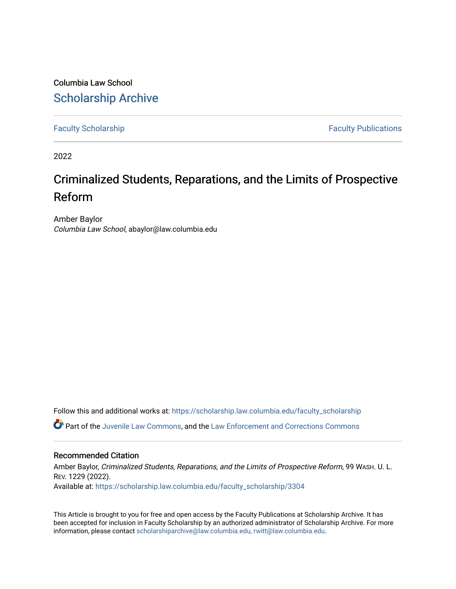Columbia Law School [Scholarship Archive](https://scholarship.law.columbia.edu/) 

[Faculty Scholarship](https://scholarship.law.columbia.edu/faculty_scholarship) **Faculty Scholarship Faculty Publications** 

2022

# Criminalized Students, Reparations, and the Limits of Prospective Reform

Amber Baylor Columbia Law School, abaylor@law.columbia.edu

Follow this and additional works at: [https://scholarship.law.columbia.edu/faculty\\_scholarship](https://scholarship.law.columbia.edu/faculty_scholarship?utm_source=scholarship.law.columbia.edu%2Ffaculty_scholarship%2F3304&utm_medium=PDF&utm_campaign=PDFCoverPages)

**P** Part of the [Juvenile Law Commons](http://network.bepress.com/hgg/discipline/851?utm_source=scholarship.law.columbia.edu%2Ffaculty_scholarship%2F3304&utm_medium=PDF&utm_campaign=PDFCoverPages), and the Law Enforcement and Corrections Commons

# Recommended Citation

Amber Baylor, Criminalized Students, Reparations, and the Limits of Prospective Reform, 99 WASH. U. L. REV. 1229 (2022). Available at: [https://scholarship.law.columbia.edu/faculty\\_scholarship/3304](https://scholarship.law.columbia.edu/faculty_scholarship/3304?utm_source=scholarship.law.columbia.edu%2Ffaculty_scholarship%2F3304&utm_medium=PDF&utm_campaign=PDFCoverPages)

This Article is brought to you for free and open access by the Faculty Publications at Scholarship Archive. It has been accepted for inclusion in Faculty Scholarship by an authorized administrator of Scholarship Archive. For more information, please contact [scholarshiparchive@law.columbia.edu, rwitt@law.columbia.edu](mailto:scholarshiparchive@law.columbia.edu,%20rwitt@law.columbia.edu).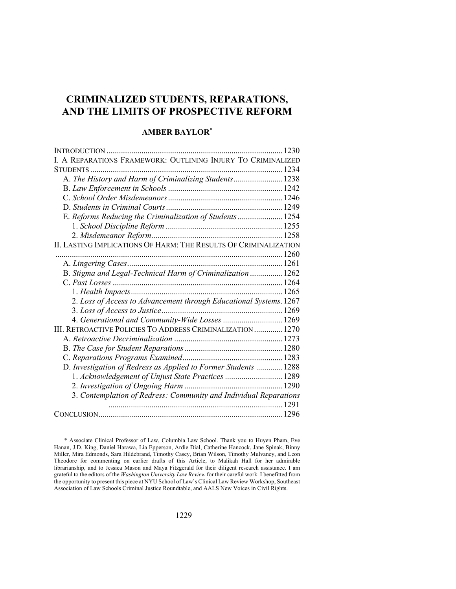# **CRIMINALIZED STUDENTS, REPARATIONS, AND THE LIMITS OF PROSPECTIVE REFORM**

# **AMBER BAYLOR***\**

| I. A REPARATIONS FRAMEWORK: OUTLINING INJURY TO CRIMINALIZED       |  |
|--------------------------------------------------------------------|--|
|                                                                    |  |
| A. The History and Harm of Criminalizing Students 1238             |  |
|                                                                    |  |
|                                                                    |  |
|                                                                    |  |
| E. Reforms Reducing the Criminalization of Students  1254          |  |
|                                                                    |  |
|                                                                    |  |
| II. LASTING IMPLICATIONS OF HARM: THE RESULTS OF CRIMINALIZATION   |  |
|                                                                    |  |
|                                                                    |  |
| B. Stigma and Legal-Technical Harm of Criminalization  1262        |  |
|                                                                    |  |
|                                                                    |  |
| 2. Loss of Access to Advancement through Educational Systems. 1267 |  |
|                                                                    |  |
| 4. Generational and Community-Wide Losses  1269                    |  |
| III. RETROACTIVE POLICIES TO ADDRESS CRIMINALIZATION  1270         |  |
|                                                                    |  |
|                                                                    |  |
|                                                                    |  |
| D. Investigation of Redress as Applied to Former Students  1288    |  |
| 1. Acknowledgement of Unjust State Practices  1289                 |  |
|                                                                    |  |
| 3. Contemplation of Redress: Community and Individual Reparations  |  |
|                                                                    |  |
|                                                                    |  |

<sup>\*</sup> Associate Clinical Professor of Law, Columbia Law School. Thank you to Huyen Pham, Eve Hanan, J.D. King, Daniel Harawa, Lia Epperson, Ardie Dial, Catherine Hancock, Jane Spinak, Binny Miller, Mira Edmonds, Sara Hildebrand, Timothy Casey, Brian Wilson, Timothy Mulvaney, and Leon Theodore for commenting on earlier drafts of this Article, to Malikah Hall for her admirable librarianship, and to Jessica Mason and Maya Fitzgerald for their diligent research assistance. I am grateful to the editors of the *Washington University Law Review* for their careful work. I benefitted from the opportunity to present this piece at NYU School of Law's Clinical Law Review Workshop, Southeast Association of Law Schools Criminal Justice Roundtable, and AALS New Voices in Civil Rights.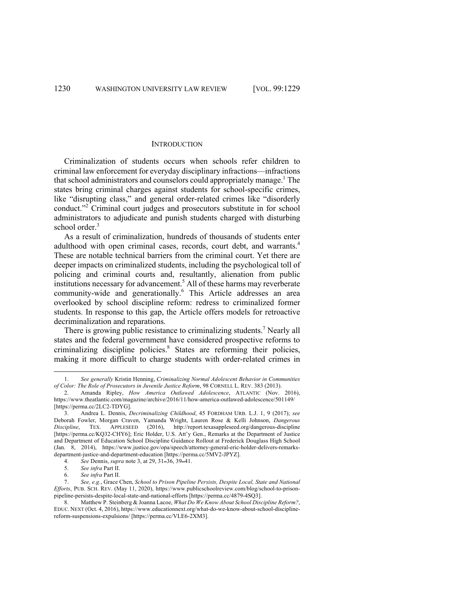#### **INTRODUCTION**

Criminalization of students occurs when schools refer children to criminal law enforcement for everyday disciplinary infractions—infractions that school administrators and counselors could appropriately manage. <sup>1</sup> The states bring criminal charges against students for school-specific crimes, like "disrupting class," and general order-related crimes like "disorderly conduct."<sup>2</sup> Criminal court judges and prosecutors substitute in for school administrators to adjudicate and punish students charged with disturbing school order.<sup>3</sup>

As a result of criminalization, hundreds of thousands of students enter adulthood with open criminal cases, records, court debt, and warrants. 4 These are notable technical barriers from the criminal court. Yet there are deeper impacts on criminalized students, including the psychological toll of policing and criminal courts and, resultantly, alienation from public institutions necessary for advancement.<sup>5</sup> All of these harms may reverberate community-wide and generationally.<sup>6</sup> This Article addresses an area overlooked by school discipline reform: redress to criminalized former students. In response to this gap, the Article offers models for retroactive decriminalization and reparations.

There is growing public resistance to criminalizing students.<sup>7</sup> Nearly all states and the federal government have considered prospective reforms to criminalizing discipline policies.<sup>8</sup> States are reforming their policies, making it more difficult to charge students with order-related crimes in

<sup>1.</sup> *See generally* Kristin Henning, *Criminalizing Normal Adolescent Behavior in Communities of Color: The Role of Prosecutors in Juvenile Justice Reform*, 98 CORNELL L. REV. 383 (2013).

<sup>2.</sup> Amanda Ripley, *How America Outlawed Adolescence*, ATLANTIC (Nov. 2016), https://www.theatlantic.com/magazine/archive/2016/11/how-america-outlawed-adolescence/501149/ [https://perma.cc/2LC2-TDYG].

<sup>3.</sup> Andrea L. Dennis, *Decriminalizing Childhood*, 45 FORDHAM URB. L.J. 1, 9 (2017); *see* Deborah Fowler, Morgan Craven, Yamanda Wright, Lauren Rose & Kelli Johnson, *Dangerous Discipline*, TEX. APPLESEED (2016), http://report.texasappleseed.org/dangerous-discipline [https://perma.cc/KQ32-CHY6]; Eric Holder, U.S. Att'y Gen., Remarks at the Department of Justice and Department of Education School Discipline Guidance Rollout at Frederick Douglass High School (Jan. 8, 2014), https://www.justice.gov/opa/speech/attorney-general-eric-holder-delivers-remarksdepartment-justice-and-department-education [https://perma.cc/5MV2-JPYZ].

<sup>4.</sup> *See* Dennis, *supra* note 3, at 29, 31–36, 39–41.

<sup>5.</sup> *See infra* Part II.

<sup>6.</sup> *See infra* Part II.

<sup>7.</sup> *See, e.g.*, Grace Chen, *School to Prison Pipeline Persists, Despite Local, State and National Efforts*, PUB. SCH. REV. (May 11, 2020), https://www.publicschoolreview.com/blog/school-to-prisonpipeline-persists-despite-local-state-and-national-efforts [https://perma.cc/4879-4SQ3].

<sup>8.</sup> Matthew P. Steinberg & Joanna Lacoe, *What Do We Know About School Discipline Reform?*, EDUC. NEXT (Oct. 4, 2016), https://www.educationnext.org/what-do-we-know-about-school-disciplinereform-suspensions-expulsions/ [https://perma.cc/VLE6-2XM3].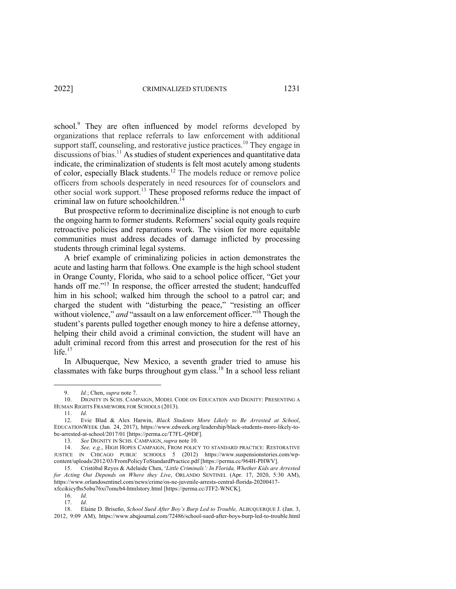school.<sup>9</sup> They are often influenced by model reforms developed by organizations that replace referrals to law enforcement with additional support staff, counseling, and restorative justice practices.<sup>10</sup> They engage in discussions of bias.<sup>11</sup> As studies of student experiences and quantitative data indicate, the criminalization of students is felt most acutely among students of color, especially Black students.12 The models reduce or remove police officers from schools desperately in need resources for of counselors and other social work support.<sup>13</sup> These proposed reforms reduce the impact of criminal law on future schoolchildren.<sup>14</sup>

But prospective reform to decriminalize discipline is not enough to curb the ongoing harm to former students. Reformers' social equity goals require retroactive policies and reparations work. The vision for more equitable communities must address decades of damage inflicted by processing students through criminal legal systems.

A brief example of criminalizing policies in action demonstrates the acute and lasting harm that follows. One example is the high school student in Orange County, Florida, who said to a school police officer, "Get your hands off me."<sup>15</sup> In response, the officer arrested the student; handcuffed him in his school; walked him through the school to a patrol car; and charged the student with "disturbing the peace," "resisting an officer without violence," *and* "assault on a law enforcement officer."<sup>16</sup> Though the student's parents pulled together enough money to hire a defense attorney, helping their child avoid a criminal conviction, the student will have an adult criminal record from this arrest and prosecution for the rest of his life. $17$ 

In Albuquerque, New Mexico, a seventh grader tried to amuse his classmates with fake burps throughout gym class.<sup>18</sup> In a school less reliant

*Id.*; Chen, *supra* note 7.

<sup>10.</sup> DIGNITY IN SCHS. CAMPAIGN, MODEL CODE ON EDUCATION AND DIGNITY: PRESENTING A HUMAN RIGHTS FRAMEWORK FOR SCHOOLS (2013).

<sup>11.</sup> *Id.*

<sup>12.</sup> Evie Blad & Alex Harwin, *Black Students More Likely to Be Arrested at School*, EDUCATIONWEEK (Jan. 24, 2017), https://www.edweek.org/leadership/black-students-more-likely-tobe-arrested-at-school/2017/01 [https://perma.cc/T7FL-Q9DF].

<sup>13.</sup> *See* DIGNITY IN SCHS. CAMPAIGN, *supra* note 10.

<sup>14.</sup> *See, e.g.*, HIGH HOPES CAMPAIGN, FROM POLICY TO STANDARD PRACTICE: RESTORATIVE JUSTICE IN CHICAGO PUBLIC SCHOOLS 5 (2012) https://www.suspensionstories.com/wpcontent/uploads/2012/03/FromPolicyToStandardPractice.pdf [https://perma.cc/964H-PHWV].

<sup>15.</sup> Cristóbal Reyes & Adelaide Chen, '*Little Criminals': In Florida, Whether Kids are Arrested for Acting Out Depends on Where they Live*, ORLANDO SENTINEL (Apr. 17, 2020, 5:30 AM), https://www.orlandosentinel.com/news/crime/os-ne-juvenile-arrests-central-florida-20200417 xfccikicyfhs5obu76xi7omcb4-htmlstory.html [https://perma.cc/JTF2-WNCK].

<sup>16.</sup> *Id.*

<sup>17.</sup> *Id.*

<sup>18.</sup> Elaine D. Briseño, *School Sued After Boy's Burp Led to Trouble,* ALBUQUERQUE J. (Jan. 3, 2012, 9:09 AM), https://www.abqjournal.com/72486/school-sued-after-boys-burp-led-to-trouble.html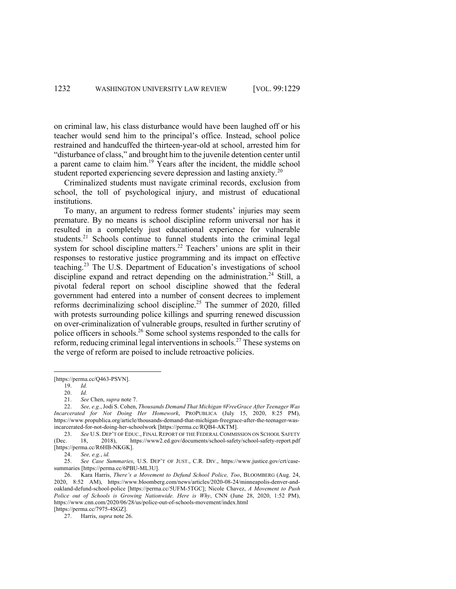on criminal law, his class disturbance would have been laughed off or his teacher would send him to the principal's office. Instead, school police restrained and handcuffed the thirteen-year-old at school, arrested him for "disturbance of class," and brought him to the juvenile detention center until a parent came to claim him.<sup>19</sup> Years after the incident, the middle school student reported experiencing severe depression and lasting anxiety.<sup>20</sup>

Criminalized students must navigate criminal records, exclusion from school, the toll of psychological injury, and mistrust of educational institutions.

To many, an argument to redress former students' injuries may seem premature. By no means is school discipline reform universal nor has it resulted in a completely just educational experience for vulnerable students.<sup>21</sup> Schools continue to funnel students into the criminal legal system for school discipline matters.<sup>22</sup> Teachers' unions are split in their responses to restorative justice programming and its impact on effective teaching.<sup>23</sup> The U.S. Department of Education's investigations of school discipline expand and retract depending on the administration.<sup>24</sup> Still, a pivotal federal report on school discipline showed that the federal government had entered into a number of consent decrees to implement reforms decriminalizing school discipline.<sup>25</sup> The summer of 2020, filled with protests surrounding police killings and spurring renewed discussion on over-criminalization of vulnerable groups, resulted in further scrutiny of police officers in schools.26 Some school systems responded to the calls for reform, reducing criminal legal interventions in schools.<sup>27</sup> These systems on the verge of reform are poised to include retroactive policies.

[https://perma.cc/Q463-PSVN].

24. *See, e.g.*, *id.*

25. *See Case Summaries*, U.S. DEP'T OF JUST., C.R. DIV., https://www.justice.gov/crt/casesummaries [https://perma.cc/6PBU-ML3U].

26. Kara Harris, *There's a Movement to Defund School Police, Too*, BLOOMBERG (Aug. 24, 2020, 8:52 AM), https://www.bloomberg.com/news/articles/2020-08-24/minneapolis-denver-andoakland-defund-school-police [https://perma.cc/5UFM-5TGC]; Nicole Chavez, *A Movement to Push Police out of Schools is Growing Nationwide. Here is Why*, CNN (June 28, 2020, 1:52 PM), https://www.cnn.com/2020/06/28/us/police-out-of-schools-movement/index.html

[https://perma.cc/7975-4SGZ].

27. Harris, *supra* note 26.

<sup>19.</sup> *Id.*

<sup>20.</sup> *Id.*

See Chen, *supra* note 7.

<sup>22.</sup> *See, e.g.*, Jodi S. Cohen, *Thousands Demand That Michigan #FreeGrace After Teenager Was Incarcerated for Not Doing Her Homework*, PROPUBLICA (July 15, 2020, 8:25 PM), https://www.propublica.org/article/thousands-demand-that-michigan-freegrace-after-the-teenager-wasincarcerated-for-not-doing-her-schoolwork [https://perma.cc/RQB4-AKTM].

<sup>23.</sup> *See* U.S. DEP'T OF EDUC., FINAL REPORT OF THE FEDERAL COMMISSION ON SCHOOL SAFETY (Dec. 18, 2018), https://www2.ed.gov/documents/school-safety/school-safety-report.pdf [https://perma.cc/R6HB-NKGK].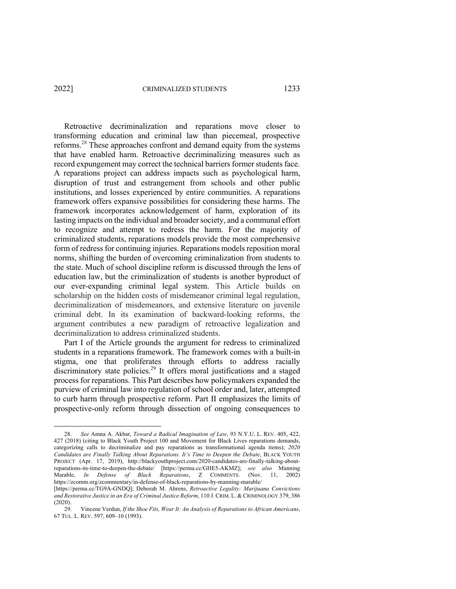Retroactive decriminalization and reparations move closer to transforming education and criminal law than piecemeal, prospective reforms.<sup>28</sup> These approaches confront and demand equity from the systems that have enabled harm. Retroactive decriminalizing measures such as record expungement may correct the technical barriers former students face. A reparations project can address impacts such as psychological harm, disruption of trust and estrangement from schools and other public institutions, and losses experienced by entire communities. A reparations framework offers expansive possibilities for considering these harms. The framework incorporates acknowledgement of harm, exploration of its lasting impacts on the individual and broader society, and a communal effort to recognize and attempt to redress the harm. For the majority of criminalized students, reparations models provide the most comprehensive form of redress for continuing injuries. Reparations models reposition moral norms, shifting the burden of overcoming criminalization from students to the state. Much of school discipline reform is discussed through the lens of education law, but the criminalization of students is another byproduct of our ever-expanding criminal legal system. This Article builds on scholarship on the hidden costs of misdemeanor criminal legal regulation, decriminalization of misdemeanors, and extensive literature on juvenile criminal debt. In its examination of backward-looking reforms, the argument contributes a new paradigm of retroactive legalization and decriminalization to address criminalized students.

Part I of the Article grounds the argument for redress to criminalized students in a reparations framework. The framework comes with a built-in stigma, one that proliferates through efforts to address racially discriminatory state policies.<sup>29</sup> It offers moral justifications and a staged process for reparations. This Part describes how policymakers expanded the purview of criminal law into regulation of school order and, later, attempted to curb harm through prospective reform. Part II emphasizes the limits of prospective-only reform through dissection of ongoing consequences to

<sup>28.</sup> *See* Amna A. Akbar, *Toward a Radical Imagination of Law*, 93 N.Y.U. L. REV. 405, 422, 427 (2018) (citing to Black Youth Project 100 and Movement for Black Lives reparations demands, categorizing calls to decriminalize and pay reparations as transformational agenda items); *2020 Candidates are Finally Talking About Reparations. It's Time to Deepen the Debate*, BLACK YOUTH PROJECT (Apr. 17, 2019), http://blackyouthproject.com/2020-candidates-are-finally-talking-aboutreparations-its-time-to-deepen-the-debate/ [https://perma.cc/GHE5-AKMZ]; *see also* Manning Marable, *In Defense of Black Reparations*, Z COMMENTS. (Nov. 11, 2002) https://zcomm.org/zcommentary/in-defense-of-black-reparations-by-manning-marable/

<sup>[</sup>https://perma.cc/TG9A-GNDQ]; Deborah M. Ahrens, *Retroactive Legality: Marijuana Convictions and Restorative Justice in an Era of Criminal Justice Reform*, 110 J. CRIM. L. & CRIMINOLOGY 379, 386  $(2020).$ <br>29.

<sup>29.</sup> Vincene Verdun, *If the Shoe Fits, Wear It: An Analysis of Reparations to African Americans*, 67 TUL. L. REV. 597, 609–10 (1993).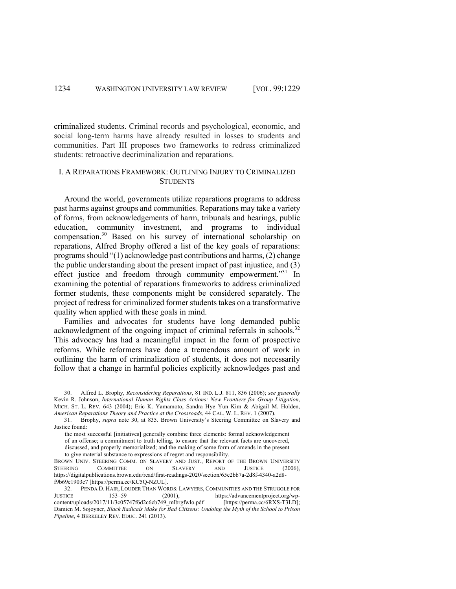criminalized students. Criminal records and psychological, economic, and social long-term harms have already resulted in losses to students and communities. Part III proposes two frameworks to redress criminalized students: retroactive decriminalization and reparations.

## I. A REPARATIONS FRAMEWORK: OUTLINING INJURY TO CRIMINALIZED STUDENTS

Around the world, governments utilize reparations programs to address past harms against groups and communities. Reparations may take a variety of forms, from acknowledgements of harm, tribunals and hearings, public education, community investment, and programs to individual compensation.30 Based on his survey of international scholarship on reparations, Alfred Brophy offered a list of the key goals of reparations: programs should "(1) acknowledge past contributions and harms, (2) change the public understanding about the present impact of past injustice, and (3) effect justice and freedom through community empowerment."31 In examining the potential of reparations frameworks to address criminalized former students, these components might be considered separately. The project of redress for criminalized former students takes on a transformative quality when applied with these goals in mind.

Families and advocates for students have long demanded public acknowledgment of the ongoing impact of criminal referrals in schools.<sup>32</sup> This advocacy has had a meaningful impact in the form of prospective reforms. While reformers have done a tremendous amount of work in outlining the harm of criminalization of students, it does not necessarily follow that a change in harmful policies explicitly acknowledges past and

<sup>30.</sup> Alfred L. Brophy, *Reconsidering Reparations*, 81 IND. L.J. 811, 836 (2006); *see generally* Kevin R. Johnson, *International Human Rights Class Actions: New Frontiers for Group Litigation*, MICH. ST. L. REV. 643 (2004); Eric K. Yamamoto, Sandra Hye Yun Kim & Abigail M. Holden, *American Reparations Theory and Practice at the Crossroads*, 44 CAL. W. L. REV. 1 (2007).

<sup>31.</sup> Brophy, *supra* note 30, at 835. Brown University's Steering Committee on Slavery and Justice found:

the most successful [initiatives] generally combine three elements: formal acknowledgement of an offense; a commitment to truth telling, to ensure that the relevant facts are uncovered, discussed, and properly memorialized; and the making of some form of amends in the present to give material substance to expressions of regret and responsibility.

BROWN UNIV. STEERING COMM. ON SLAVERY AND JUST., REPORT OF THE BROWN UNIVERSITY STEERING COMMITTEE ON SLAVERY AND JUSTICE (2006). STEERING COMMITTEE ON SLAVERY AND JUSTICE (2006), https://digitalpublications.brown.edu/read/first-readings-2020/section/65e2bb7a-2d8f-4340-a2d8 f9b69e1903c7 [https://perma.cc/KC5Q-NZUL].

<sup>32.</sup> PENDA D. HAIR, LOUDER THAN WORDS: LAWYERS, COMMUNITIES AND THE STRUGGLE FOR JUSTICE 153–59 (2001), https://advancementproject.org/wp-<br>content/uploads/2017/11/3c05747f6d2c6cb749 mlbrgfwlo.pdf [https://perma.cc/6RXS-T3LD]; content/uploads/2017/11/3c05747f6d2c6cb749\_mlbrgfwlo.pdf Damien M. Sojoyner, *Black Radicals Make for Bad Citizens: Undoing the Myth of the School to Prison Pipeline*, 4 BERKELEY REV. EDUC. 241 (2013).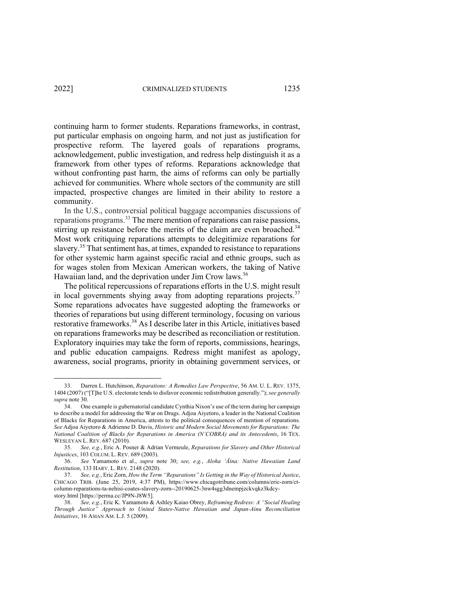continuing harm to former students. Reparations frameworks, in contrast, put particular emphasis on ongoing harm*,* and not just as justification for prospective reform. The layered goals of reparations programs, acknowledgement, public investigation, and redress help distinguish it as a framework from other types of reforms. Reparations acknowledge that without confronting past harm, the aims of reforms can only be partially achieved for communities. Where whole sectors of the community are still impacted, prospective changes are limited in their ability to restore a community.

In the U.S., controversial political baggage accompanies discussions of reparations programs.<sup>33</sup> The mere mention of reparations can raise passions, stirring up resistance before the merits of the claim are even broached.<sup>34</sup> Most work critiquing reparations attempts to delegitimize reparations for slavery.<sup>35</sup> That sentiment has, at times, expanded to resistance to reparations for other systemic harm against specific racial and ethnic groups, such as for wages stolen from Mexican American workers, the taking of Native Hawaiian land, and the deprivation under Jim Crow laws.<sup>36</sup>

The political repercussions of reparations efforts in the U.S. might result in local governments shying away from adopting reparations projects. $37$ Some reparations advocates have suggested adopting the frameworks or theories of reparations but using different terminology, focusing on various restorative frameworks. <sup>38</sup> As I describe later in this Article, initiatives based on reparations frameworks may be described as reconciliation or restitution. Exploratory inquiries may take the form of reports, commissions, hearings, and public education campaigns. Redress might manifest as apology, awareness, social programs, priority in obtaining government services, or

<sup>33.</sup> Darren L. Hutchinson, *Reparations: A Remedies Law Perspective*, 56 AM. U. L. REV. 1375, 1404 (2007) ("[T]he U.S. electorate tends to disfavor economic redistribution generally."); *see generally supra* note 30.

<sup>34.</sup> One example is gubernatorial candidate Cynthia Nixon's use of the term during her campaign to describe a model for addressing the War on Drugs. Adjoa Aiyetoro, a leader in the National Coalition of Blacks for Reparations in America, attests to the political consequences of mention of reparations. *See* Adjoa Aiyetoro & Adrienne D. Davis, *Historic and Modern Social Movements for Reparations: The National Coalition of Blacks for Reparations in America (N'COBRA) and its Antecedents*, 16 TEX. WESLEYAN L. REV. 687 (2010).

<sup>35.</sup> *See, e.g.*, Eric A. Posner & Adrian Vermeule, *Reparations for Slavery and Other Historical Injustices*, 103 COLUM. L. REV. 689 (2003).

<sup>36.</sup> *See* Yamamoto et al., *supra* note 30; *see, e.g.*, *Aloha 'Āina: Native Hawaiian Land Restitution*, 133 HARV. L. REV. 2148 (2020).

<sup>37.</sup> *See, e.g.*, Eric Zorn, *How the Term "Reparations" Is Getting in the Way of Historical Justice*, CHICAGO TRIB. (June 25, 2019, 4:37 PM), https://www.chicagotribune.com/columns/eric-zorn/ctcolumn-reparations-ta-nehisi-coates-slavery-zorn--20190625-3nw4sgg3dnempjzckvqkz3kdcystory.html [https://perma.cc/JP9N-J8W5].

<sup>38.</sup> *See, e.g.*, Eric K. Yamamoto & Ashley Kaiao Obrey, *Reframing Redress: A "Social Healing Through Justice" Approach to United States-Native Hawaiian and Japan-Ainu Reconciliation Initiatives*, 16 ASIAN AM. L.J. 5 (2009).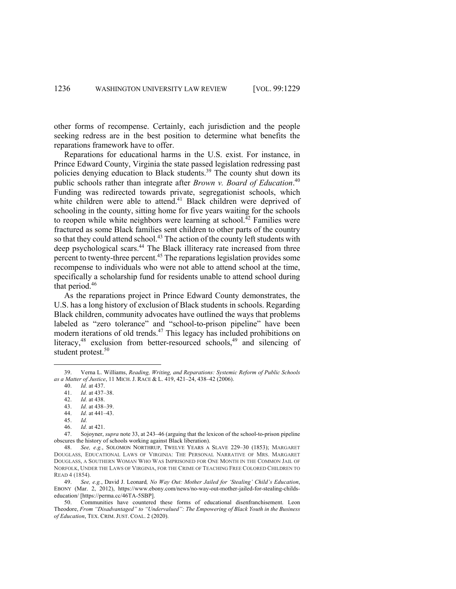other forms of recompense. Certainly, each jurisdiction and the people seeking redress are in the best position to determine what benefits the reparations framework have to offer.

Reparations for educational harms in the U.S. exist. For instance, in Prince Edward County, Virginia the state passed legislation redressing past policies denying education to Black students.<sup>39</sup> The county shut down its public schools rather than integrate after *Brown v. Board of Education*. 40 Funding was redirected towards private, segregationist schools, which white children were able to attend.<sup>41</sup> Black children were deprived of schooling in the county, sitting home for five years waiting for the schools to reopen while white neighbors were learning at school. $^{42}$  Families were fractured as some Black families sent children to other parts of the country so that they could attend school.<sup>43</sup> The action of the county left students with deep psychological scars.<sup>44</sup> The Black illiteracy rate increased from three percent to twenty-three percent.<sup>45</sup> The reparations legislation provides some recompense to individuals who were not able to attend school at the time, specifically a scholarship fund for residents unable to attend school during that period. 46

As the reparations project in Prince Edward County demonstrates, the U.S. has a long history of exclusion of Black students in schools. Regarding Black children, community advocates have outlined the ways that problems labeled as "zero tolerance" and "school-to-prison pipeline" have been modern iterations of old trends.<sup>47</sup> This legacy has included prohibitions on literacy,<sup>48</sup> exclusion from better-resourced schools,<sup>49</sup> and silencing of student protest.<sup>50</sup>

43. *Id.* at 438–39. 44. *Id.* at 441–43.

46. *Id.* at 421.

<sup>39.</sup> Verna L. Williams, *Reading, Writing, and Reparations: Systemic Reform of Public Schools as a Matter of Justice*, 11 MICH. J. RACE & L. 419, 421–24, 438–42 (2006).

<sup>40.</sup> *Id.* at 437.

<sup>41.</sup> *Id.* at 437–38.

<sup>42.</sup> *Id.* at 438.

<sup>45.</sup> *Id.*

<sup>47.</sup> Sojoyner, *supra* note 33, at 243–46 (arguing that the lexicon of the school-to-prison pipeline obscures the history of schools working against Black liberation).

<sup>48.</sup> *See, e.g.*, SOLOMON NORTHRUP, TWELVE YEARS A SLAVE 229–30 (1853); MARGARET DOUGLASS, EDUCATIONAL LAWS OF VIRGINIA: THE PERSONAL NARRATIVE OF MRS. MARGARET DOUGLASS, A SOUTHERN WOMAN WHO WAS IMPRISONED FOR ONE MONTH IN THE COMMON JAIL OF NORFOLK, UNDER THE LAWS OF VIRGINIA, FOR THE CRIME OF TEACHING FREE COLORED CHILDREN TO READ 4 (1854).

<sup>49.</sup> *See, e.g.*, David J. Leonard*, No Way Out: Mother Jailed for 'Stealing' Child's Education*, EBONY (Mar. 2, 2012), https://www.ebony.com/news/no-way-out-mother-jailed-for-stealing-childseducation/ [https://perma.cc/46TA-5SBP].

<sup>50.</sup> Communities have countered these forms of educational disenfranchisement. Leon Theodore, *From "Disadvantaged" to "Undervalued": The Empowering of Black Youth in the Business of Education*, TEX. CRIM. JUST. COAL. 2 (2020).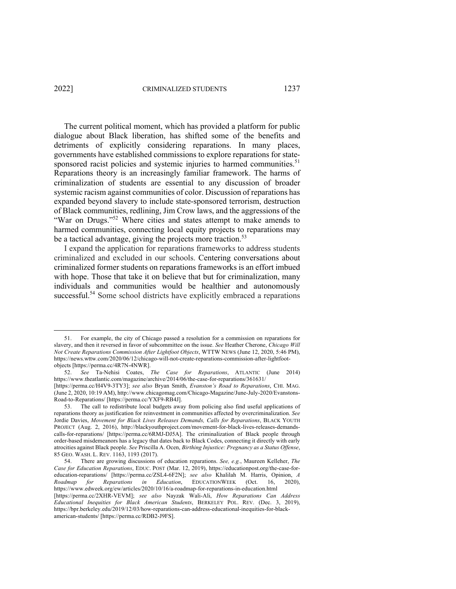The current political moment, which has provided a platform for public dialogue about Black liberation, has shifted some of the benefits and detriments of explicitly considering reparations. In many places, governments have established commissions to explore reparations for statesponsored racist policies and systemic injuries to harmed communities.<sup>51</sup> Reparations theory is an increasingly familiar framework. The harms of criminalization of students are essential to any discussion of broader systemic racism against communities of color. Discussion of reparations has expanded beyond slavery to include state-sponsored terrorism, destruction of Black communities, redlining, Jim Crow laws, and the aggressions of the "War on Drugs."<sup>52</sup> Where cities and states attempt to make amends to harmed communities, connecting local equity projects to reparations may be a tactical advantage, giving the projects more traction.<sup>53</sup>

I expand the application for reparations frameworks to address students criminalized and excluded in our schools. Centering conversations about criminalized former students on reparations frameworks is an effort imbued with hope. Those that take it on believe that but for criminalization, many individuals and communities would be healthier and autonomously successful.<sup>54</sup> Some school districts have explicitly embraced a reparations

<sup>51.</sup> For example, the city of Chicago passed a resolution for a commission on reparations for slavery, and then it reversed in favor of subcommittee on the issue. *See* Heather Cherone, *Chicago Will Not Create Reparations Commission After Lightfoot Objects*, WTTW NEWS (June 12, 2020, 5:46 PM), https://news.wttw.com/2020/06/12/chicago-will-not-create-reparations-commission-after-lightfootobjects [https://perma.cc/4R7N-4NWR].

<sup>52.</sup> *See* Ta-Nehisi Coates, *The Case for Reparations*, ATLANTIC (June 2014) https://www.theatlantic.com/magazine/archive/2014/06/the-case-for-reparations/361631/

<sup>[</sup>https://perma.cc/H4V9-3TY3]; *see also* Bryan Smith, *Evanston's Road to Reparations*, CHI. MAG. (June 2, 2020, 10:19 AM), http://www.chicagomag.com/Chicago-Magazine/June-July-2020/Evanstons-Road-to-Reparations/ [https://perma.cc/YXF9-RB4J].

<sup>53.</sup> The call to redistribute local budgets away from policing also find useful applications of reparations theory as justification for reinvestment in communities affected by overcriminalization. *See* Jordie Davies, *Movement for Black Lives Releases Demands, Calls for Reparations*, BLACK YOUTH PROJECT (Aug. 2, 2016), http://blackyouthproject.com/movement-for-black-lives-releases-demandscalls-for-reparations/ [https://perma.cc/6RMJ-DJ5A]. The criminalization of Black people through order-based misdemeanors has a legacy that dates back to Black Codes, connecting it directly with early atrocities against Black people. *See* Priscilla A. Ocen, *Birthing Injustice: Pregnancy as a Status Offense*, 85 GEO. WASH. L. REV. 1163, 1193 (2017).

<sup>54.</sup> There are growing discussions of education reparations. *See, e.g.*, Maureen Kelleher, *The Case for Education Reparations*, EDUC. POST (Mar. 12, 2019), https://educationpost.org/the-case-foreducation-reparations/ [https://perma.cc/ZSL4-6F2N]; *see also* Khalilah M. Harris, Opinion, *A Roadmap for Reparations in Education*, EDUCATIONWEEK (Oct. 16, https://www.edweek.org/ew/articles/2020/10/16/a-roadmap-for-reparations-in-education.html [https://perma.cc/2XHR-VEVM]; *see also* Nayzak Wali-Ali, *How Reparations Can Address Educational Inequities for Black American Students*, BERKELEY POL. REV. (Dec. 3, 2019), https://bpr.berkeley.edu/2019/12/03/how-reparations-can-address-educational-inequities-for-blackamerican-students/ [https://perma.cc/RDB2-J9FS].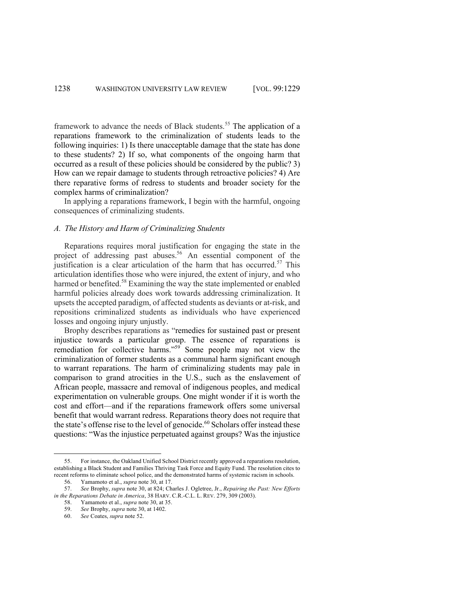framework to advance the needs of Black students.<sup>55</sup> The application of a reparations framework to the criminalization of students leads to the following inquiries: 1) Is there unacceptable damage that the state has done to these students? 2) If so, what components of the ongoing harm that occurred as a result of these policies should be considered by the public? 3) How can we repair damage to students through retroactive policies? 4) Are there reparative forms of redress to students and broader society for the complex harms of criminalization?

In applying a reparations framework, I begin with the harmful, ongoing consequences of criminalizing students.

#### *A. The History and Harm of Criminalizing Students*

Reparations requires moral justification for engaging the state in the project of addressing past abuses.<sup>56</sup> An essential component of the justification is a clear articulation of the harm that has occurred.<sup>57</sup> This articulation identifies those who were injured, the extent of injury, and who harmed or benefited.<sup>58</sup> Examining the way the state implemented or enabled harmful policies already does work towards addressing criminalization. It upsets the accepted paradigm, of affected students as deviants or at-risk, and repositions criminalized students as individuals who have experienced losses and ongoing injury unjustly.

Brophy describes reparations as "remedies for sustained past or present injustice towards a particular group. The essence of reparations is remediation for collective harms."<sup>59</sup> Some people may not view the criminalization of former students as a communal harm significant enough to warrant reparations. The harm of criminalizing students may pale in comparison to grand atrocities in the U.S., such as the enslavement of African people, massacre and removal of indigenous peoples, and medical experimentation on vulnerable groups. One might wonder if it is worth the cost and effort—and if the reparations framework offers some universal benefit that would warrant redress. Reparations theory does not require that the state's offense rise to the level of genocide.<sup>60</sup> Scholars offer instead these questions: "Was the injustice perpetuated against groups? Was the injustice

<sup>55.</sup> For instance, the Oakland Unified School District recently approved a reparations resolution, establishing a Black Student and Families Thriving Task Force and Equity Fund. The resolution cites to recent reforms to eliminate school police, and the demonstrated harms of systemic racism in schools.

<sup>56.</sup> Yamamoto et al., *supra* note 30, at 17.

<sup>57.</sup> *See* Brophy, *supra* note 30, at 824; Charles J. Ogletree, Jr., *Repairing the Past: New Efforts in the Reparations Debate in America*, 38 HARV. C.R.-C.L. L. REV. 279, 309 (2003).

<sup>58.</sup> Yamamoto et al., *supra* note 30, at 35.

<sup>59.</sup> *See* Brophy, *supra* note 30, at 1402.

<sup>60.</sup> *See* Coates, *supra* note 52.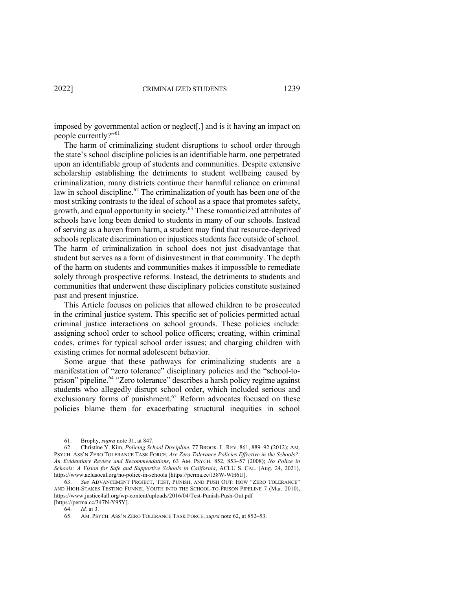imposed by governmental action or neglect[,] and is it having an impact on people currently?"<sup>61</sup>

The harm of criminalizing student disruptions to school order through the state's school discipline policies is an identifiable harm, one perpetrated upon an identifiable group of students and communities. Despite extensive scholarship establishing the detriments to student wellbeing caused by criminalization, many districts continue their harmful reliance on criminal law in school discipline.<sup>62</sup> The criminalization of youth has been one of the most striking contrasts to the ideal of school as a space that promotes safety, growth, and equal opportunity in society.<sup>63</sup> These romanticized attributes of schools have long been denied to students in many of our schools. Instead of serving as a haven from harm, a student may find that resource-deprived schools replicate discrimination or injustices students face outside of school. The harm of criminalization in school does not just disadvantage that student but serves as a form of disinvestment in that community. The depth of the harm on students and communities makes it impossible to remediate solely through prospective reforms. Instead, the detriments to students and communities that underwent these disciplinary policies constitute sustained past and present injustice.

This Article focuses on policies that allowed children to be prosecuted in the criminal justice system. This specific set of policies permitted actual criminal justice interactions on school grounds. These policies include: assigning school order to school police officers; creating, within criminal codes, crimes for typical school order issues; and charging children with existing crimes for normal adolescent behavior.

Some argue that these pathways for criminalizing students are a manifestation of "zero tolerance" disciplinary policies and the "school-toprison" pipeline.<sup>64</sup> "Zero tolerance" describes a harsh policy regime against students who allegedly disrupt school order, which included serious and exclusionary forms of punishment.<sup>65</sup> Reform advocates focused on these policies blame them for exacerbating structural inequities in school

<sup>61.</sup> Brophy, *supra* note 31, at 847.

<sup>62.</sup> Christine Y. Kim, *Policing School Discipline*, 77 BROOK. L. REV. 861, 889–92 (2012); AM. PSYCH. ASS'N ZERO TOLERANCE TASK FORCE, *Are Zero Tolerance Policies Effective in the Schools?: An Evidentiary Review and Recommendations*, 63 AM. PSYCH. 852, 853–57 (2008); *No Police in Schools: A Vision for Safe and Supportive Schools in California*, ACLU S. CAL. (Aug. 24, 2021), https://www.aclusocal.org/no-police-in-schools [https://perma.cc/J38W-WH6U].

<sup>63.</sup> *See* ADVANCEMENT PROJECT, TEST, PUNISH, AND PUSH OUT: HOW "ZERO TOLERANCE" AND HIGH-STAKES TESTING FUNNEL YOUTH INTO THE SCHOOL-TO-PRISON PIPELINE 7 (Mar. 2010), https://www.justice4all.org/wp-content/uploads/2016/04/Test-Punish-Push-Out.pdf [https://perma.cc/347N-Y95Y].

<sup>64.</sup> *Id.* at 3.

<sup>65.</sup> AM. PSYCH. ASS'N ZERO TOLERANCE TASK FORCE, *supra* note 62, at 852–53.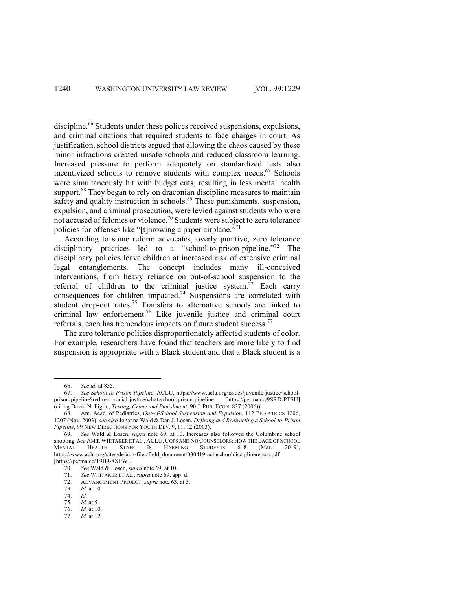discipline.<sup>66</sup> Students under these polices received suspensions, expulsions, and criminal citations that required students to face charges in court. As justification, school districts argued that allowing the chaos caused by these minor infractions created unsafe schools and reduced classroom learning. Increased pressure to perform adequately on standardized tests also incentivized schools to remove students with complex needs.<sup>67</sup> Schools were simultaneously hit with budget cuts, resulting in less mental health support.<sup>68</sup> They began to rely on draconian discipline measures to maintain safety and quality instruction in schools.<sup>69</sup> These punishments, suspension, expulsion, and criminal prosecution, were levied against students who were not accused of felonies or violence. <sup>70</sup> Students were subject to zero tolerance policies for offenses like "[t]hrowing a paper airplane."<sup>71</sup>

According to some reform advocates, overly punitive, zero tolerance disciplinary practices led to a "school-to-prison-pipeline."<sup>72</sup> The disciplinary policies leave children at increased risk of extensive criminal legal entanglements. The concept includes many ill-conceived interventions, from heavy reliance on out-of-school suspension to the referral of children to the criminal justice system.<sup> $\hat{\tau}$ 3</sup> Each carry consequences for children impacted.<sup>74</sup> Suspensions are correlated with student drop-out rates.<sup>75</sup> Transfers to alternative schools are linked to criminal law enforcement.<sup>76</sup> Like juvenile justice and criminal court referrals, each has tremendous impacts on future student success.<sup>77</sup>

The zero tolerance policies disproportionately affected students of color. For example, researchers have found that teachers are more likely to find suspension is appropriate with a Black student and that a Black student is a

<sup>66.</sup> *See id.* at 855.

<sup>67.</sup> *See School to Prison Pipeline*, ACLU, https://www.aclu.org/issues/juvenile-justice/schoolprison-pipeline?redirect=racial-justice/what-school-prison-pipeline (citing David N. Figlio, *Testing, Crime and Punishment*, 90 J. PUB. ECON. 837 (2006)).

<sup>68.</sup> Am. Acad. of Pediatrics, *Out-of-School Suspension and Expulsion,* 112 PEDIATRICS 1206, 1207 (Nov. 2003); *see also* Johanna Wald & Dan J. Losen, *Defining and Redirecting a School-to-Prison Pipeline*, 99 NEW DIRECTIONS FOR YOUTH DEV. 9, 11, 12 (2003).

<sup>69.</sup> *See* Wald & Losen, *supra* note 69, at 10. Increases also followed the Columbine school shooting. *See* AMIR WHITAKER ET AL., ACLU, COPS AND NO COUNSELORS: HOW THE LACK OF SCHOOL MENTAL HEALTH STAFF IS HARMING STUDENTS 6–8 (Mar. 2019), https://www.aclu.org/sites/default/files/field\_document/030419-acluschooldisciplinereport.pdf [https://perma.cc/T9B9-8XPW].<br>70. See Wald & Losen, st

<sup>70.</sup> *See* Wald & Losen, *supra* note 69, at 10.

<sup>71.</sup> *See* WHITAKER ET AL., *supra* note 69, app. d.

ADVANCEMENT PROJECT, *supra* note 63, at 3.

<sup>73.</sup> *Id.* at 10.

<sup>74.</sup> *Id.*

*Id.* at 5.

<sup>76.</sup> *Id.* at 10.

<sup>77.</sup> *Id.* at 12.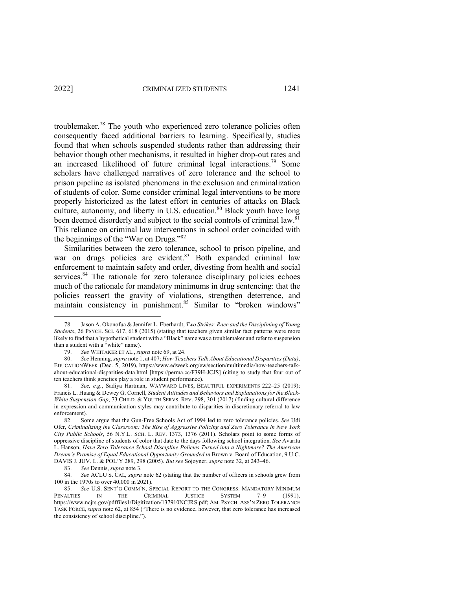troublemaker.<sup>78</sup> The youth who experienced zero tolerance policies often consequently faced additional barriers to learning. Specifically, studies found that when schools suspended students rather than addressing their behavior though other mechanisms, it resulted in higher drop-out rates and an increased likelihood of future criminal legal interactions.<sup>79</sup> Some scholars have challenged narratives of zero tolerance and the school to prison pipeline as isolated phenomena in the exclusion and criminalization of students of color. Some consider criminal legal interventions to be more properly historicized as the latest effort in centuries of attacks on Black culture, autonomy, and liberty in U.S. education.<sup>80</sup> Black youth have long been deemed disorderly and subject to the social controls of criminal law.<sup>81</sup> This reliance on criminal law interventions in school order coincided with the beginnings of the "War on Drugs."82

Similarities between the zero tolerance, school to prison pipeline, and war on drugs policies are evident. $83$  Both expanded criminal law enforcement to maintain safety and order, divesting from health and social services.<sup>84</sup> The rationale for zero tolerance disciplinary policies echoes much of the rationale for mandatory minimums in drug sentencing: that the policies reassert the gravity of violations, strengthen deterrence, and maintain consistency in punishment.<sup>85</sup> Similar to "broken windows"

<sup>78.</sup> Jason A. Okonofua & Jennifer L. Eberhardt, *Two Strikes: Race and the Disciplining of Young Students*, 26 PSYCH. SCI. 617, 618 (2015) (stating that teachers given similar fact patterns were more likely to find that a hypothetical student with a "Black" name was a troublemaker and refer to suspension than a student with a "white" name).

<sup>79.</sup> *See* WHITAKER ET AL., *supra* note 69, at 24.

<sup>80.</sup> *See* Henning, *supra* note 1, at 407; *How Teachers Talk About Educational Disparities (Data)*, EDUCATIONWEEK (Dec. 5, 2019), https://www.edweek.org/ew/section/multimedia/how-teachers-talkabout-educational-disparities-data.html [https://perma.cc/F39H-JCJS] (citing to study that four out of ten teachers think genetics play a role in student performance).

<sup>81.</sup> *See, e.g.*, Sadiya Hartman, WAYWARD LIVES, BEAUTIFUL EXPERIMENTS 222–25 (2019); Francis L. Huang & Dewey G. Cornell, *Student Attitudes and Behaviors and Explanations for the Black-White Suspension Gap*, 73 CHILD. & YOUTH SERVS. REV. 298, 301 (2017) (finding cultural difference in expression and communication styles may contribute to disparities in discretionary referral to law enforcement).

<sup>82.</sup> Some argue that the Gun-Free Schools Act of 1994 led to zero tolerance policies. *See* Udi Ofer, *Criminalizing the Classroom: The Rise of Aggressive Policing and Zero Tolerance in New York City Public Schools*, 56 N.Y.L. SCH. L. REV. 1373, 1376 (2011). Scholars point to some forms of oppressive discipline of students of color that date to the days following school integration. *See* Avarita L. Hanson, *Have Zero Tolerance School Discipline Policies Turned into a Nightmare? The American Dream's Promise of Equal Educational Opportunity Grounded in* Brown v. Board of Education, 9 U.C. DAVIS J. JUV. L. & POL'Y 289, 298 (2005). *But see* Sojoyner, *supra* note 32, at 243–46.

<sup>83.</sup> *See* Dennis, *supra* note 3.

<sup>84.</sup> *See* ACLU S. CAL, *supra* note 62 (stating that the number of officers in schools grew from 100 in the 1970s to over 40,000 in 2021).

<sup>85.</sup> *See* U.S. SENT'G COMM'N, SPECIAL REPORT TO THE CONGRESS: MANDATORY MINIMUM PENALTIES IN THE CRIMINAL JUSTICE SYSTEM 7-9 (1991), https://www.ncjrs.gov/pdffiles1/Digitization/137910NCJRS.pdf; AM. PSYCH. ASS'N ZERO TOLERANCE TASK FORCE, *supra* note 62, at 854 ("There is no evidence, however, that zero tolerance has increased the consistency of school discipline.").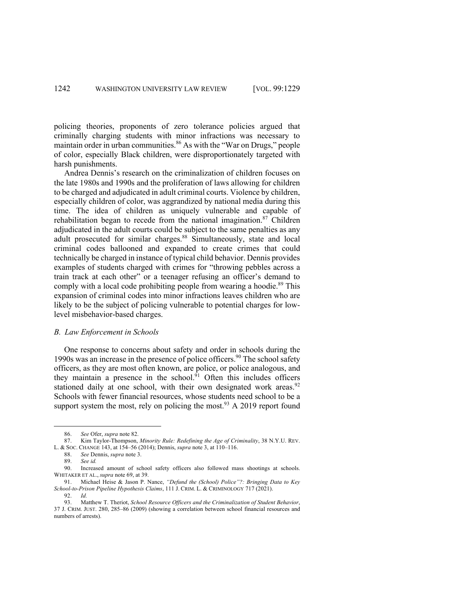policing theories, proponents of zero tolerance policies argued that criminally charging students with minor infractions was necessary to maintain order in urban communities.<sup>86</sup> As with the "War on Drugs," people of color, especially Black children, were disproportionately targeted with harsh punishments.

Andrea Dennis's research on the criminalization of children focuses on the late 1980s and 1990s and the proliferation of laws allowing for children to be charged and adjudicated in adult criminal courts. Violence by children, especially children of color, was aggrandized by national media during this time. The idea of children as uniquely vulnerable and capable of rehabilitation began to recede from the national imagination.<sup>87</sup> Children adjudicated in the adult courts could be subject to the same penalties as any adult prosecuted for similar charges.<sup>88</sup> Simultaneously, state and local criminal codes ballooned and expanded to create crimes that could technically be charged in instance of typical child behavior. Dennis provides examples of students charged with crimes for "throwing pebbles across a train track at each other" or a teenager refusing an officer's demand to comply with a local code prohibiting people from wearing a hoodie.<sup>89</sup> This expansion of criminal codes into minor infractions leaves children who are likely to be the subject of policing vulnerable to potential charges for lowlevel misbehavior-based charges.

### *B. Law Enforcement in Schools*

One response to concerns about safety and order in schools during the 1990s was an increase in the presence of police officers.<sup>90</sup> The school safety officers, as they are most often known, are police, or police analogous, and they maintain a presence in the school. $\overline{91}$  Often this includes officers stationed daily at one school, with their own designated work areas.<sup>92</sup> Schools with fewer financial resources, whose students need school to be a support system the most, rely on policing the most.<sup>93</sup> A 2019 report found

<sup>86.</sup> *See* Ofer, *supra* note 82.

<sup>87.</sup> Kim Taylor-Thompson, *Minority Rule: Redefining the Age of Criminality*, 38 N.Y.U. REV. L. & SOC. CHANGE 143, at 154–56 (2014); Dennis, *supra* note 3, at 110–116.

<sup>88.</sup> *See* Dennis, *supra* note 3.

<sup>89.</sup> *See id.*

<sup>90.</sup> Increased amount of school safety officers also followed mass shootings at schools. WHITAKER ET AL., *supra* note 69, at 39.

<sup>91.</sup> Michael Heise & Jason P. Nance, *"Defund the (School) Police"?: Bringing Data to Key School-to-Prison Pipeline Hypothesis Claims*, 111 J. CRIM. L. & CRIMINOLOGY 717 (2021).

<sup>92.</sup> *Id.*

<sup>93.</sup> Matthew T. Theriot, *School Resource Officers and the Criminalization of Student Behavior*, 37 J. CRIM. JUST. 280, 285–86 (2009) (showing a correlation between school financial resources and numbers of arrests).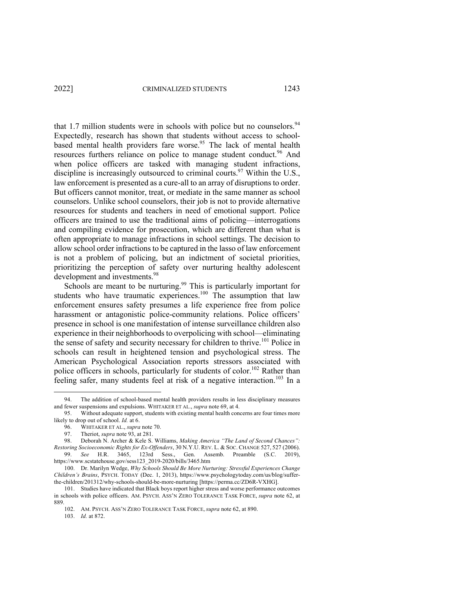that 1.7 million students were in schools with police but no counselors.<sup>94</sup> Expectedly, research has shown that students without access to schoolbased mental health providers fare worse.<sup>95</sup> The lack of mental health resources furthers reliance on police to manage student conduct.<sup>96</sup> And when police officers are tasked with managing student infractions, discipline is increasingly outsourced to criminal courts.<sup>97</sup> Within the U.S., law enforcement is presented as a cure-all to an array of disruptions to order. But officers cannot monitor, treat, or mediate in the same manner as school counselors. Unlike school counselors, their job is not to provide alternative resources for students and teachers in need of emotional support. Police officers are trained to use the traditional aims of policing—interrogations and compiling evidence for prosecution, which are different than what is often appropriate to manage infractions in school settings. The decision to allow school order infractions to be captured in the lasso of law enforcement is not a problem of policing, but an indictment of societal priorities, prioritizing the perception of safety over nurturing healthy adolescent development and investments.<sup>98</sup>

Schools are meant to be nurturing.<sup>99</sup> This is particularly important for students who have traumatic experiences.<sup>100</sup> The assumption that law enforcement ensures safety presumes a life experience free from police harassment or antagonistic police-community relations. Police officers' presence in school is one manifestation of intense surveillance children also experience in their neighborhoods to overpolicing with school—eliminating the sense of safety and security necessary for children to thrive.<sup>101</sup> Police in schools can result in heightened tension and psychological stress. The American Psychological Association reports stressors associated with police officers in schools, particularly for students of color.<sup>102</sup> Rather than feeling safer, many students feel at risk of a negative interaction.<sup>103</sup> In a

103. *Id.* at 872.

<sup>94.</sup> The addition of school-based mental health providers results in less disciplinary measures and fewer suspensions and expulsions. WHITAKER ET AL., *supra* note 69, at 4.

<sup>95.</sup> Without adequate support, students with existing mental health concerns are four times more likely to drop out of school. *Id.* at 6.

<sup>96.</sup> WHITAKER ET AL., *supra* note 70.

<sup>97.</sup> Theriot, *supra* note 93, at 281.

<sup>98.</sup> Deborah N. Archer & Kele S. Williams, *Making America "The Land of Second Chances":* 

*Restoring Socioeconomic Rights for Ex-Offenders*, 30 N.Y.U. REV. L. & SOC. CHANGE 527, 527 (2006). 99. *See* H.R. 3465, 123rd Sess., Gen. Assemb. Preamble (S.C. 2019), https://www.scstatehouse.gov/sess123\_2019-2020/bills/3465.htm

<sup>100.</sup> Dr. Marilyn Wedge, *Why Schools Should Be More Nurturing: Stressful Experiences Change Children's Brains*, PSYCH. TODAY (Dec. 1, 2013), https://www.psychologytoday.com/us/blog/sufferthe-children/201312/why-schools-should-be-more-nurturing [https://perma.cc/ZD6R-VXHG].

<sup>101.</sup> Studies have indicated that Black boys report higher stress and worse performance outcomes in schools with police officers. AM. PSYCH. ASS'N ZERO TOLERANCE TASK FORCE, *supra* note 62, at 889.

<sup>102.</sup> AM. PSYCH. ASS'N ZERO TOLERANCE TASK FORCE, *supra* note 62, at 890.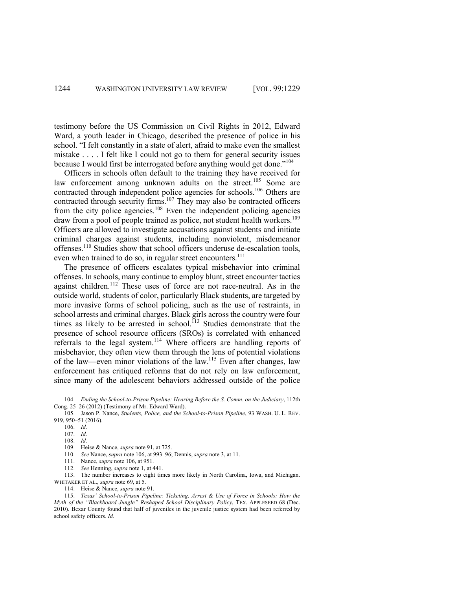testimony before the US Commission on Civil Rights in 2012, Edward Ward, a youth leader in Chicago, described the presence of police in his school. "I felt constantly in a state of alert, afraid to make even the smallest mistake . . . . I felt like I could not go to them for general security issues because I would first be interrogated before anything would get done."<sup>104</sup>

Officers in schools often default to the training they have received for law enforcement among unknown adults on the street.<sup>105</sup> Some are contracted through independent police agencies for schools.<sup>106</sup> Others are contracted through security firms.<sup>107</sup> They may also be contracted officers from the city police agencies.<sup>108</sup> Even the independent policing agencies draw from a pool of people trained as police, not student health workers.<sup>109</sup> Officers are allowed to investigate accusations against students and initiate criminal charges against students, including nonviolent, misdemeanor offenses.<sup>110</sup> Studies show that school officers underuse de-escalation tools, even when trained to do so, in regular street encounters.<sup>111</sup>

The presence of officers escalates typical misbehavior into criminal offenses. In schools, many continue to employ blunt, street encounter tactics against children.<sup>112</sup> These uses of force are not race-neutral. As in the outside world, students of color, particularly Black students, are targeted by more invasive forms of school policing, such as the use of restraints, in school arrests and criminal charges. Black girls across the country were four times as likely to be arrested in school.<sup> $113$ </sup> Studies demonstrate that the presence of school resource officers (SROs) is correlated with enhanced referrals to the legal system.<sup>114</sup> Where officers are handling reports of misbehavior, they often view them through the lens of potential violations of the law—even minor violations of the law.115 Even after changes, law enforcement has critiqued reforms that do not rely on law enforcement, since many of the adolescent behaviors addressed outside of the police

<sup>104.</sup> *Ending the School-to-Prison Pipeline: Hearing Before the S. Comm. on the Judiciary*, 112th Cong. 25–26 (2012) (Testimony of Mr. Edward Ward).

<sup>105.</sup> Jason P. Nance, *Students, Police, and the School-to-Prison Pipeline*, 93 WASH. U. L. REV. 919, 950–51 (2016).

<sup>106.</sup> *Id.*

<sup>107.</sup> *Id.* 

<sup>108.</sup> *Id.*

<sup>109.</sup> Heise & Nance, *supra* note 91, at 725.

<sup>110.</sup> *See* Nance, *supra* note 106, at 993–96; Dennis, *supra* note 3, at 11.

<sup>111.</sup> Nance, *supra* note 106, at 951.

<sup>112.</sup> *See* Henning, *supra* note 1, at 441.

<sup>113.</sup> The number increases to eight times more likely in North Carolina, Iowa, and Michigan. WHITAKER ET AL., *supra* note 69, at 5.

<sup>114.</sup> Heise & Nance, *supra* note 91.

<sup>115.</sup> *Texas' School-to-Prison Pipeline: Ticketing, Arrest & Use of Force in Schools: How the Myth of the "Blackboard Jungle" Reshaped School Disciplinary Policy*, TEX. APPLESEED 68 (Dec. 2010). Bexar County found that half of juveniles in the juvenile justice system had been referred by school safety officers. *Id.*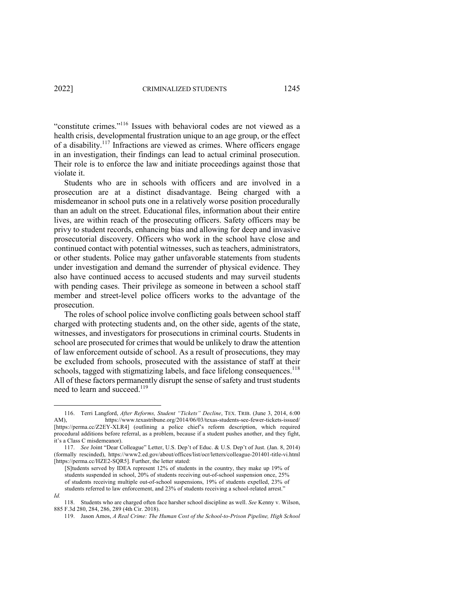"constitute crimes."116 Issues with behavioral codes are not viewed as a health crisis, developmental frustration unique to an age group, or the effect of a disability.<sup>117</sup> Infractions are viewed as crimes. Where officers engage in an investigation, their findings can lead to actual criminal prosecution. Their role is to enforce the law and initiate proceedings against those that violate it.

Students who are in schools with officers and are involved in a prosecution are at a distinct disadvantage. Being charged with a misdemeanor in school puts one in a relatively worse position procedurally than an adult on the street. Educational files, information about their entire lives, are within reach of the prosecuting officers. Safety officers may be privy to student records, enhancing bias and allowing for deep and invasive prosecutorial discovery. Officers who work in the school have close and continued contact with potential witnesses, such as teachers, administrators, or other students. Police may gather unfavorable statements from students under investigation and demand the surrender of physical evidence. They also have continued access to accused students and may surveil students with pending cases. Their privilege as someone in between a school staff member and street-level police officers works to the advantage of the prosecution.

The roles of school police involve conflicting goals between school staff charged with protecting students and, on the other side, agents of the state, witnesses, and investigators for prosecutions in criminal courts. Students in school are prosecuted for crimes that would be unlikely to draw the attention of law enforcement outside of school. As a result of prosecutions, they may be excluded from schools, prosecuted with the assistance of staff at their schools, tagged with stigmatizing labels, and face lifelong consequences.<sup>118</sup> All of these factors permanently disrupt the sense of safety and trust students need to learn and succeed.<sup>119</sup>

*Id.*

<sup>116.</sup> Terri Langford, *After Reforms, Student "Tickets" Decline*, TEX. TRIB. (June 3, 2014, 6:00 AM), https://www.texastribune.org/2014/06/03/texas-students-see-fewer-tickets-issued/ [https://perma.cc/Z2EY-XLR4] (outlining a police chief's reform description, which required procedural additions before referral, as a problem, because if a student pushes another, and they fight, it's a Class C misdemeanor).

<sup>117.</sup> *See* Joint "Dear Colleague" Letter, U.S. Dep't of Educ. & U.S. Dep't of Just. (Jan. 8, 2014) (formally rescinded), https://www2.ed.gov/about/offices/list/ocr/letters/colleague-201401-title-vi.html [https://perma.cc/HZE2-SQR5]. Further, the letter stated:

<sup>[</sup>S]tudents served by IDEA represent 12% of students in the country, they make up 19% of students suspended in school, 20% of students receiving out-of-school suspension once, 25% of students receiving multiple out-of-school suspensions, 19% of students expelled, 23% of students referred to law enforcement, and 23% of students receiving a school-related arrest."

<sup>118.</sup> Students who are charged often face harsher school discipline as well. *See* Kenny v. Wilson, 885 F.3d 280, 284, 286, 289 (4th Cir. 2018).

<sup>119.</sup> Jason Amos, *A Real Crime: The Human Cost of the School-to-Prison Pipeline, High School*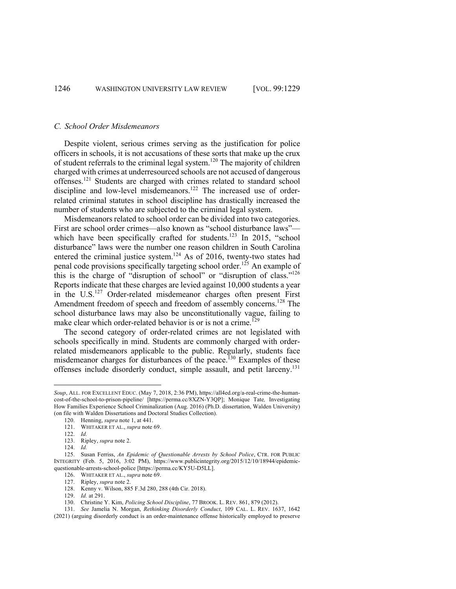#### *C. School Order Misdemeanors*

Despite violent, serious crimes serving as the justification for police officers in schools, it is not accusations of these sorts that make up the crux of student referrals to the criminal legal system.120 The majority of children charged with crimes at underresourced schools are not accused of dangerous offenses.121 Students are charged with crimes related to standard school discipline and low-level misdemeanors.<sup>122</sup> The increased use of orderrelated criminal statutes in school discipline has drastically increased the number of students who are subjected to the criminal legal system.

Misdemeanors related to school order can be divided into two categories. First are school order crimes—also known as "school disturbance laws" which have been specifically crafted for students.<sup>123</sup> In 2015, "school disturbance" laws were the number one reason children in South Carolina entered the criminal justice system.<sup>124</sup> As of 2016, twenty-two states had penal code provisions specifically targeting school order.<sup>125</sup> An example of this is the charge of "disruption of school" or "disruption of class."126 Reports indicate that these charges are levied against 10,000 students a year in the U.S.<sup>127</sup> Order-related misdemeanor charges often present First Amendment freedom of speech and freedom of assembly concerns.<sup>128</sup> The school disturbance laws may also be unconstitutionally vague, failing to make clear which order-related behavior is or is not a crime.<sup>129</sup>

The second category of order-related crimes are not legislated with schools specifically in mind. Students are commonly charged with orderrelated misdemeanors applicable to the public. Regularly, students face misdemeanor charges for disturbances of the peace.<sup>130</sup> Examples of these offenses include disorderly conduct, simple assault, and petit larceny.<sup>131</sup>

*Soup*, ALL. FOR EXCELLENT EDUC. (May 7, 2018, 2:36 PM), https://all4ed.org/a-real-crime-the-humancost-of-the-school-to-prison-pipeline/ [https://perma.cc/8XZN-Y3QP]; Monique Tate*,* Investigating How Families Experience School Criminalization (Aug. 2016) (Ph.D. dissertation, Walden University) (on file with Walden Dissertations and Doctoral Studies Collection).

<sup>120.</sup> Henning, *supra* note 1, at 441.

<sup>121.</sup> WHITAKER ET AL., *supra* note 69.

<sup>122.</sup> *Id.*

<sup>123.</sup> Ripley, *supra* note 2.

<sup>124.</sup> *Id.*

<sup>125.</sup> Susan Ferriss, *An Epidemic of Questionable Arrests by School Police*, CTR. FOR PUBLIC INTEGRITY (Feb. 5, 2016, 3:02 PM), https://www.publicintegrity.org/2015/12/10/18944/epidemicquestionable-arrests-school-police [https://perma.cc/KY5U-D5LL].

<sup>126.</sup> WHITAKER ET AL., *supra* note 69.

<sup>127.</sup> Ripley, *supra* note 2.

<sup>128.</sup> Kenny v. Wilson, 885 F.3d 280, 288 (4th Cir. 2018).

<sup>129.</sup> *Id.* at 291.

<sup>130.</sup> Christine Y. Kim, *Policing School Discipline*, 77 BROOK. L. REV. 861, 879 (2012).

<sup>131.</sup> *See* Jamelia N. Morgan, *Rethinking Disorderly Conduct*, 109 CAL. L. REV. 1637, 1642

<sup>(2021) (</sup>arguing disorderly conduct is an order-maintenance offense historically employed to preserve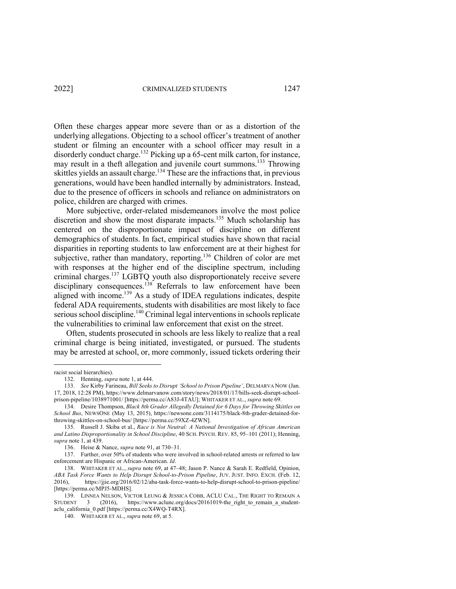Often these charges appear more severe than or as a distortion of the underlying allegations. Objecting to a school officer's treatment of another student or filming an encounter with a school officer may result in a disorderly conduct charge.<sup>132</sup> Picking up a 65-cent milk carton, for instance, may result in a theft allegation and juvenile court summons.<sup>133</sup> Throwing skittles yields an assault charge.<sup>134</sup> These are the infractions that, in previous generations, would have been handled internally by administrators. Instead, due to the presence of officers in schools and reliance on administrators on police, children are charged with crimes.

More subjective, order-related misdemeanors involve the most police discretion and show the most disparate impacts.<sup>135</sup> Much scholarship has centered on the disproportionate impact of discipline on different demographics of students. In fact, empirical studies have shown that racial disparities in reporting students to law enforcement are at their highest for subjective, rather than mandatory, reporting.<sup>136</sup> Children of color are met with responses at the higher end of the discipline spectrum, including criminal charges.137 LGBTQ youth also disproportionately receive severe disciplinary consequences.<sup>138</sup> Referrals to law enforcement have been aligned with income.<sup>139</sup> As a study of IDEA regulations indicates, despite federal ADA requirements, students with disabilities are most likely to face serious school discipline.<sup>140</sup> Criminal legal interventions in schools replicate the vulnerabilities to criminal law enforcement that exist on the street.

Often, students prosecuted in schools are less likely to realize that a real criminal charge is being initiated, investigated, or pursued. The students may be arrested at school, or, more commonly, issued tickets ordering their

racist social hierarchies).

<sup>132.</sup> Henning, *supra* note 1, at 444.

<sup>133.</sup> *See* Kirby Farineau, *Bill Seeks to Disrupt 'School to Prison Pipeline'*, DELMARVA NOW (Jan. 17, 2018, 12:28 PM), https://www.delmarvanow.com/story/news/2018/01/17/bills-seek-disrupt-schoolprison-pipeline/1038971001/ [https://perma.cc/A83J-4TAU]; WHITAKER ET AL., *supra* note 69.

<sup>134.</sup> Desire Thompson, *Black 8th Grader Allegedly Detained for 6 Days for Throwing Skittles on School Bus*, NEWSONE (May 13, 2015), https://newsone.com/3114175/black-8th-grader-detained-forthrowing-skittles-on-school-bus/ [https://perma.cc/59XZ-4ZWN].

<sup>135.</sup> Russell J. Skiba et al., *Race is Not Neutral: A National Investigation of African American and Latino Disproportionality in School Discipline*, 40 SCH. PSYCH. REV. 85, 95–101 (2011); Henning, *supra* note 1, at 439.

<sup>136.</sup> Heise & Nance, *supra* note 91, at 730–31.

<sup>137.</sup> Further, over 50% of students who were involved in school-related arrests or referred to law enforcement are Hispanic or African-American. *Id.*

<sup>138.</sup> WHITAKER ET AL., *supra* note 69, at 47–48; Jason P. Nance & Sarah E. Redfield, Opinion, *ABA Task Force Wants to Help Disrupt School-to-Prison Pipeline*, JUV. JUST. INFO. EXCH. (Feb. 12, 2016), https://jjie.org/2016/02/12/aba-task-force-wants-to-help-disrupt-school-to-prison-pipeline/ [https://perma.cc/MPJ5-MDHS].

<sup>139.</sup> LINNEA NELSON, VICTOR LEUNG & JESSICA COBB, ACLU CAL., THE RIGHT TO REMAIN A STUDENT 3 (2016), https://www.aclunc.org/docs/20161019-the\_right\_to\_remain\_a\_studentaclu\_california\_0.pdf [https://perma.cc/X4WQ-T4RX].

<sup>140.</sup> WHITAKER ET AL., *supra* note 69, at 5.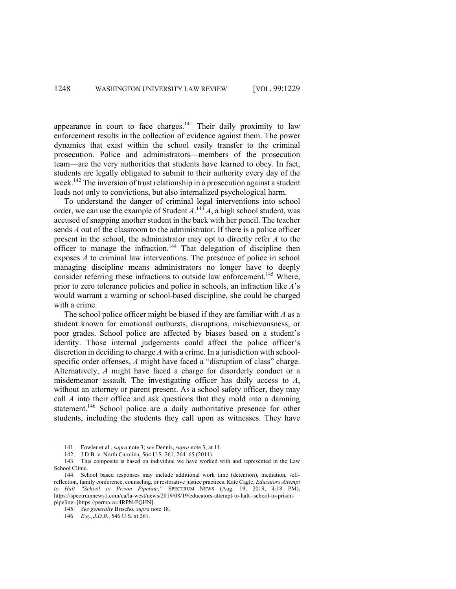appearance in court to face charges.<sup>141</sup> Their daily proximity to law enforcement results in the collection of evidence against them. The power dynamics that exist within the school easily transfer to the criminal prosecution. Police and administrators—members of the prosecution team—are the very authorities that students have learned to obey. In fact, students are legally obligated to submit to their authority every day of the week.142 The inversion of trust relationship in a prosecution against a student leads not only to convictions, but also internalized psychological harm.

To understand the danger of criminal legal interventions into school order, we can use the example of Student  $A^{143}A$ , a high school student, was accused of snapping another student in the back with her pencil. The teacher sends *A* out of the classroom to the administrator. If there is a police officer present in the school, the administrator may opt to directly refer *A* to the officer to manage the infraction.<sup>144</sup> That delegation of discipline then exposes *A* to criminal law interventions. The presence of police in school managing discipline means administrators no longer have to deeply consider referring these infractions to outside law enforcement.<sup>145</sup> Where, prior to zero tolerance policies and police in schools, an infraction like *A*'s would warrant a warning or school-based discipline, she could be charged with a crime.

The school police officer might be biased if they are familiar with *A* as a student known for emotional outbursts, disruptions, mischievousness, or poor grades. School police are affected by biases based on a student's identity. Those internal judgements could affect the police officer's discretion in deciding to charge *A* with a crime. In a jurisdiction with schoolspecific order offenses, *A* might have faced a "disruption of class" charge. Alternatively, *A* might have faced a charge for disorderly conduct or a misdemeanor assault. The investigating officer has daily access to *A*, without an attorney or parent present. As a school safety officer, they may call *A* into their office and ask questions that they mold into a damning statement.<sup>146</sup> School police are a daily authoritative presence for other students, including the students they call upon as witnesses. They have

<sup>141.</sup> Fowler et al., *supra* note 3; *see* Dennis, *supra* note 3, at 11.

<sup>142.</sup> J.D.B. v. North Carolina, 564 U.S. 261, 264–65 (2011).

<sup>143.</sup> This composite is based on individual we have worked with and represented in the Law School Clinic.

<sup>144.</sup> School based responses may include additional work time (detention), mediation, selfreflection, family conference, counseling, or restorative justice practices. Kate Cagle, *Educators Attempt to Halt "School to Prison Pipeline*,*"* SPECTRUM NEWS (Aug. 19, 2019, 4:18 PM), https://spectrumnews1.com/ca/la-west/news/2019/08/19/educators-attempt-to-halt--school-to-prisonpipeline- [https://perma.cc/4RPN-FQHN].

<sup>145.</sup> *See generally* Briseño, *supra* note 18.

<sup>146.</sup> *E.g.*, *J.D.B.*, 546 U.S. at 261.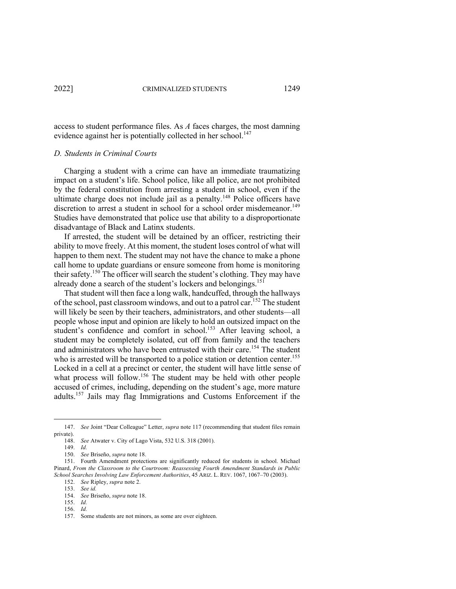access to student performance files. As *A* faces charges, the most damning evidence against her is potentially collected in her school.<sup>147</sup>

#### *D. Students in Criminal Courts*

Charging a student with a crime can have an immediate traumatizing impact on a student's life. School police, like all police, are not prohibited by the federal constitution from arresting a student in school, even if the ultimate charge does not include jail as a penalty.<sup>148</sup> Police officers have discretion to arrest a student in school for a school order misdemeanor.<sup>149</sup> Studies have demonstrated that police use that ability to a disproportionate disadvantage of Black and Latinx students.

If arrested, the student will be detained by an officer, restricting their ability to move freely. At this moment, the student loses control of what will happen to them next. The student may not have the chance to make a phone call home to update guardians or ensure someone from home is monitoring their safety.<sup>150</sup> The officer will search the student's clothing. They may have already done a search of the student's lockers and belongings.<sup>151</sup>

That student will then face a long walk, handcuffed, through the hallways of the school, past classroom windows, and out to a patrol car.<sup>152</sup> The student will likely be seen by their teachers, administrators, and other students—all people whose input and opinion are likely to hold an outsized impact on the student's confidence and comfort in school.<sup>153</sup> After leaving school, a student may be completely isolated, cut off from family and the teachers and administrators who have been entrusted with their care.<sup>154</sup> The student who is arrested will be transported to a police station or detention center.<sup>155</sup> Locked in a cell at a precinct or center, the student will have little sense of what process will follow.<sup>156</sup> The student may be held with other people accused of crimes, including, depending on the student's age, more mature adults.157 Jails may flag Immigrations and Customs Enforcement if the

<sup>147.</sup> *See* Joint "Dear Colleague" Letter, *supra* note 117 (recommending that student files remain private).

<sup>148.</sup> *See* Atwater v. City of Lago Vista, 532 U.S. 318 (2001).

<sup>149.</sup> *Id.*

<sup>150.</sup> *See* Briseño, *supra* note 18.

<sup>151.</sup> Fourth Amendment protections are significantly reduced for students in school. Michael Pinard, *From the Classroom to the Courtroom: Reassessing Fourth Amendment Standards in Public School Searches Involving Law Enforcement Authorities*, 45 ARIZ. L. REV. 1067, 1067–70 (2003).

<sup>152.</sup> *See* Ripley, *supra* note 2.

<sup>153.</sup> *See id.*

<sup>154.</sup> *See* Briseño, *supra* note 18.

<sup>155.</sup> *Id.*

<sup>156.</sup> *Id.*

<sup>157.</sup> Some students are not minors, as some are over eighteen.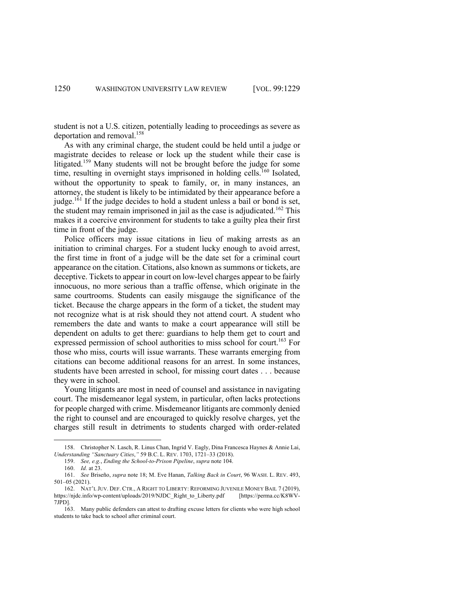student is not a U.S. citizen, potentially leading to proceedings as severe as deportation and removal.<sup>158</sup>

As with any criminal charge, the student could be held until a judge or magistrate decides to release or lock up the student while their case is litigated.<sup>159</sup> Many students will not be brought before the judge for some time, resulting in overnight stays imprisoned in holding cells.<sup>160</sup> Isolated, without the opportunity to speak to family, or, in many instances, an attorney, the student is likely to be intimidated by their appearance before a judge.<sup>161</sup> If the judge decides to hold a student unless a bail or bond is set, the student may remain imprisoned in jail as the case is adjudicated.<sup>162</sup> This makes it a coercive environment for students to take a guilty plea their first time in front of the judge.

Police officers may issue citations in lieu of making arrests as an initiation to criminal charges. For a student lucky enough to avoid arrest, the first time in front of a judge will be the date set for a criminal court appearance on the citation. Citations, also known as summons or tickets, are deceptive. Tickets to appear in court on low-level charges appear to be fairly innocuous, no more serious than a traffic offense, which originate in the same courtrooms. Students can easily misgauge the significance of the ticket. Because the charge appears in the form of a ticket, the student may not recognize what is at risk should they not attend court. A student who remembers the date and wants to make a court appearance will still be dependent on adults to get there: guardians to help them get to court and expressed permission of school authorities to miss school for court.<sup>163</sup> For those who miss, courts will issue warrants. These warrants emerging from citations can become additional reasons for an arrest. In some instances, students have been arrested in school, for missing court dates . . . because they were in school.

Young litigants are most in need of counsel and assistance in navigating court. The misdemeanor legal system, in particular, often lacks protections for people charged with crime. Misdemeanor litigants are commonly denied the right to counsel and are encouraged to quickly resolve charges, yet the charges still result in detriments to students charged with order-related

<sup>158.</sup> Christopher N. Lasch, R. Linus Chan, Ingrid V. Eagly, Dina Francesca Haynes & Annie Lai, *Understanding "Sanctuary Cities*,*"* 59 B.C. L. REV. 1703, 1721–33 (2018).

<sup>159.</sup> *See, e.g.*, *Ending the School-to-Prison Pipeline*, *supra* note 104.

<sup>160.</sup> *Id.* at 23.

<sup>161.</sup> *See* Briseño, *supra* note 18; M. Eve Hanan, *Talking Back in Court*, 96 WASH. L. REV. 493, 501–05 (2021).

<sup>162.</sup> NAT'L JUV. DEF. CTR., A RIGHT TO LIBERTY: REFORMING JUVENILE MONEY BAIL 7 (2019), https://njdc.info/wp-content/uploads/2019/NJDC\_Right\_to\_Liberty.pdf [https://perma.cc/K8WV-7JPD].

<sup>163.</sup> Many public defenders can attest to drafting excuse letters for clients who were high school students to take back to school after criminal court.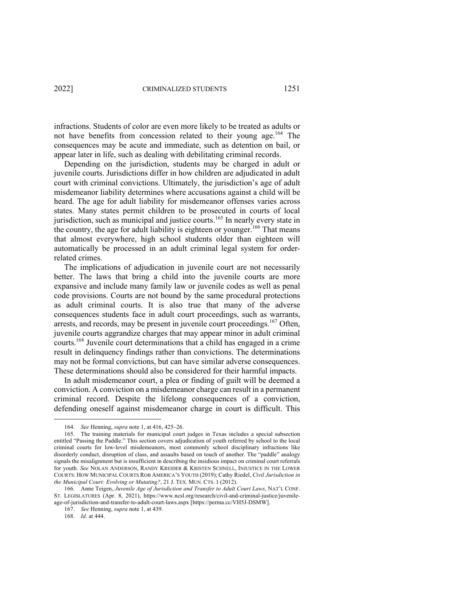infractions. Students of color are even more likely to be treated as adults or not have benefits from concession related to their young age.<sup>164</sup> The consequences may be acute and immediate, such as detention on bail, or appear later in life, such as dealing with debilitating criminal records.

Depending on the jurisdiction, students may be charged in adult or juvenile courts. Jurisdictions differ in how children are adjudicated in adult court with criminal convictions. Ultimately, the jurisdiction's age of adult misdemeanor liability determines where accusations against a child will be heard. The age for adult liability for misdemeanor offenses varies across states. Many states permit children to be prosecuted in courts of local jurisdiction, such as municipal and justice courts. <sup>165</sup> In nearly every state in the country, the age for adult liability is eighteen or younger.<sup>166</sup> That means that almost everywhere, high school students older than eighteen will automatically be processed in an adult criminal legal system for orderrelated crimes.

The implications of adjudication in juvenile court are not necessarily better. The laws that bring a child into the juvenile courts are more expansive and include many family law or juvenile codes as well as penal code provisions. Courts are not bound by the same procedural protections as adult criminal courts. It is also true that many of the adverse consequences students face in adult court proceedings, such as warrants, arrests, and records, may be present in juvenile court proceedings.<sup>167</sup> Often. juvenile courts aggrandize charges that may appear minor in adult criminal courts.168 Juvenile court determinations that a child has engaged in a crime result in delinquency findings rather than convictions. The determinations may not be formal convictions, but can have similar adverse consequences. These determinations should also be considered for their harmful impacts.

In adult misdemeanor court, a plea or finding of guilt will be deemed a conviction. A conviction on a misdemeanor charge can result in a permanent criminal record. Despite the lifelong consequences of a conviction, defending oneself against misdemeanor charge in court is difficult. This

168. *Id.* at 444.

<sup>164.</sup> *See* Henning, *supra* note 1, at 416, 425–26.

<sup>165.</sup> The training materials for municipal court judges in Texas includes a special subsection entitled "Passing the Paddle." This section covers adjudication of youth referred by school to the local criminal courts for low-level misdemeanors, most commonly school disciplinary infractions like disorderly conduct, disruption of class, and assaults based on touch of another. The "paddle" analogy signals the misalignment but is insufficient in describing the insidious impact on criminal court referrals for youth. *See* NOLAN ANDERSON, RANDY KREIDER & KRISTEN SCHNELL, INJUSTICE IN THE LOWER COURTS: HOW MUNICIPAL COURTS ROB AMERICA'S YOUTH (2019); Cathy Riedel, *Civil Jurisdiction in the Municipal Court: Evolving or Mutating?*, 21 J. TEX. MUN. CTS. 1 (2012).

<sup>166.</sup> Anne Teigen, *Juvenile Age of Jurisdiction and Transfer to Adult Court Laws*, NAT'L CONF. ST. LEGISLATURES (Apr. 8, 2021), https://www.ncsl.org/research/civil-and-criminal-justice/juvenileage-of-jurisdiction-and-transfer-to-adult-court-laws.aspx [https://perma.cc/VH5J-DSMW].

<sup>167.</sup> *See* Henning, *supra* note 1, at 439.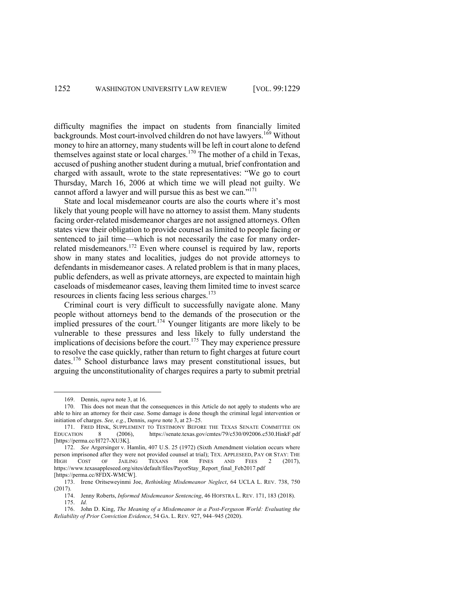difficulty magnifies the impact on students from financially limited backgrounds. Most court-involved children do not have lawyers.<sup>169</sup> Without money to hire an attorney, many students will be left in court alone to defend themselves against state or local charges.<sup>170</sup> The mother of a child in Texas, accused of pushing another student during a mutual, brief confrontation and charged with assault, wrote to the state representatives: "We go to court Thursday, March 16, 2006 at which time we will plead not guilty. We cannot afford a lawyer and will pursue this as best we can."<sup>171</sup>

State and local misdemeanor courts are also the courts where it's most likely that young people will have no attorney to assist them. Many students facing order-related misdemeanor charges are not assigned attorneys. Often states view their obligation to provide counsel as limited to people facing or sentenced to jail time—which is not necessarily the case for many orderrelated misdemeanors.<sup>172</sup> Even where counsel is required by law, reports show in many states and localities, judges do not provide attorneys to defendants in misdemeanor cases. A related problem is that in many places, public defenders, as well as private attorneys, are expected to maintain high caseloads of misdemeanor cases, leaving them limited time to invest scarce resources in clients facing less serious charges.<sup>173</sup>

Criminal court is very difficult to successfully navigate alone. Many people without attorneys bend to the demands of the prosecution or the implied pressures of the court.<sup>174</sup> Younger litigants are more likely to be vulnerable to these pressures and less likely to fully understand the implications of decisions before the court.<sup>175</sup> They may experience pressure to resolve the case quickly, rather than return to fight charges at future court dates.<sup>176</sup> School disturbance laws may present constitutional issues, but arguing the unconstitutionality of charges requires a party to submit pretrial

<sup>169.</sup> Dennis, *supra* note 3, at 16.

<sup>170.</sup> This does not mean that the consequences in this Article do not apply to students who are able to hire an attorney for their case. Some damage is done though the criminal legal intervention or initiation of charges. *See, e.g.*, Dennis, *supra* note 3, at 23–25.

<sup>171.</sup> FRED HINK, SUPPLEMENT TO TESTIMONY BEFORE THE TEXAS SENATE COMMITTEE ON EDUCATION 8 (2006), https://senate.texas.gov/cmtes/79/c530/092006.c530.HinkF.pdf [https://perma.cc/H727-XU3K].

<sup>172.</sup> *See* Argersinger v. Hamlin, 407 U.S. 25 (1972) (Sixth Amendment violation occurs where person imprisoned after they were not provided counsel at trial); TEX. APPLESEED, PAY OR STAY: THE HIGH COST OF JAILING TEXANS FOR FINES AND FEES 2 (2017), https://www.texasappleseed.org/sites/default/files/PayorStay\_Report\_final\_Feb2017.pdf [https://perma.cc/8FDX-WMCW].

<sup>173.</sup> Irene Oritseweyinmi Joe, *Rethinking Misdemeanor Neglect*, 64 UCLA L. REV. 738, 750 (2017).

<sup>174.</sup> Jenny Roberts, *Informed Misdemeanor Sentencing*, 46 HOFSTRA L. REV. 171, 183 (2018). 175. *Id.*

<sup>176.</sup> John D. King, *The Meaning of a Misdemeanor in a Post-Ferguson World: Evaluating the Reliability of Prior Conviction Evidence*, 54 GA. L. REV. 927, 944–945 (2020).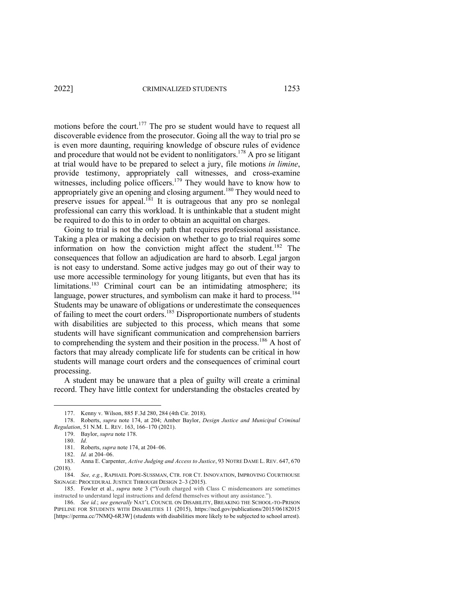motions before the court.<sup>177</sup> The pro se student would have to request all discoverable evidence from the prosecutor. Going all the way to trial pro se is even more daunting, requiring knowledge of obscure rules of evidence and procedure that would not be evident to nonlitigators.<sup>178</sup> A pro se litigant at trial would have to be prepared to select a jury, file motions *in limine*, provide testimony, appropriately call witnesses, and cross-examine witnesses, including police officers.<sup>179</sup> They would have to know how to appropriately give an opening and closing argument.<sup>180</sup> They would need to preserve issues for appeal.<sup>181</sup> It is outrageous that any pro se nonlegal professional can carry this workload. It is unthinkable that a student might be required to do this to in order to obtain an acquittal on charges.

Going to trial is not the only path that requires professional assistance. Taking a plea or making a decision on whether to go to trial requires some information on how the conviction might affect the student.<sup>182</sup> The consequences that follow an adjudication are hard to absorb. Legal jargon is not easy to understand. Some active judges may go out of their way to use more accessible terminology for young litigants, but even that has its limitations.<sup>183</sup> Criminal court can be an intimidating atmosphere; its language, power structures, and symbolism can make it hard to process.<sup>184</sup> Students may be unaware of obligations or underestimate the consequences of failing to meet the court orders.<sup>185</sup> Disproportionate numbers of students with disabilities are subjected to this process, which means that some students will have significant communication and comprehension barriers to comprehending the system and their position in the process.<sup>186</sup> A host of factors that may already complicate life for students can be critical in how students will manage court orders and the consequences of criminal court processing.

A student may be unaware that a plea of guilty will create a criminal record. They have little context for understanding the obstacles created by

<sup>177.</sup> Kenny v. Wilson, 885 F.3d 280, 284 (4th Cir. 2018).

<sup>178.</sup> Roberts, *supra* note 174, at 204; Amber Baylor, *Design Justice and Municipal Criminal Regulation*, 51 N.M. L. REV. 163, 166–170 (2021).

<sup>179.</sup> Baylor, *supra* note 178.

<sup>180.</sup> *Id.*

<sup>181.</sup> Roberts, *supra* note 174, at 204–06.

<sup>182.</sup> *Id.* at 204–06.

<sup>183.</sup> Anna E. Carpenter, *Active Judging and Access to Justice*, 93 NOTRE DAME L. REV. 647, 670 (2018).

<sup>184.</sup> *See, e.g.*, RAPHAEL POPE-SUSSMAN, CTR. FOR CT. INNOVATION, IMPROVING COURTHOUSE SIGNAGE: PROCEDURAL JUSTICE THROUGH DESIGN 2–3 (2015).

<sup>185.</sup> Fowler et al., *supra* note 3 ("Youth charged with Class C misdemeanors are sometimes instructed to understand legal instructions and defend themselves without any assistance.").

<sup>186.</sup> *See id.*; *see generally* NAT'L COUNCIL ON DISABILITY, BREAKING THE SCHOOL-TO-PRISON PIPELINE FOR STUDENTS WITH DISABILITIES 11 (2015), https://ncd.gov/publications/2015/06182015 [https://perma.cc/7NMQ-6R3W] (students with disabilities more likely to be subjected to school arrest).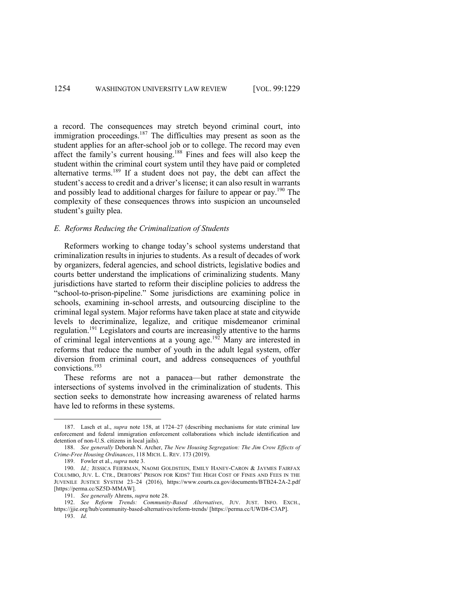a record. The consequences may stretch beyond criminal court, into immigration proceedings.<sup>187</sup> The difficulties may present as soon as the student applies for an after-school job or to college. The record may even affect the family's current housing.188 Fines and fees will also keep the student within the criminal court system until they have paid or completed alternative terms.<sup>189</sup> If a student does not pay, the debt can affect the student's access to credit and a driver's license; it can also result in warrants and possibly lead to additional charges for failure to appear or pay.<sup>190</sup> The complexity of these consequences throws into suspicion an uncounseled student's guilty plea.

#### *E. Reforms Reducing the Criminalization of Students*

Reformers working to change today's school systems understand that criminalization results in injuries to students. As a result of decades of work by organizers, federal agencies, and school districts, legislative bodies and courts better understand the implications of criminalizing students. Many jurisdictions have started to reform their discipline policies to address the "school-to-prison-pipeline." Some jurisdictions are examining police in schools, examining in-school arrests, and outsourcing discipline to the criminal legal system. Major reforms have taken place at state and citywide levels to decriminalize, legalize, and critique misdemeanor criminal regulation.<sup>191</sup> Legislators and courts are increasingly attentive to the harms of criminal legal interventions at a young age.192 Many are interested in reforms that reduce the number of youth in the adult legal system, offer diversion from criminal court, and address consequences of youthful convictions.<sup>193</sup>

These reforms are not a panacea—but rather demonstrate the intersections of systems involved in the criminalization of students. This section seeks to demonstrate how increasing awareness of related harms have led to reforms in these systems.

<sup>187.</sup> Lasch et al., *supra* note 158, at 1724–27 (describing mechanisms for state criminal law enforcement and federal immigration enforcement collaborations which include identification and detention of non-U.S. citizens in local jails).

<sup>188.</sup> *See generally* Deborah N. Archer, *The New Housing Segregation: The Jim Crow Effects of Crime-Free Housing Ordinances*, 118 MICH. L. REV. 173 (2019).

<sup>189.</sup> Fowler et al., *supra* note 3.

<sup>190.</sup> *Id.;* JESSICA FEIERMAN, NAOMI GOLDSTEIN, EMILY HANEY-CARON & JAYMES FAIRFAX COLUMBO, JUV. L. CTR., DEBTORS' PRISON FOR KIDS? THE HIGH COST OF FINES AND FEES IN THE JUVENILE JUSTICE SYSTEM 23–24 (2016), https://www.courts.ca.gov/documents/BTB24-2A-2.pdf [https://perma.cc/SZ5D-MMAW].

<sup>191.</sup> *See generally* Ahrens, *supra* note 28.

<sup>192.</sup> *See Reform Trends: Community-Based Alternatives*, JUV. JUST. INFO. EXCH., https://jjie.org/hub/community-based-alternatives/reform-trends/ [https://perma.cc/UWD8-C3AP].

<sup>193.</sup> *Id.*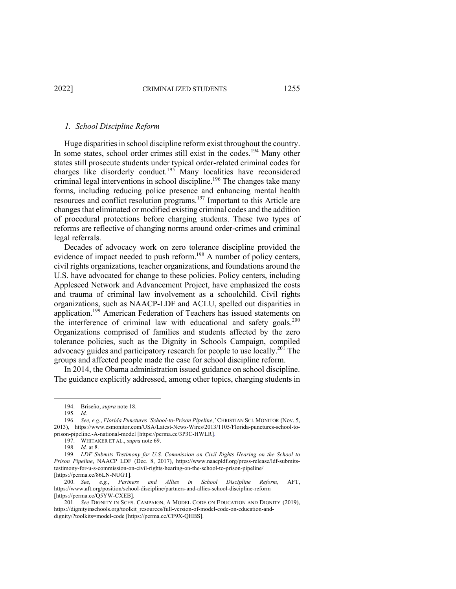#### *1. School Discipline Reform*

Huge disparities in school discipline reform exist throughout the country. In some states, school order crimes still exist in the codes.<sup>194</sup> Many other states still prosecute students under typical order-related criminal codes for charges like disorderly conduct.<sup>195</sup> Many localities have reconsidered criminal legal interventions in school discipline.<sup>196</sup> The changes take many forms, including reducing police presence and enhancing mental health resources and conflict resolution programs.<sup>197</sup> Important to this Article are changes that eliminated or modified existing criminal codes and the addition of procedural protections before charging students. These two types of reforms are reflective of changing norms around order-crimes and criminal legal referrals.

Decades of advocacy work on zero tolerance discipline provided the evidence of impact needed to push reform.<sup>198</sup> A number of policy centers, civil rights organizations, teacher organizations, and foundations around the U.S. have advocated for change to these policies. Policy centers, including Appleseed Network and Advancement Project, have emphasized the costs and trauma of criminal law involvement as a schoolchild. Civil rights organizations, such as NAACP-LDF and ACLU, spelled out disparities in application.<sup>199</sup> American Federation of Teachers has issued statements on the interference of criminal law with educational and safety goals. $200$ Organizations comprised of families and students affected by the zero tolerance policies, such as the Dignity in Schools Campaign, compiled advocacy guides and participatory research for people to use locally.<sup>201</sup> The groups and affected people made the case for school discipline reform.

In 2014, the Obama administration issued guidance on school discipline. The guidance explicitly addressed, among other topics, charging students in

<sup>194.</sup> Briseño, *supra* note 18.

<sup>195.</sup> *Id.*

<sup>196.</sup> *See, e.g*., *Florida Punctures 'School-to-Prison Pipeline*,*'* CHRISTIAN SCI. MONITOR (Nov. 5, 2013), https://www.csmonitor.com/USA/Latest-News-Wires/2013/1105/Florida-punctures-school-toprison-pipeline.-A-national-model [https://perma.cc/3P3C-HWLR].

<sup>197.</sup> WHITAKER ET AL., *supra* note 69.

<sup>198.</sup> *Id.* at 8.

<sup>199.</sup> *LDF Submits Testimony for U.S. Commission on Civil Rights Hearing on the School to Prison Pipeline*, NAACP LDF (Dec. 8, 2017), https://www.naacpldf.org/press-release/ldf-submitstestimony-for-u-s-commission-on-civil-rights-hearing-on-the-school-to-prison-pipeline/ [https://perma.cc/86LN-NUGT].

<sup>200.</sup> *See, e.g.*, *Partners and Allies in School Discipline Reform,* AFT, https://www.aft.org/position/school-discipline/partners-and-allies-school-discipline-reform [https://perma.cc/Q5YW-CXEB].

<sup>201.</sup> *See* DIGNITY IN SCHS. CAMPAIGN, A MODEL CODE ON EDUCATION AND DIGNITY (2019), https://dignityinschools.org/toolkit\_resources/full-version-of-model-code-on-education-anddignity/?toolkits=model-code [https://perma.cc/CF9X-QHBS].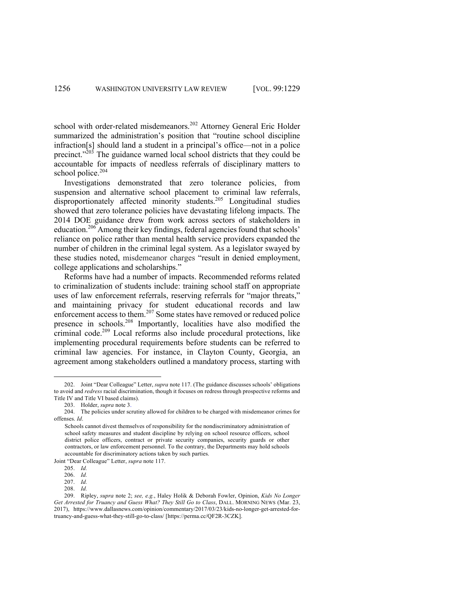school with order-related misdemeanors.<sup>202</sup> Attorney General Eric Holder summarized the administration's position that "routine school discipline infraction[s] should land a student in a principal's office—not in a police precinct."<sup>203</sup> The guidance warned local school districts that they could be accountable for impacts of needless referrals of disciplinary matters to school police.<sup>204</sup>

Investigations demonstrated that zero tolerance policies, from suspension and alternative school placement to criminal law referrals, disproportionately affected minority students.<sup>205</sup> Longitudinal studies showed that zero tolerance policies have devastating lifelong impacts. The 2014 DOE guidance drew from work across sectors of stakeholders in education.<sup>206</sup> Among their key findings, federal agencies found that schools' reliance on police rather than mental health service providers expanded the number of children in the criminal legal system. As a legislator swayed by these studies noted, misdemeanor charges "result in denied employment, college applications and scholarships."

Reforms have had a number of impacts. Recommended reforms related to criminalization of students include: training school staff on appropriate uses of law enforcement referrals, reserving referrals for "major threats," and maintaining privacy for student educational records and law enforcement access to them.<sup>207</sup> Some states have removed or reduced police presence in schools.<sup>208</sup> Importantly, localities have also modified the criminal code.<sup>209</sup> Local reforms also include procedural protections, like implementing procedural requirements before students can be referred to criminal law agencies. For instance, in Clayton County, Georgia, an agreement among stakeholders outlined a mandatory process, starting with

Joint "Dear Colleague" Letter, *supra* note 117.

<sup>202.</sup> Joint "Dear Colleague" Letter, *supra* note 117. (The guidance discusses schools' obligations to avoid and *redress* racial discrimination, though it focuses on redress through prospective reforms and Title IV and Title VI based claims).

<sup>203.</sup> Holder, *supra* note 3.

<sup>204.</sup> The policies under scrutiny allowed for children to be charged with misdemeanor crimes for offenses. *Id*.

Schools cannot divest themselves of responsibility for the nondiscriminatory administration of school safety measures and student discipline by relying on school resource officers, school district police officers, contract or private security companies, security guards or other contractors, or law enforcement personnel. To the contrary, the Departments may hold schools accountable for discriminatory actions taken by such parties.

<sup>205.</sup> *Id.*

<sup>206.</sup> *Id.*

<sup>207.</sup> *Id.*

<sup>208.</sup> *Id.*

<sup>209.</sup> Ripley, *supra* note 2; *see, e.g.*, Haley Holik & Deborah Fowler, Opinion, *Kids No Longer Get Arrested for Truancy and Guess What? They Still Go to Class*, DALL. MORNING NEWS (Mar. 23, 2017), https://www.dallasnews.com/opinion/commentary/2017/03/23/kids-no-longer-get-arrested-fortruancy-and-guess-what-they-still-go-to-class/ [https://perma.cc/QF2R-3CZK].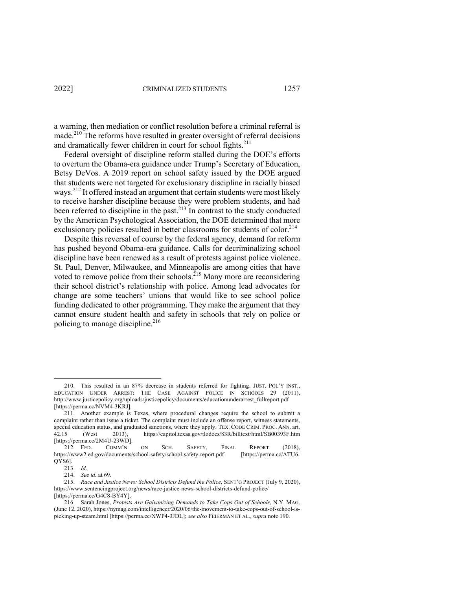a warning, then mediation or conflict resolution before a criminal referral is made.<sup>210</sup> The reforms have resulted in greater oversight of referral decisions and dramatically fewer children in court for school fights.<sup>211</sup>

Federal oversight of discipline reform stalled during the DOE's efforts to overturn the Obama-era guidance under Trump's Secretary of Education, Betsy DeVos. A 2019 report on school safety issued by the DOE argued that students were not targeted for exclusionary discipline in racially biased ways.<sup>212</sup> It offered instead an argument that certain students were most likely to receive harsher discipline because they were problem students, and had been referred to discipline in the past. $2^{13}$  In contrast to the study conducted by the American Psychological Association, the DOE determined that more exclusionary policies resulted in better classrooms for students of color.<sup>214</sup>

Despite this reversal of course by the federal agency, demand for reform has pushed beyond Obama-era guidance. Calls for decriminalizing school discipline have been renewed as a result of protests against police violence. St. Paul, Denver, Milwaukee, and Minneapolis are among cities that have voted to remove police from their schools.<sup>215</sup> Many more are reconsidering their school district's relationship with police. Among lead advocates for change are some teachers' unions that would like to see school police funding dedicated to other programming. They make the argument that they cannot ensure student health and safety in schools that rely on police or policing to manage discipline. $216$ 

<sup>210.</sup> This resulted in an 87% decrease in students referred for fighting. JUST. POL'Y INST., EDUCATION UNDER ARREST: THE CASE AGAINST POLICE IN SCHOOLS 29 (2011), http://www.justicepolicy.org/uploads/justicepolicy/documents/educationunderarrest\_fullreport.pdf [https://perma.cc/NVM4-3KRJ].

<sup>211.</sup> Another example is Texas, where procedural changes require the school to submit a complaint rather than issue a ticket. The complaint must include an offense report, witness statements, special education status, and graduated sanctions, where they apply. TEX. CODE CRIM. PROC. ANN. art. 42.15 (West 2013), https://capitol.texas.gov/tlodocs/83R/billtext/html/SB00393F.htm [https://perma.cc/2M4U-23WD].

<sup>212.</sup> FED. COMM'N ON SCH. SAFETY, FINAL REPORT (2018), https://www2.ed.gov/documents/school-safety/school-safety-report.pdf [https://perma.cc/ATU6- QYS6].

<sup>213.</sup> *Id.*

<sup>214.</sup> *See id.* at 69*.*

<sup>215.</sup> *Race and Justice News: School Districts Defund the Police*, SENT'G PROJECT (July 9, 2020), https://www.sentencingproject.org/news/race-justice-news-school-districts-defund-police/ [https://perma.cc/G4C8-BY4Y].

<sup>216.</sup> Sarah Jones, *Protests Are Galvanizing Demands to Take Cops Out of Schools*, N.Y. MAG. (June 12, 2020), https://nymag.com/intelligencer/2020/06/the-movement-to-take-cops-out-of-school-ispicking-up-steam.html [https://perma.cc/XWP4-3JDL]; *see also* FEIERMAN ET AL., *supra* note 190.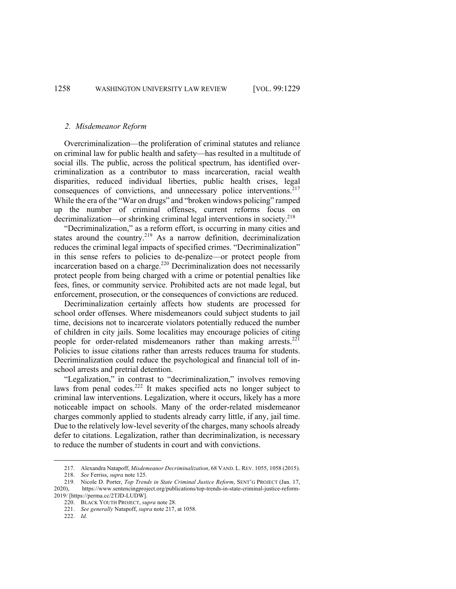#### *2. Misdemeanor Reform*

Overcriminalization—the proliferation of criminal statutes and reliance on criminal law for public health and safety—has resulted in a multitude of social ills. The public, across the political spectrum, has identified overcriminalization as a contributor to mass incarceration, racial wealth disparities, reduced individual liberties, public health crises, legal consequences of convictions, and unnecessary police interventions.<sup>217</sup> While the era of the "War on drugs" and "broken windows policing" ramped up the number of criminal offenses, current reforms focus on decriminalization—or shrinking criminal legal interventions in society.<sup>218</sup>

"Decriminalization," as a reform effort, is occurring in many cities and states around the country.<sup>219</sup> As a narrow definition, decriminalization reduces the criminal legal impacts of specified crimes. "Decriminalization" in this sense refers to policies to de-penalize—or protect people from incarceration based on a charge.<sup>220</sup> Decriminalization does not necessarily protect people from being charged with a crime or potential penalties like fees, fines, or community service. Prohibited acts are not made legal, but enforcement, prosecution, or the consequences of convictions are reduced.

Decriminalization certainly affects how students are processed for school order offenses. Where misdemeanors could subject students to jail time, decisions not to incarcerate violators potentially reduced the number of children in city jails. Some localities may encourage policies of citing people for order-related misdemeanors rather than making arrests. $^{221}$ Policies to issue citations rather than arrests reduces trauma for students. Decriminalization could reduce the psychological and financial toll of inschool arrests and pretrial detention.

"Legalization," in contrast to "decriminalization," involves removing laws from penal codes.<sup>222</sup> It makes specified acts no longer subject to criminal law interventions. Legalization, where it occurs, likely has a more noticeable impact on schools. Many of the order-related misdemeanor charges commonly applied to students already carry little, if any, jail time. Due to the relatively low-level severity of the charges, many schools already defer to citations. Legalization, rather than decriminalization, is necessary to reduce the number of students in court and with convictions.

<sup>217.</sup> Alexandra Natapoff, *Misdemeanor Decriminalization*, 68 VAND. L. REV. 1055, 1058 (2015). 218. *See* Ferriss, *supra* note 125.

<sup>219.</sup> Nicole D. Porter, *Top Trends in State Criminal Justice Reform*, SENT'G PROJECT (Jan. 17, 2020), https://www.sentencingproject.org/publications/top-trends-in-state-criminal-justice-reform-2019/ [https://perma.cc/2TJD-LUDW].

<sup>220.</sup> BLACK YOUTH PROJECT, *supra* note 28.

<sup>221.</sup> *See generally* Natapoff, *supra* note 217, at 1058.

<sup>222.</sup> *Id.*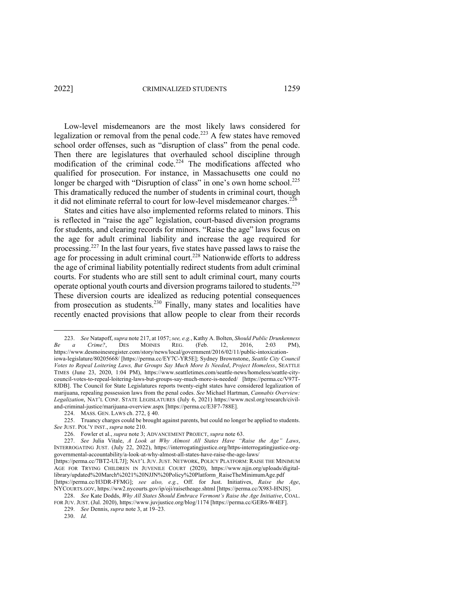Low-level misdemeanors are the most likely laws considered for legalization or removal from the penal code.<sup>223</sup> A few states have removed school order offenses, such as "disruption of class" from the penal code. Then there are legislatures that overhauled school discipline through modification of the criminal code.<sup>224</sup> The modifications affected who qualified for prosecution. For instance, in Massachusetts one could no longer be charged with "Disruption of class" in one's own home school.<sup>225</sup> This dramatically reduced the number of students in criminal court, though it did not eliminate referral to court for low-level misdemeanor charges.<sup>226</sup>

States and cities have also implemented reforms related to minors. This is reflected in "raise the age" legislation, court-based diversion programs for students, and clearing records for minors. "Raise the age" laws focus on the age for adult criminal liability and increase the age required for processing. <sup>227</sup> In the last four years, five states have passed laws to raise the age for processing in adult criminal court.<sup>228</sup> Nationwide efforts to address the age of criminal liability potentially redirect students from adult criminal courts. For students who are still sent to adult criminal court, many courts operate optional youth courts and diversion programs tailored to students.<sup>229</sup> These diversion courts are idealized as reducing potential consequences from prosecution as students.<sup>230</sup> Finally, many states and localities have recently enacted provisions that allow people to clear from their records

<sup>223.</sup> *See* Natapoff, *supra* note 217, at 1057; *see, e.g.*, Kathy A. Bolten, *Should Public Drunkenness Be a Crime?*, DES MOINES REG. (Feb. 12, 2016, 2:03 PM), https://www.desmoinesregister.com/story/news/local/government/2016/02/11/public-intoxicationiowa-legislature/80205668/ [https://perma.cc/EY7C-YR5E]; Sydney Brownstone, *Seattle City Council Votes to Repeal Loitering Laws, But Groups Say Much More Is Needed*, *Project Homeless*, SEATTLE TIMES (June 23, 2020, 1:04 PM), https://www.seattletimes.com/seattle-news/homeless/seattle-citycouncil-votes-to-repeal-loitering-laws-but-groups-say-much-more-is-needed/ [https://perma.cc/V97T-8JDB]. The Council for State Legislatures reports twenty-eight states have considered legalization of marijuana, repealing possession laws from the penal codes. *See* Michael Hartman, *Cannabis Overview: Legalization*, NAT'L CONF. STATE LEGISLATURES (July 6, 2021) https://www.ncsl.org/research/civil-

and-criminal-justice/marijuana-overview.aspx [https://perma.cc/E3F7-788E].

<sup>224.</sup> MASS. GEN. LAWS ch. 272, § 40.

<sup>225.</sup> Truancy charges could be brought against parents, but could no longer be applied to students. *See* JUST. POL'Y INST., *supra* note 210.

<sup>226.</sup> Fowler et al., *supra* note 3; ADVANCEMENT PROJECT, *supra* note 63.

<sup>227.</sup> *See* Julia Vitale, *A Look at Why Almost All States Have "Raise the Age" Laws*, INTERROGATING JUST. (July 22, 2022), https://interrogatingjustice.org/https-interrogatingjustice-orggovernmental-accountability/a-look-at-why-almost-all-states-have-raise-the-age-laws/ [https://perma.cc/7BT2-UL7J]; NAT'L JUV. JUST. NETWORK, POLICY PLATFORM: RAISE THE MINIMUM AGE FOR TRYING CHILDREN IN JUVENILE COURT (2020), https://www.njjn.org/uploads/digitallibrary/updated%20March%2021%20NJJN%20Policy%20Platform\_RaiseTheMinimumAge.pdf [https://perma.cc/H3DR-FFMG]; *see also, e.g.*, Off. for Just. Initiatives, *Raise the Age*,

NYCOURTS.GOV, https://ww2.nycourts.gov/ip/oji/raisetheage.shtml [https://perma.cc/X983-HNJS]. 228. *See* Kate Dodds, *Why All States Should Embrace Vermont's Raise the Age Initiative*, COAL.

FOR JUV. JUST. (Jul. 2020), https://www.juvjustice.org/blog/1174 [https://perma.cc/GER6-W4EF]. 229. *See* Dennis, *supra* note 3, at 19–23.

<sup>230.</sup> *Id.*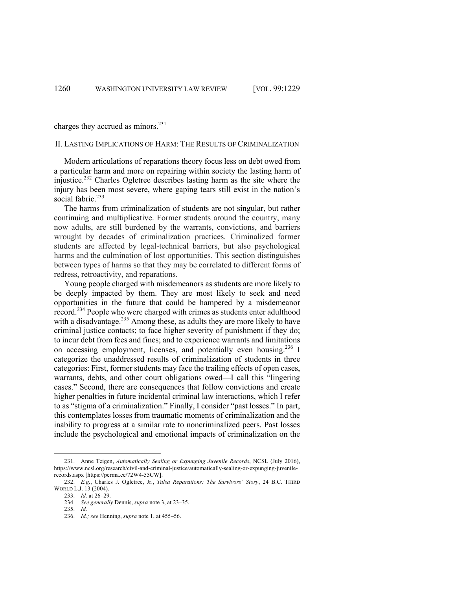charges they accrued as minors.<sup>231</sup>

#### II. LASTING IMPLICATIONS OF HARM: THE RESULTS OF CRIMINALIZATION

Modern articulations of reparations theory focus less on debt owed from a particular harm and more on repairing within society the lasting harm of injustice.<sup>232</sup> Charles Ogletree describes lasting harm as the site where the injury has been most severe, where gaping tears still exist in the nation's social fabric.<sup>233</sup>

The harms from criminalization of students are not singular, but rather continuing and multiplicative. Former students around the country, many now adults, are still burdened by the warrants, convictions, and barriers wrought by decades of criminalization practices. Criminalized former students are affected by legal-technical barriers, but also psychological harms and the culmination of lost opportunities. This section distinguishes between types of harms so that they may be correlated to different forms of redress, retroactivity, and reparations.

Young people charged with misdemeanors as students are more likely to be deeply impacted by them. They are most likely to seek and need opportunities in the future that could be hampered by a misdemeanor record.<sup>234</sup> People who were charged with crimes as students enter adulthood with a disadvantage.<sup>235</sup> Among these, as adults they are more likely to have criminal justice contacts; to face higher severity of punishment if they do; to incur debt from fees and fines; and to experience warrants and limitations on accessing employment, licenses, and potentially even housing.<sup>236</sup> I categorize the unaddressed results of criminalization of students in three categories: First, former students may face the trailing effects of open cases, warrants, debts, and other court obligations owed—I call this "lingering cases." Second, there are consequences that follow convictions and create higher penalties in future incidental criminal law interactions, which I refer to as "stigma of a criminalization." Finally, I consider "past losses." In part, this contemplates losses from traumatic moments of criminalization and the inability to progress at a similar rate to noncriminalized peers. Past losses include the psychological and emotional impacts of criminalization on the

<sup>231.</sup> Anne Teigen, *Automatically Sealing or Expunging Juvenile Records*, NCSL (July 2016), https://www.ncsl.org/research/civil-and-criminal-justice/automatically-sealing-or-expunging-juvenilerecords.aspx [https://perma.cc/72W4-55CW].

<sup>232.</sup> *E.g.*, Charles J. Ogletree, Jr., *Tulsa Reparations: The Survivors' Story*, 24 B.C. THIRD WORLD L.J. 13 (2004).

<sup>233.</sup> *Id.* at 26–29.

<sup>234.</sup> *See generally* Dennis, *supra* note 3, at 23–35.

<sup>235.</sup> *Id.*

<sup>236.</sup> *Id.; see* Henning, *supra* note 1, at 455–56.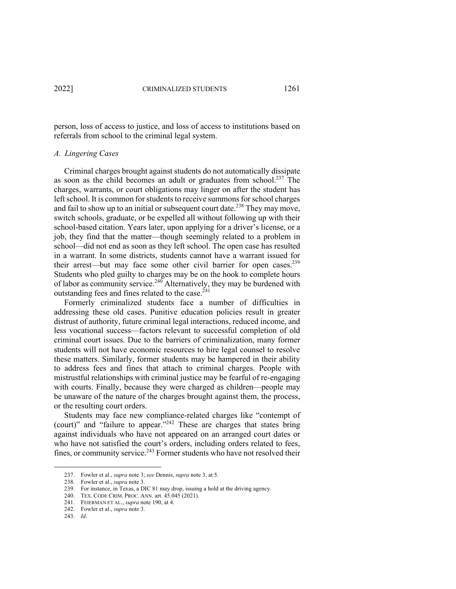person, loss of access to justice, and loss of access to institutions based on referrals from school to the criminal legal system.

#### *A. Lingering Cases*

Criminal charges brought against students do not automatically dissipate as soon as the child becomes an adult or graduates from school.<sup>237</sup> The charges, warrants, or court obligations may linger on after the student has left school. It is common for students to receive summons for school charges and fail to show up to an initial or subsequent court date.<sup>238</sup> They may move, switch schools, graduate, or be expelled all without following up with their school-based citation. Years later, upon applying for a driver's license, or a job, they find that the matter—though seemingly related to a problem in school—did not end as soon as they left school. The open case has resulted in a warrant. In some districts, students cannot have a warrant issued for their arrest—but may face some other civil barrier for open cases.<sup>239</sup> Students who pled guilty to charges may be on the hook to complete hours of labor as community service.<sup>240</sup> Alternatively, they may be burdened with outstanding fees and fines related to the case. $241$ 

Formerly criminalized students face a number of difficulties in addressing these old cases. Punitive education policies result in greater distrust of authority, future criminal legal interactions, reduced income, and less vocational success—factors relevant to successful completion of old criminal court issues. Due to the barriers of criminalization, many former students will not have economic resources to hire legal counsel to resolve these matters. Similarly, former students may be hampered in their ability to address fees and fines that attach to criminal charges. People with mistrustful relationships with criminal justice may be fearful of re-engaging with courts. Finally, because they were charged as children—people may be unaware of the nature of the charges brought against them, the process, or the resulting court orders.

Students may face new compliance-related charges like "contempt of (court)" and "failure to appear."242 These are charges that states bring against individuals who have not appeared on an arranged court dates or who have not satisfied the court's orders, including orders related to fees, fines, or community service.<sup>243</sup> Former students who have not resolved their

<sup>237.</sup> Fowler et al., *supra* note 3; *see* Dennis, *supra* note 3, at 5.

<sup>238.</sup> Fowler et al., *supra* note 3.

<sup>239.</sup> For instance, in Texas, a DIC 81 may drop, issuing a hold at the driving agency.

<sup>240.</sup> TEX. CODE CRIM. PROC. ANN. art. 45.045 (2021).

<sup>241.</sup> FEIERMAN ET AL., *supra* note 190, at 4.

<sup>242.</sup> Fowler et al., *supra* note 3.

<sup>243.</sup> *Id.*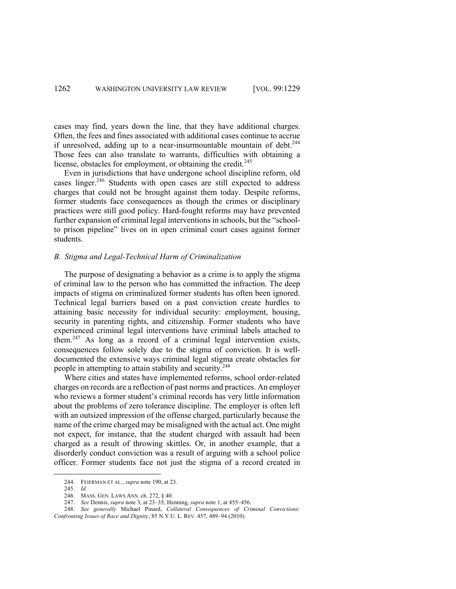cases may find, years down the line, that they have additional charges. Often, the fees and fines associated with additional cases continue to accrue if unresolved, adding up to a near-insurmountable mountain of debt. $244$ Those fees can also translate to warrants, difficulties with obtaining a license, obstacles for employment, or obtaining the credit.<sup>245</sup>

Even in jurisdictions that have undergone school discipline reform, old cases linger.<sup>246</sup> Students with open cases are still expected to address charges that could not be brought against them today. Despite reforms, former students face consequences as though the crimes or disciplinary practices were still good policy. Hard-fought reforms may have prevented further expansion of criminal legal interventions in schools, but the "schoolto prison pipeline" lives on in open criminal court cases against former students.

#### *B. Stigma and Legal-Technical Harm of Criminalization*

The purpose of designating a behavior as a crime is to apply the stigma of criminal law to the person who has committed the infraction. The deep impacts of stigma on criminalized former students has often been ignored. Technical legal barriers based on a past conviction create hurdles to attaining basic necessity for individual security: employment, housing, security in parenting rights, and citizenship. Former students who have experienced criminal legal interventions have criminal labels attached to them.247 As long as a record of a criminal legal intervention exists, consequences follow solely due to the stigma of conviction. It is welldocumented the extensive ways criminal legal stigma create obstacles for people in attempting to attain stability and security.<sup>248</sup>

Where cities and states have implemented reforms, school order-related charges on records are a reflection of past norms and practices. An employer who reviews a former student's criminal records has very little information about the problems of zero tolerance discipline. The employer is often left with an outsized impression of the offense charged, particularly because the name of the crime charged may be misaligned with the actual act. One might not expect, for instance, that the student charged with assault had been charged as a result of throwing skittles. Or, in another example, that a disorderly conduct conviction was a result of arguing with a school police officer. Former students face not just the stigma of a record created in

<sup>244.</sup> FEIERMAN ET AL., *supra* note 190, at 23.

<sup>245.</sup> *Id.*

<sup>246.</sup> MASS. GEN. LAWS ANN. ch. 272, § 40.

<sup>247.</sup> *See* Dennis, *supra* note 3, at 23–35; Henning, *supra* note 1, at 455–456.

<sup>248.</sup> *See generally* Michael Pinard, *Collateral Consequences of Criminal Convictions: Confronting Issues of Race and Dignity*, 85 N.Y.U. L. REV. 457, 489–94 (2010).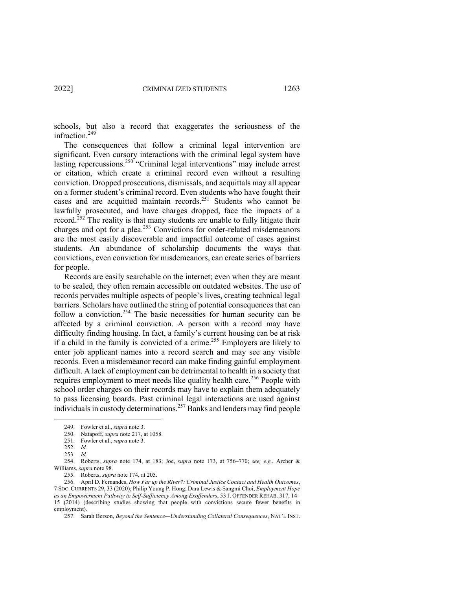schools, but also a record that exaggerates the seriousness of the infraction.<sup>249</sup>

The consequences that follow a criminal legal intervention are significant. Even cursory interactions with the criminal legal system have lasting repercussions.<sup>250</sup> "Criminal legal interventions" may include arrest or citation, which create a criminal record even without a resulting conviction. Dropped prosecutions, dismissals, and acquittals may all appear on a former student's criminal record. Even students who have fought their cases and are acquitted maintain records.251 Students who cannot be lawfully prosecuted, and have charges dropped, face the impacts of a record.<sup>252</sup> The reality is that many students are unable to fully litigate their charges and opt for a plea.<sup>253</sup> Convictions for order-related misdemeanors are the most easily discoverable and impactful outcome of cases against students. An abundance of scholarship documents the ways that convictions, even conviction for misdemeanors, can create series of barriers for people.

Records are easily searchable on the internet; even when they are meant to be sealed, they often remain accessible on outdated websites. The use of records pervades multiple aspects of people's lives, creating technical legal barriers. Scholars have outlined the string of potential consequences that can follow a conviction.<sup>254</sup> The basic necessities for human security can be affected by a criminal conviction. A person with a record may have difficulty finding housing. In fact, a family's current housing can be at risk if a child in the family is convicted of a crime.255 Employers are likely to enter job applicant names into a record search and may see any visible records. Even a misdemeanor record can make finding gainful employment difficult. A lack of employment can be detrimental to health in a society that requires employment to meet needs like quality health care.<sup>256</sup> People with school order charges on their records may have to explain them adequately to pass licensing boards. Past criminal legal interactions are used against individuals in custody determinations.<sup>257</sup> Banks and lenders may find people

<sup>249.</sup> Fowler et al., *supra* note 3.

<sup>250.</sup> Natapoff, *supra* note 217, at 1058.

<sup>251.</sup> Fowler et al., *supra* note 3.

<sup>252.</sup> *Id.*

<sup>253.</sup> *Id.*

<sup>254.</sup> Roberts, *supra* note 174, at 183; Joe, *supra* note 173, at 756–770; *see, e.g.*, Archer & Williams, *supra* note 98.

<sup>255.</sup> Roberts, *supra* note 174, at 205.

<sup>256.</sup> April D. Fernandes, *How Far up the River?: Criminal Justice Contact and Health Outcomes*, 7 SOC. CURRENTS 29, 33 (2020); Philip Young P. Hong, Dara Lewis & Sangmi Choi, *Employment Hope as an Empowerment Pathway to Self-Sufficiency Among Exoffenders*, 53 J. OFFENDER REHAB. 317, 14– 15 (2014) (describing studies showing that people with convictions secure fewer benefits in employment).

<sup>257.</sup> Sarah Berson, *Beyond the Sentence—Understanding Collateral Consequences*, NAT'L INST.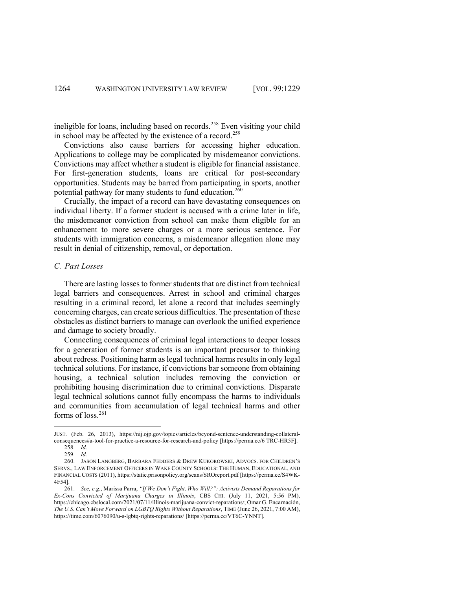ineligible for loans, including based on records.<sup>258</sup> Even visiting your child in school may be affected by the existence of a record.<sup>259</sup>

Convictions also cause barriers for accessing higher education. Applications to college may be complicated by misdemeanor convictions. Convictions may affect whether a student is eligible for financial assistance. For first-generation students, loans are critical for post-secondary opportunities. Students may be barred from participating in sports, another potential pathway for many students to fund education.<sup>260</sup>

Crucially, the impact of a record can have devastating consequences on individual liberty. If a former student is accused with a crime later in life, the misdemeanor conviction from school can make them eligible for an enhancement to more severe charges or a more serious sentence. For students with immigration concerns, a misdemeanor allegation alone may result in denial of citizenship, removal, or deportation.

### *C. Past Losses*

There are lasting losses to former students that are distinct from technical legal barriers and consequences. Arrest in school and criminal charges resulting in a criminal record, let alone a record that includes seemingly concerning charges, can create serious difficulties. The presentation of these obstacles as distinct barriers to manage can overlook the unified experience and damage to society broadly.

Connecting consequences of criminal legal interactions to deeper losses for a generation of former students is an important precursor to thinking about redress. Positioning harm as legal technical harms results in only legal technical solutions. For instance, if convictions bar someone from obtaining housing, a technical solution includes removing the conviction or prohibiting housing discrimination due to criminal convictions. Disparate legal technical solutions cannot fully encompass the harms to individuals and communities from accumulation of legal technical harms and other forms of loss.<sup>261</sup>

JUST. (Feb. 26, 2013), https://nij.ojp.gov/topics/articles/beyond-sentence-understanding-collateralconsequences#a-tool-for-practice-a-resource-for-research-and-policy [https://perma.cc/6 TRC-HR5F]. 258. *Id.*

<sup>259.</sup> *Id.*

<sup>260.</sup> JASON LANGBERG, BARBARA FEDDERS & DREW KUKOROWSKI, ADVOCS. FOR CHILDREN'S SERVS., LAW ENFORCEMENT OFFICERS IN WAKE COUNTY SCHOOLS: THE HUMAN, EDUCATIONAL, AND FINANCIAL COSTS (2011), https://static.prisonpolicy.org/scans/SROreport.pdf [https://perma.cc/S4WK-4F54].

<sup>261.</sup> *See, e.g.*, Marissa Parra, *"If We Don't Fight, Who Will?": Activists Demand Reparations for Ex-Cons Convicted of Marijuana Charges in Illinois*, CBS CHI. (July 11, 2021, 5:56 PM), https://chicago.cbslocal.com/2021/07/11/illinois-marijuana-convict-reparations/; Omar G. Encarnación, *The U.S. Can't Move Forward on LGBTQ Rights Without Reparations*, TIME (June 26, 2021, 7:00 AM), https://time.com/6076090/u-s-lgbtq-rights-reparations/ [https://perma.cc/VT6C-YNNT].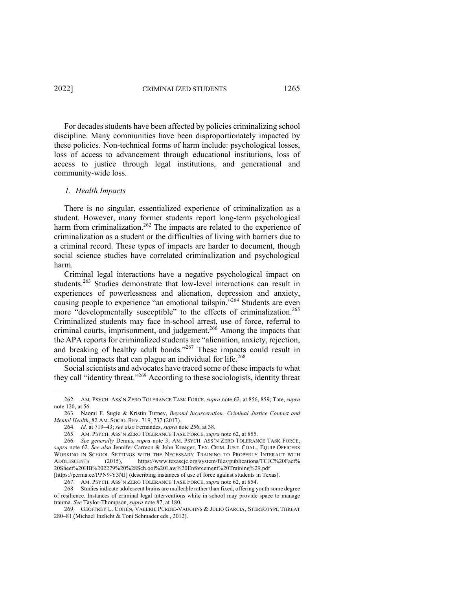For decades students have been affected by policies criminalizing school discipline. Many communities have been disproportionately impacted by these policies. Non-technical forms of harm include: psychological losses, loss of access to advancement through educational institutions, loss of access to justice through legal institutions, and generational and community-wide loss.

#### *1. Health Impacts*

There is no singular, essentialized experience of criminalization as a student. However, many former students report long-term psychological harm from criminalization.<sup>262</sup> The impacts are related to the experience of criminalization as a student or the difficulties of living with barriers due to a criminal record. These types of impacts are harder to document, though social science studies have correlated criminalization and psychological harm.

Criminal legal interactions have a negative psychological impact on students.<sup>263</sup> Studies demonstrate that low-level interactions can result in experiences of powerlessness and alienation, depression and anxiety, causing people to experience "an emotional tailspin."<sup>264</sup> Students are even more "developmentally susceptible" to the effects of criminalization.<sup>265</sup> Criminalized students may face in-school arrest, use of force, referral to criminal courts, imprisonment, and judgement.<sup>266</sup> Among the impacts that the APA reports for criminalized students are "alienation, anxiety, rejection, and breaking of healthy adult bonds."<sup>267</sup> These impacts could result in emotional impacts that can plague an individual for life.<sup>268</sup>

Social scientists and advocates have traced some of these impacts to what they call "identity threat."269 According to these sociologists, identity threat

<sup>262.</sup> AM. PSYCH. ASS'N ZERO TOLERANCE TASK FORCE, *supra* note 62, at 856, 859; Tate, *supra* note 120, at 56.

<sup>263.</sup> Naomi F. Sugie & Kristin Turney, *Beyond Incarceration: Criminal Justice Contact and Mental Health*, 82 AM. SOCIO. REV. 719, 737 (2017).

<sup>264.</sup> *Id.* at 719–43; *see also* Fernandes, *supra* note 256, at 38.

<sup>265.</sup> AM. PSYCH. ASS'N ZERO TOLERANCE TASK FORCE, *supra* note 62, at 855.

<sup>266.</sup> *See generally* Dennis, *supra* note 3; AM. PSYCH. ASS'N ZERO TOLERANCE TASK FORCE, *supra* note 62. *See also* Jennifer Carreon & John Kreager, TEX. CRIM. JUST. COAL., EQUIP OFFICERS WORKING IN SCHOOL SETTINGS WITH THE NECESSARY TRAINING TO PROPERLY INTERACT WITH ADOLESCENTS (2015), https://www.texascjc.org/system/files/publications/TCJC%20Fact% 20Sheet%20HB%202279%20%28Sch.ool%20Law%20Enforcement%20Training%29.pdf [https://perma.cc/PPN9-Y3NJ] (describing instances of use of force against students in Texas).

<sup>267.</sup> AM. PSYCH. ASS'N ZERO TOLERANCE TASK FORCE, *supra* note 62, at 854.

<sup>268.</sup> Studies indicate adolescent brains are malleable rather than fixed, offering youth some degree

of resilience. Instances of criminal legal interventions while in school may provide space to manage trauma. *See* Taylor-Thompson, *supra* note 87, at 180.

<sup>269.</sup> GEOFFREY L. COHEN, VALERIE PURDIE-VAUGHNS & JULIO GARCIA, STEREOTYPE THREAT 280–81 (Michael Inzlicht & Toni Schmader eds., 2012).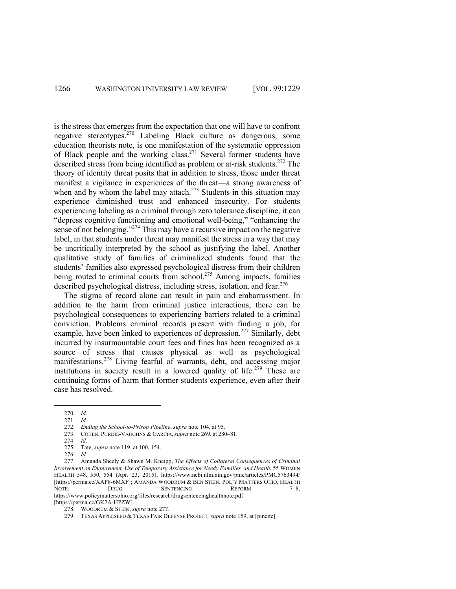is the stress that emerges from the expectation that one will have to confront negative stereotypes.<sup>270</sup> Labeling Black culture as dangerous, some education theorists note, is one manifestation of the systematic oppression of Black people and the working class.<sup>271</sup> Several former students have described stress from being identified as problem or at-risk students.<sup>272</sup> The theory of identity threat posits that in addition to stress, those under threat manifest a vigilance in experiences of the threat—a strong awareness of when and by whom the label may attach.<sup>273</sup> Students in this situation may experience diminished trust and enhanced insecurity. For students experiencing labeling as a criminal through zero tolerance discipline, it can "depress cognitive functioning and emotional well-being," "enhancing the sense of not belonging."<sup>274</sup> This may have a recursive impact on the negative label, in that students under threat may manifest the stress in a way that may be uncritically interpreted by the school as justifying the label. Another qualitative study of families of criminalized students found that the students' families also expressed psychological distress from their children being routed to criminal courts from school.<sup>275</sup> Among impacts, families described psychological distress, including stress, isolation, and fear.<sup>276</sup>

The stigma of record alone can result in pain and embarrassment. In addition to the harm from criminal justice interactions, there can be psychological consequences to experiencing barriers related to a criminal conviction. Problems criminal records present with finding a job, for example, have been linked to experiences of depression.<sup>277</sup> Similarly, debt incurred by insurmountable court fees and fines has been recognized as a source of stress that causes physical as well as psychological manifestations.<sup>278</sup> Living fearful of warrants, debt, and accessing major institutions in society result in a lowered quality of life.<sup>279</sup> These are continuing forms of harm that former students experience, even after their case has resolved.

277. Amanda Sheely & Shawn M. Kneipp, *The Effects of Collateral Consequences of Criminal Involvement on Employment, Use of Temporary Assistance for Needy Families, and Health*, 55 WOMEN HEALTH 548, 550, 554 (Apr. 23, 2015), https://www.ncbi.nlm.nih.gov/pmc/articles/PMC5763494/ [https://perma.cc/XAP8-6MXF]; AMANDA WOODRUM & BEN STEIN, POL'Y MATTERS OHIO, HEALTH NOTE: DRUG SENTENCING REFORM 7-8, https://www.policymattersohio.org/files/research/drugsentencinghealthnote.pdf

[https://perma.cc/GK2A-HPZW].

<sup>270.</sup> *Id.* 271. *Id.*

<sup>272.</sup> *Ending the School-to-Prison Pipeline*, *supra* note 104, at 95.

<sup>273.</sup> COHEN, PURDIE-VAUGHNS & GARCIA, *supra* note 269, at 280–81.

<sup>274.</sup> *Id.*

<sup>275.</sup> Tate, *supra* note 119, at 100, 154.

<sup>276.</sup> *Id.*

<sup>278.</sup> WOODRUM & STEIN, *supra* note 277.

<sup>279.</sup> TEXAS APPLESEED & TEXAS FAIR DEFENSE PROJECT*, supra* note 159, at [pincite].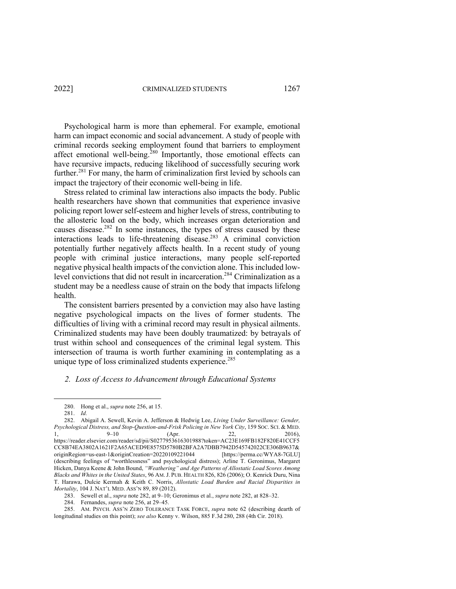Psychological harm is more than ephemeral. For example, emotional harm can impact economic and social advancement. A study of people with criminal records seeking employment found that barriers to employment affect emotional well-being.<sup>280</sup> Importantly, those emotional effects can have recursive impacts, reducing likelihood of successfully securing work further.<sup>281</sup> For many, the harm of criminalization first levied by schools can impact the trajectory of their economic well-being in life.

Stress related to criminal law interactions also impacts the body. Public health researchers have shown that communities that experience invasive policing report lower self-esteem and higher levels of stress, contributing to the allosteric load on the body, which increases organ deterioration and causes disease.<sup>282</sup> In some instances, the types of stress caused by these interactions leads to life-threatening disease.<sup>283</sup> A criminal conviction potentially further negatively affects health. In a recent study of young people with criminal justice interactions, many people self-reported negative physical health impacts of the conviction alone. This included lowlevel convictions that did not result in incarceration.<sup>284</sup> Criminalization as a student may be a needless cause of strain on the body that impacts lifelong health.

The consistent barriers presented by a conviction may also have lasting negative psychological impacts on the lives of former students. The difficulties of living with a criminal record may result in physical ailments. Criminalized students may have been doubly traumatized: by betrayals of trust within school and consequences of the criminal legal system. This intersection of trauma is worth further examining in contemplating as a unique type of loss criminalized students experience.<sup>285</sup>

#### *2. Loss of Access to Advancement through Educational Systems*

<sup>280.</sup> Hong et al., *supra* note 256, at 15.

<sup>281.</sup> *Id.*

<sup>282.</sup> Abigail A. Sewell, Kevin A. Jefferson & Hedwig Lee, *Living Under Surveillance: Gender, Psychological Distress, and Stop-Question-and-Frisk Policing in New York City*, 159 SOC. SCI. & MED. 1, 9–10 (Apr. 22, 2016), https://reader.elsevier.com/reader/sd/pii/S0277953616301988?token=AC23E169FB182F820E41CCF5 CC8B74EA3802A1621F2A65ACED9E8575D5780B2BFA2A7DBB7942D545742022CE306B9637& originRegion=us-east-1&originCreation=20220109221044 [https://perma.cc/WYA8-7GLU] (describing feelings of "worthlessness" and psychological distress); Arline T. Geronimus, Margaret Hicken, Danya Keene & John Bound, *"Weathering" and Age Patterns of Allostatic Load Scores Among Blacks and Whites in the United States*, 96 AM.J. PUB. HEALTH 826, 826 (2006); O. Kenrick Duru, Nina T. Harawa, Dulcie Kermah & Keith C. Norris, *Allostatic Load Burden and Racial Disparities in Mortality*, 104 J. NAT'L MED. ASS'N 89, 89 (2012).

<sup>283.</sup> Sewell et al., *supra* note 282, at 9–10; Geronimus et al., *supra* note 282, at 828–32.

<sup>284.</sup> Fernandes, *supra* note 256, at 29–45.

<sup>285.</sup> AM. PSYCH. ASS'N ZERO TOLERANCE TASK FORCE, *supra* note 62 (describing dearth of longitudinal studies on this point); *see also* Kenny v. Wilson, 885 F.3d 280, 288 (4th Cir. 2018).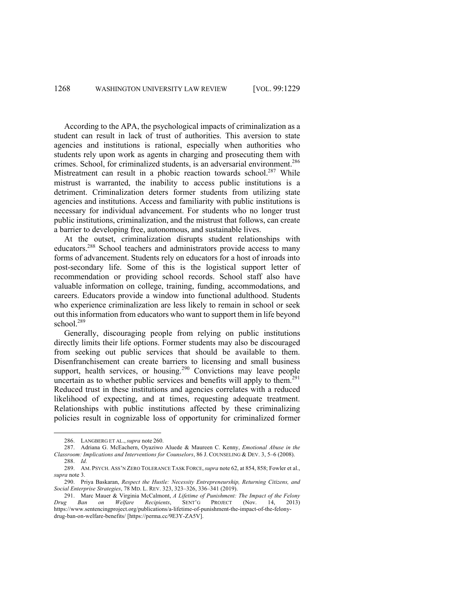According to the APA, the psychological impacts of criminalization as a student can result in lack of trust of authorities. This aversion to state agencies and institutions is rational, especially when authorities who students rely upon work as agents in charging and prosecuting them with crimes. School, for criminalized students, is an adversarial environment.<sup>286</sup> Mistreatment can result in a phobic reaction towards school.<sup>287</sup> While mistrust is warranted, the inability to access public institutions is a detriment. Criminalization deters former students from utilizing state agencies and institutions. Access and familiarity with public institutions is necessary for individual advancement. For students who no longer trust public institutions, criminalization, and the mistrust that follows, can create a barrier to developing free, autonomous, and sustainable lives.

At the outset, criminalization disrupts student relationships with educators.288 School teachers and administrators provide access to many forms of advancement. Students rely on educators for a host of inroads into post-secondary life. Some of this is the logistical support letter of recommendation or providing school records. School staff also have valuable information on college, training, funding, accommodations, and careers. Educators provide a window into functional adulthood. Students who experience criminalization are less likely to remain in school or seek out this information from educators who want to support them in life beyond school.<sup>289</sup>

Generally, discouraging people from relying on public institutions directly limits their life options. Former students may also be discouraged from seeking out public services that should be available to them. Disenfranchisement can create barriers to licensing and small business support, health services, or housing.<sup>290</sup> Convictions may leave people uncertain as to whether public services and benefits will apply to them.<sup>291</sup> Reduced trust in these institutions and agencies correlates with a reduced likelihood of expecting, and at times, requesting adequate treatment. Relationships with public institutions affected by these criminalizing policies result in cognizable loss of opportunity for criminalized former

<sup>286.</sup> LANGBERG ET AL., *supra* note 260.

<sup>287.</sup> Adriana G. McEachern, Oyaziwo Aluede & Maureen C. Kenny, *Emotional Abuse in the Classroom: Implications and Interventions for Counselors*, 86 J. COUNSELING & DEV. 3, 5–6 (2008). 288. *Id.*

<sup>289.</sup> AM. PSYCH. ASS'N ZERO TOLERANCE TASK FORCE,*supra* note 62, at 854, 858; Fowler et al., *supra* note 3.

<sup>290.</sup> Priya Baskaran, *Respect the Hustle: Necessity Entrepreneurship, Returning Citizens, and Social Enterprise Strategies*, 78 MD. L. REV. 323, 323–326, 336–341 (2019).

<sup>291.</sup> Marc Mauer & Virginia McCalmont, *A Lifetime of Punishment: The Impact of the Felony Drug Ban on Welfare Recipients*, SENT'G PROJECT (Nov. 14, 2013) https://www.sentencingproject.org/publications/a-lifetime-of-punishment-the-impact-of-the-felonydrug-ban-on-welfare-benefits/ [https://perma.cc/9E3Y-ZA5V].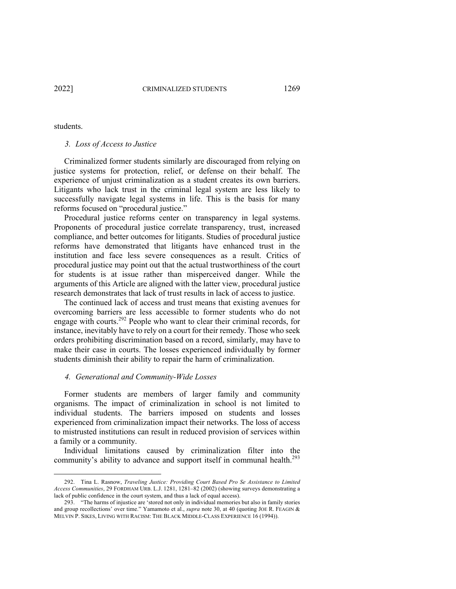students.

#### *3. Loss of Access to Justice*

Criminalized former students similarly are discouraged from relying on justice systems for protection, relief, or defense on their behalf. The experience of unjust criminalization as a student creates its own barriers. Litigants who lack trust in the criminal legal system are less likely to successfully navigate legal systems in life. This is the basis for many reforms focused on "procedural justice."

Procedural justice reforms center on transparency in legal systems. Proponents of procedural justice correlate transparency, trust, increased compliance, and better outcomes for litigants. Studies of procedural justice reforms have demonstrated that litigants have enhanced trust in the institution and face less severe consequences as a result. Critics of procedural justice may point out that the actual trustworthiness of the court for students is at issue rather than misperceived danger. While the arguments of this Article are aligned with the latter view, procedural justice research demonstrates that lack of trust results in lack of access to justice.

The continued lack of access and trust means that existing avenues for overcoming barriers are less accessible to former students who do not engage with courts.<sup>292</sup> People who want to clear their criminal records, for instance, inevitably have to rely on a court for their remedy. Those who seek orders prohibiting discrimination based on a record, similarly, may have to make their case in courts. The losses experienced individually by former students diminish their ability to repair the harm of criminalization.

#### *4. Generational and Community-Wide Losses*

Former students are members of larger family and community organisms. The impact of criminalization in school is not limited to individual students. The barriers imposed on students and losses experienced from criminalization impact their networks. The loss of access to mistrusted institutions can result in reduced provision of services within a family or a community.

Individual limitations caused by criminalization filter into the community's ability to advance and support itself in communal health.<sup>293</sup>

<sup>292.</sup> Tina L. Rasnow, *Traveling Justice: Providing Court Based Pro Se Assistance to Limited Access Communities*, 29 FORDHAM URB. L.J. 1281, 1281–82 (2002) (showing surveys demonstrating a lack of public confidence in the court system, and thus a lack of equal access).

<sup>293.</sup> "The harms of injustice are 'stored not only in individual memories but also in family stories and group recollections' over time." Yamamoto et al., *supra* note 30, at 40 (quoting JOE R. FEAGIN & MELVIN P. SIKES, LIVING WITH RACISM: THE BLACK MIDDLE-CLASS EXPERIENCE 16 (1994)).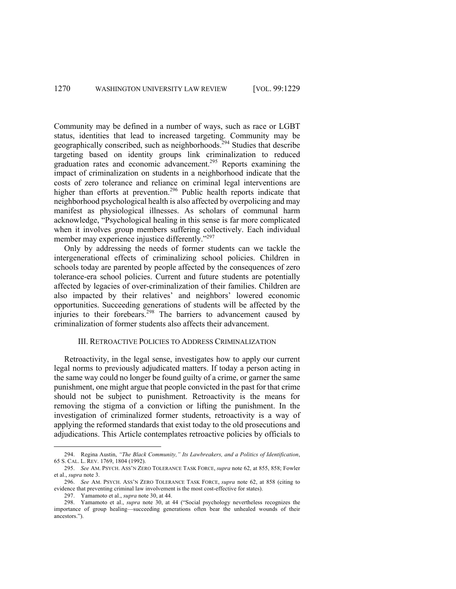Community may be defined in a number of ways, such as race or LGBT status, identities that lead to increased targeting. Community may be geographically conscribed, such as neighborhoods.294 Studies that describe targeting based on identity groups link criminalization to reduced graduation rates and economic advancement.<sup>295</sup> Reports examining the impact of criminalization on students in a neighborhood indicate that the costs of zero tolerance and reliance on criminal legal interventions are higher than efforts at prevention.<sup>296</sup> Public health reports indicate that neighborhood psychological health is also affected by overpolicing and may manifest as physiological illnesses. As scholars of communal harm acknowledge, "Psychological healing in this sense is far more complicated when it involves group members suffering collectively. Each individual member may experience injustice differently."<sup>297</sup>

Only by addressing the needs of former students can we tackle the intergenerational effects of criminalizing school policies. Children in schools today are parented by people affected by the consequences of zero tolerance-era school policies. Current and future students are potentially affected by legacies of over-criminalization of their families. Children are also impacted by their relatives' and neighbors' lowered economic opportunities. Succeeding generations of students will be affected by the injuries to their forebears.<sup>298</sup> The barriers to advancement caused by criminalization of former students also affects their advancement.

#### III. RETROACTIVE POLICIES TO ADDRESS CRIMINALIZATION

Retroactivity, in the legal sense, investigates how to apply our current legal norms to previously adjudicated matters. If today a person acting in the same way could no longer be found guilty of a crime, or garner the same punishment, one might argue that people convicted in the past for that crime should not be subject to punishment. Retroactivity is the means for removing the stigma of a conviction or lifting the punishment. In the investigation of criminalized former students, retroactivity is a way of applying the reformed standards that exist today to the old prosecutions and adjudications. This Article contemplates retroactive policies by officials to

<sup>294.</sup> Regina Austin, *"The Black Community," Its Lawbreakers, and a Politics of Identification*, 65 S. CAL. L. REV. 1769, 1804 (1992).

<sup>295.</sup> *See* AM. PSYCH. ASS'N ZERO TOLERANCE TASK FORCE, *supra* note 62, at 855, 858; Fowler et al., *supra* note 3.

<sup>296.</sup> *See* AM. PSYCH. ASS'N ZERO TOLERANCE TASK FORCE, *supra* note 62, at 858 (citing to evidence that preventing criminal law involvement is the most cost-effective for states).

<sup>297.</sup> Yamamoto et al., *supra* note 30, at 44.

<sup>298.</sup> Yamamoto et al., *supra* note 30, at 44 ("Social psychology nevertheless recognizes the importance of group healing—succeeding generations often bear the unhealed wounds of their ancestors.").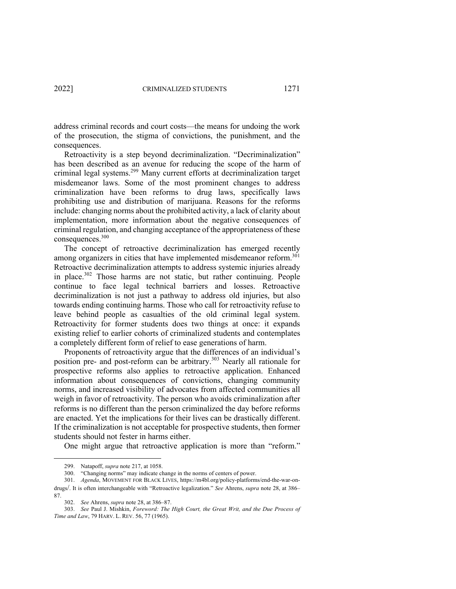address criminal records and court costs—the means for undoing the work of the prosecution, the stigma of convictions, the punishment, and the consequences.

Retroactivity is a step beyond decriminalization. "Decriminalization" has been described as an avenue for reducing the scope of the harm of criminal legal systems.299 Many current efforts at decriminalization target misdemeanor laws. Some of the most prominent changes to address criminalization have been reforms to drug laws, specifically laws prohibiting use and distribution of marijuana. Reasons for the reforms include: changing norms about the prohibited activity, a lack of clarity about implementation, more information about the negative consequences of criminal regulation, and changing acceptance of the appropriateness of these consequences.300

The concept of retroactive decriminalization has emerged recently among organizers in cities that have implemented misdemeanor reform.<sup>301</sup> Retroactive decriminalization attempts to address systemic injuries already in place.<sup>302</sup> Those harms are not static, but rather continuing. People continue to face legal technical barriers and losses. Retroactive decriminalization is not just a pathway to address old injuries, but also towards ending continuing harms. Those who call for retroactivity refuse to leave behind people as casualties of the old criminal legal system. Retroactivity for former students does two things at once: it expands existing relief to earlier cohorts of criminalized students and contemplates a completely different form of relief to ease generations of harm.

Proponents of retroactivity argue that the differences of an individual's position pre- and post-reform can be arbitrary.<sup>303</sup> Nearly all rationale for prospective reforms also applies to retroactive application. Enhanced information about consequences of convictions, changing community norms, and increased visibility of advocates from affected communities all weigh in favor of retroactivity. The person who avoids criminalization after reforms is no different than the person criminalized the day before reforms are enacted. Yet the implications for their lives can be drastically different. If the criminalization is not acceptable for prospective students, then former students should not fester in harms either.

One might argue that retroactive application is more than "reform."

<sup>299.</sup> Natapoff, *supra* note 217, at 1058.

<sup>300.</sup> "Changing norms" may indicate change in the norms of centers of power.

<sup>301.</sup> *Agenda*, MOVEMENT FOR BLACK LIVES, https://m4bl.org/policy-platforms/end-the-war-ondrugs/. It is often interchangeable with "Retroactive legalization." *See* Ahrens, *supra* note 28, at 386– 87.

<sup>302.</sup> *See* Ahrens, *supra* note 28, at 386–87.

<sup>303.</sup> *See* Paul J. Mishkin, *Foreword: The High Court, the Great Writ, and the Due Process of Time and Law*, 79 HARV. L. REV. 56, 77 (1965).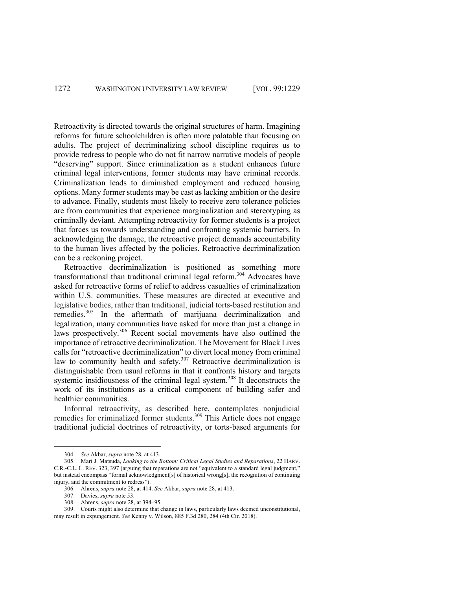Retroactivity is directed towards the original structures of harm. Imagining reforms for future schoolchildren is often more palatable than focusing on adults. The project of decriminalizing school discipline requires us to provide redress to people who do not fit narrow narrative models of people "deserving" support. Since criminalization as a student enhances future criminal legal interventions, former students may have criminal records. Criminalization leads to diminished employment and reduced housing options. Many former students may be cast as lacking ambition or the desire to advance. Finally, students most likely to receive zero tolerance policies are from communities that experience marginalization and stereotyping as criminally deviant. Attempting retroactivity for former students is a project that forces us towards understanding and confronting systemic barriers. In acknowledging the damage, the retroactive project demands accountability to the human lives affected by the policies. Retroactive decriminalization can be a reckoning project.

Retroactive decriminalization is positioned as something more transformational than traditional criminal legal reform.<sup>304</sup> Advocates have asked for retroactive forms of relief to address casualties of criminalization within U.S. communities. These measures are directed at executive and legislative bodies, rather than traditional, judicial torts-based restitution and remedies.<sup>305</sup> In the aftermath of marijuana decriminalization and legalization, many communities have asked for more than just a change in laws prospectively.<sup>306</sup> Recent social movements have also outlined the importance of retroactive decriminalization. The Movement for Black Lives calls for "retroactive decriminalization" to divert local money from criminal law to community health and safety.<sup>307</sup> Retroactive decriminalization is distinguishable from usual reforms in that it confronts history and targets systemic insidiousness of the criminal legal system.<sup>308</sup> It deconstructs the work of its institutions as a critical component of building safer and healthier communities.

Informal retroactivity, as described here, contemplates nonjudicial remedies for criminalized former students.<sup>309</sup> This Article does not engage traditional judicial doctrines of retroactivity, or torts-based arguments for

<sup>304.</sup> *See* Akbar, *supra* note 28, at 413.

<sup>305.</sup> Mari J. Matsuda, *Looking to the Bottom: Critical Legal Studies and Reparations*, 22 HARV. C.R.-C.L. L. REV. 323, 397 (arguing that reparations are not "equivalent to a standard legal judgment," but instead encompass "formal acknowledgment[s] of historical wrong[s], the recognition of continuing injury, and the commitment to redress").

<sup>306.</sup> Ahrens, *supra* note 28, at 414. *See* Akbar, *supra* note 28, at 413.

<sup>307.</sup> Davies, *supra* note 53.

<sup>308.</sup> Ahrens, *supra* note 28, at 394–95.

<sup>309.</sup> Courts might also determine that change in laws, particularly laws deemed unconstitutional, may result in expungement. *See* Kenny v. Wilson, 885 F.3d 280, 284 (4th Cir. 2018).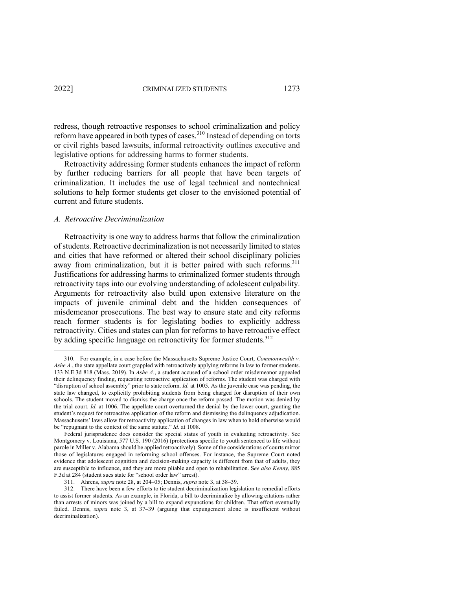redress, though retroactive responses to school criminalization and policy reform have appeared in both types of cases.<sup>310</sup> Instead of depending on torts or civil rights based lawsuits, informal retroactivity outlines executive and legislative options for addressing harms to former students.

Retroactivity addressing former students enhances the impact of reform by further reducing barriers for all people that have been targets of criminalization. It includes the use of legal technical and nontechnical solutions to help former students get closer to the envisioned potential of current and future students.

#### *A. Retroactive Decriminalization*

Retroactivity is one way to address harms that follow the criminalization of students. Retroactive decriminalization is not necessarily limited to states and cities that have reformed or altered their school disciplinary policies away from criminalization, but it is better paired with such reforms.<sup>311</sup> Justifications for addressing harms to criminalized former students through retroactivity taps into our evolving understanding of adolescent culpability. Arguments for retroactivity also build upon extensive literature on the impacts of juvenile criminal debt and the hidden consequences of misdemeanor prosecutions. The best way to ensure state and city reforms reach former students is for legislating bodies to explicitly address retroactivity. Cities and states can plan for reforms to have retroactive effect by adding specific language on retroactivity for former students.<sup>312</sup>

<sup>310.</sup> For example, in a case before the Massachusetts Supreme Justice Court, *Commonwealth v. Ashe A.*, the state appellate court grappled with retroactively applying reforms in law to former students. 133 N.E.3d 818 (Mass. 2019). In *Ashe A*., a student accused of a school order misdemeanor appealed their delinquency finding, requesting retroactive application of reforms. The student was charged with "disruption of school assembly" prior to state reform. *Id.* at 1005. As the juvenile case was pending, the state law changed, to explicitly prohibiting students from being charged for disruption of their own schools. The student moved to dismiss the charge once the reform passed. The motion was denied by the trial court. *Id.* at 1006. The appellate court overturned the denial by the lower court, granting the student's request for retroactive application of the reform and dismissing the delinquency adjudication. Massachusetts' laws allow for retroactivity application of changes in law when to hold otherwise would be "repugnant to the context of the same statute." *Id.* at 1008.

Federal jurisprudence does consider the special status of youth in evaluating retroactivity. See Montgomery v. Louisiana, 577 U.S. 190 (2016) (protections specific to youth sentenced to life without parole in Miller v. Alabama should be applied retroactively). Some of the considerations of courts mirror those of legislatures engaged in reforming school offenses. For instance, the Supreme Court noted evidence that adolescent cognition and decision-making capacity is different from that of adults, they are susceptible to influence, and they are more pliable and open to rehabilitation. S*ee also Kenny*, 885 F.3d at 284 (student sues state for "school order law" arrest).

<sup>311.</sup> Ahrens, *supra* note 28, at 204–05; Dennis, *supra* note 3, at 38–39.

<sup>312.</sup> There have been a few efforts to tie student decriminalization legislation to remedial efforts to assist former students. As an example, in Florida, a bill to decriminalize by allowing citations rather than arrests of minors was joined by a bill to expand expunctions for children. That effort eventually failed. Dennis, *supra* note 3, at 37–39 (arguing that expungement alone is insufficient without decriminalization).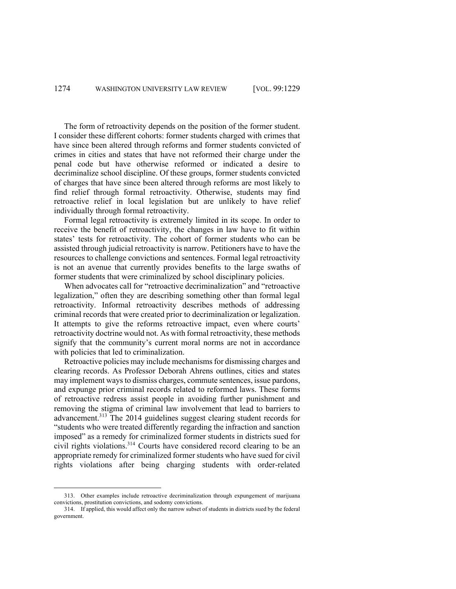The form of retroactivity depends on the position of the former student. I consider these different cohorts: former students charged with crimes that have since been altered through reforms and former students convicted of crimes in cities and states that have not reformed their charge under the penal code but have otherwise reformed or indicated a desire to decriminalize school discipline. Of these groups, former students convicted of charges that have since been altered through reforms are most likely to find relief through formal retroactivity. Otherwise, students may find retroactive relief in local legislation but are unlikely to have relief individually through formal retroactivity.

Formal legal retroactivity is extremely limited in its scope. In order to receive the benefit of retroactivity, the changes in law have to fit within states' tests for retroactivity. The cohort of former students who can be assisted through judicial retroactivity is narrow. Petitioners have to have the resources to challenge convictions and sentences. Formal legal retroactivity is not an avenue that currently provides benefits to the large swaths of former students that were criminalized by school disciplinary policies.

When advocates call for "retroactive decriminalization" and "retroactive legalization," often they are describing something other than formal legal retroactivity. Informal retroactivity describes methods of addressing criminal records that were created prior to decriminalization or legalization. It attempts to give the reforms retroactive impact, even where courts' retroactivity doctrine would not. As with formal retroactivity, these methods signify that the community's current moral norms are not in accordance with policies that led to criminalization.

Retroactive policies may include mechanisms for dismissing charges and clearing records. As Professor Deborah Ahrens outlines, cities and states may implement ways to dismiss charges, commute sentences, issue pardons, and expunge prior criminal records related to reformed laws. These forms of retroactive redress assist people in avoiding further punishment and removing the stigma of criminal law involvement that lead to barriers to advancement.<sup>313</sup> The 2014 guidelines suggest clearing student records for "students who were treated differently regarding the infraction and sanction imposed" as a remedy for criminalized former students in districts sued for civil rights violations.314 Courts have considered record clearing to be an appropriate remedy for criminalized former students who have sued for civil rights violations after being charging students with order-related

<sup>313.</sup> Other examples include retroactive decriminalization through expungement of marijuana convictions, prostitution convictions, and sodomy convictions.

<sup>314.</sup> If applied, this would affect only the narrow subset of students in districts sued by the federal government.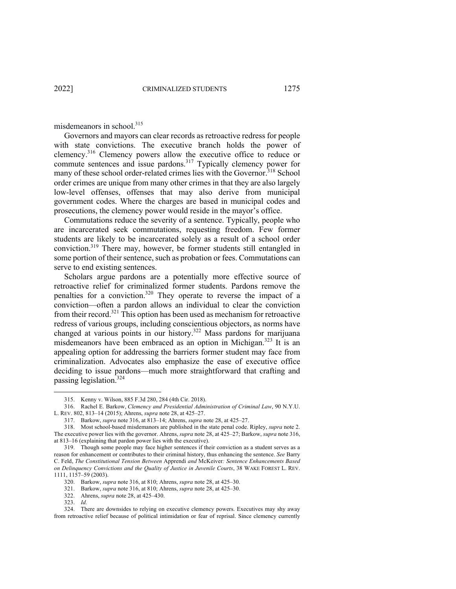misdemeanors in school.<sup>315</sup>

Governors and mayors can clear records as retroactive redress for people with state convictions. The executive branch holds the power of clemency.<sup>316</sup> Clemency powers allow the executive office to reduce or commute sentences and issue pardons.<sup>317</sup> Typically clemency power for many of these school order-related crimes lies with the Governor.<sup>318</sup> School order crimes are unique from many other crimes in that they are also largely low-level offenses, offenses that may also derive from municipal government codes. Where the charges are based in municipal codes and prosecutions, the clemency power would reside in the mayor's office.

Commutations reduce the severity of a sentence. Typically, people who are incarcerated seek commutations, requesting freedom. Few former students are likely to be incarcerated solely as a result of a school order conviction.319 There may, however, be former students still entangled in some portion of their sentence, such as probation or fees. Commutations can serve to end existing sentences.

Scholars argue pardons are a potentially more effective source of retroactive relief for criminalized former students. Pardons remove the penalties for a conviction.320 They operate to reverse the impact of a conviction—often a pardon allows an individual to clear the conviction from their record.<sup>321</sup> This option has been used as mechanism for retroactive redress of various groups, including conscientious objectors, as norms have changed at various points in our history.<sup>322</sup> Mass pardons for marijuana misdemeanors have been embraced as an option in Michigan.<sup>323</sup> It is an appealing option for addressing the barriers former student may face from criminalization. Advocates also emphasize the ease of executive office deciding to issue pardons—much more straightforward that crafting and passing legislation.<sup>324</sup>

318. Most school-based misdemanors are published in the state penal code. Ripley, *supra* note 2. The executive power lies with the governor. Ahrens, *supra* note 28, at 425–27; Barkow, *supra* note 316, at 813–16 (explaining that pardon power lies with the executive).

<sup>315.</sup> Kenny v. Wilson, 885 F.3d 280, 284 (4th Cir. 2018).

<sup>316.</sup> Rachel E. Barkow, *Clemency and Presidential Administration of Criminal Law*, 90 N.Y.U. L. REV. 802, 813–14 (2015); Ahrens, *supra* note 28, at 425–27.

<sup>317.</sup> Barkow, *supra* note 316, at 813–14; Ahrens, *supra* note 28, at 425–27.

<sup>319.</sup> Though some people may face higher sentences if their conviction as a student serves as a reason for enhancement or contributes to their criminal history, thus enhancing the sentence. *See* Barry C. Feld, *The Constitutional Tension Between* Apprendi *and* McKeiver*: Sentence Enhancements Based on Delinquency Convictions and the Quality of Justice in Juvenile Courts*, 38 WAKE FOREST L. REV. 1111, 1157–59 (2003).

<sup>320.</sup> Barkow, *supra* note 316, at 810; Ahrens, *supra* note 28, at 425–30.

<sup>321.</sup> Barkow, *supra* note 316, at 810; Ahrens, *supra* note 28, at 425–30.

<sup>322.</sup> Ahrens, *supra* note 28, at 425–430.

<sup>323.</sup> *Id.*

<sup>324.</sup> There are downsides to relying on executive clemency powers. Executives may shy away from retroactive relief because of political intimidation or fear of reprisal. Since clemency currently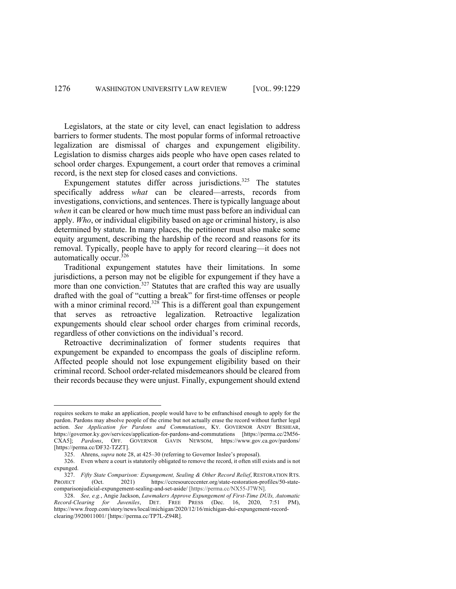Legislators, at the state or city level, can enact legislation to address barriers to former students. The most popular forms of informal retroactive legalization are dismissal of charges and expungement eligibility. Legislation to dismiss charges aids people who have open cases related to school order charges. Expungement, a court order that removes a criminal record, is the next step for closed cases and convictions.

Expungement statutes differ across jurisdictions.<sup>325</sup> The statutes specifically address *what* can be cleared—arrests, records from investigations, convictions, and sentences. There is typically language about *when* it can be cleared or how much time must pass before an individual can apply. *Who*, or individual eligibility based on age or criminal history, is also determined by statute. In many places, the petitioner must also make some equity argument, describing the hardship of the record and reasons for its removal. Typically, people have to apply for record clearing—it does not automatically occur.326

Traditional expungement statutes have their limitations. In some jurisdictions, a person may not be eligible for expungement if they have a more than one conviction.<sup>327</sup> Statutes that are crafted this way are usually drafted with the goal of "cutting a break" for first-time offenses or people with a minor criminal record.<sup>328</sup> This is a different goal than expungement that serves as retroactive legalization. Retroactive legalization expungements should clear school order charges from criminal records, regardless of other convictions on the individual's record.

Retroactive decriminalization of former students requires that expungement be expanded to encompass the goals of discipline reform. Affected people should not lose expungement eligibility based on their criminal record. School order-related misdemeanors should be cleared from their records because they were unjust. Finally, expungement should extend

requires seekers to make an application, people would have to be enfranchised enough to apply for the pardon. Pardons may absolve people of the crime but not actually erase the record without further legal action. *See Application for Pardons and Commutations*, KY. GOVERNOR ANDY BESHEAR, https://governor.ky.gov/services/application-for-pardons-and-commutations [https://perma.cc/2M56- CXA5]; *Pardons*, OFF. GOVERNOR GAVIN NEWSOM, https://www.gov.ca.gov/pardons/ [https://perma.cc/DF32-TZZT].

<sup>325.</sup> Ahrens, *supra* note 28, at 425–30 (referring to Governor Inslee's proposal).

<sup>326.</sup> Even where a court is statutorily obligated to remove the record, it often still exists and is not expunged.

<sup>327.</sup> *Fifty State Comparison: Expungement, Sealing & Other Record Relief, RESTORATION RTS.*<br>
IECT (Oct 2021) https://ccresourcecenter.org/state-restoration-profiles/50-state-PROJECT (Oct. 2021) https://ccresourcecenter.org/state-restoration-profiles/50-statecomparisonjudicial-expungement-sealing-and-set-aside/ [https://perma.cc/NX55-J7WN].

<sup>328.</sup> *See, e.g.*, Angie Jackson, *Lawmakers Approve Expungement of First-Time DUIs, Automatic Record-Clearing for Juveniles*, DET. FREE PRESS (Dec. 16, 2020, 7:51 PM), https://www.freep.com/story/news/local/michigan/2020/12/16/michigan-dui-expungement-recordclearing/3920011001/ [https://perma.cc/TP7L-Z94R].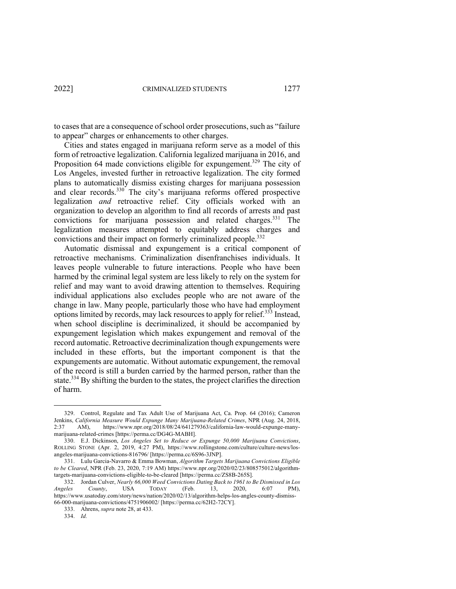to cases that are a consequence of school order prosecutions, such as "failure to appear" charges or enhancements to other charges.

Cities and states engaged in marijuana reform serve as a model of this form of retroactive legalization. California legalized marijuana in 2016, and Proposition 64 made convictions eligible for expungement.<sup>329</sup> The city of Los Angeles, invested further in retroactive legalization. The city formed plans to automatically dismiss existing charges for marijuana possession and clear records.<sup>330</sup> The city's marijuana reforms offered prospective legalization *and* retroactive relief. City officials worked with an organization to develop an algorithm to find all records of arrests and past convictions for marijuana possession and related charges.<sup>331</sup> The legalization measures attempted to equitably address charges and convictions and their impact on formerly criminalized people.<sup>332</sup>

Automatic dismissal and expungement is a critical component of retroactive mechanisms. Criminalization disenfranchises individuals. It leaves people vulnerable to future interactions. People who have been harmed by the criminal legal system are less likely to rely on the system for relief and may want to avoid drawing attention to themselves. Requiring individual applications also excludes people who are not aware of the change in law. Many people, particularly those who have had employment options limited by records, may lack resources to apply for relief.<sup>333</sup> Instead, when school discipline is decriminalized, it should be accompanied by expungement legislation which makes expungement and removal of the record automatic. Retroactive decriminalization though expungements were included in these efforts, but the important component is that the expungements are automatic. Without automatic expungement, the removal of the record is still a burden carried by the harmed person, rather than the state.<sup>334</sup> By shifting the burden to the states, the project clarifies the direction of harm.

<sup>329.</sup> Control, Regulate and Tax Adult Use of Marijuana Act, Ca. Prop. 64 (2016); Cameron Jenkins, *California Measure Would Expunge Many Marijuana-Related Crimes*, NPR (Aug. 24, 2018, 2:37 AM), https://www.npr.org/2018/08/24/641279363/california-law-would-expunge-manymarijuana-related-crimes [https://perma.cc/DG4G-MABH].

<sup>330.</sup> E.J. Dickinson, *Los Angeles Set to Reduce or Expunge 50,000 Marijuana Convictions*, ROLLING STONE (Apr. 2, 2019, 4:27 PM), https://www.rollingstone.com/culture/culture-news/losangeles-marijuana-convictions-816796/ [https://perma.cc/6S96-3JNP].

<sup>331.</sup> Lulu Garcia-Navarro & Emma Bowman, *Algorithm Targets Marijuana Convictions Eligible to be Cleared*, NPR (Feb. 23, 2020, 7:19 AM) https://www.npr.org/2020/02/23/808575012/algorithmtargets-marijuana-convictions-eligible-to-be-cleared [https://perma.cc/ZS8B-265S].

<sup>332.</sup> Jordan Culver, *Nearly 66,000 Weed Convictions Dating Back to 1961 to Be Dismissed in Los Angeles County*, USA TODAY (Feb. 13, 2020, 6:07 PM), https://www.usatoday.com/story/news/nation/2020/02/13/algorithm-helps-los-angles-county-dismiss-66-000-marijuana-convictions/4751906002/ [https://perma.cc/62H2-72CY].

<sup>333.</sup> Ahrens, *supra* note 28, at 433.

<sup>334.</sup> *Id.*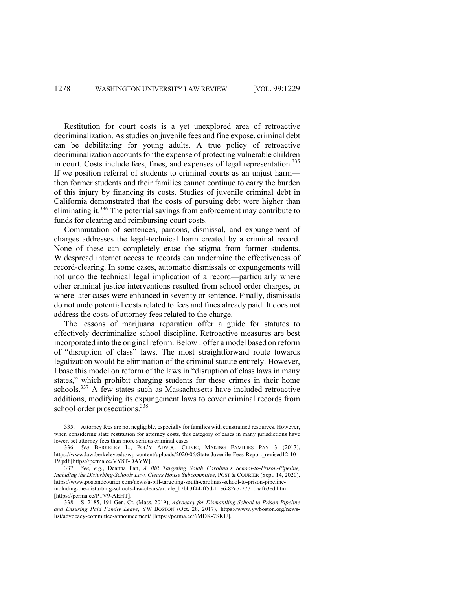Restitution for court costs is a yet unexplored area of retroactive decriminalization. As studies on juvenile fees and fine expose, criminal debt can be debilitating for young adults. A true policy of retroactive decriminalization accounts for the expense of protecting vulnerable children in court. Costs include fees, fines, and expenses of legal representation.<sup>335</sup> If we position referral of students to criminal courts as an unjust harm then former students and their families cannot continue to carry the burden of this injury by financing its costs. Studies of juvenile criminal debt in California demonstrated that the costs of pursuing debt were higher than eliminating it.<sup>336</sup> The potential savings from enforcement may contribute to funds for clearing and reimbursing court costs.

Commutation of sentences, pardons, dismissal, and expungement of charges addresses the legal-technical harm created by a criminal record. None of these can completely erase the stigma from former students. Widespread internet access to records can undermine the effectiveness of record-clearing. In some cases, automatic dismissals or expungements will not undo the technical legal implication of a record—particularly where other criminal justice interventions resulted from school order charges, or where later cases were enhanced in severity or sentence. Finally, dismissals do not undo potential costs related to fees and fines already paid. It does not address the costs of attorney fees related to the charge.

The lessons of marijuana reparation offer a guide for statutes to effectively decriminalize school discipline. Retroactive measures are best incorporated into the original reform. Below I offer a model based on reform of "disruption of class" laws. The most straightforward route towards legalization would be elimination of the criminal statute entirely. However, I base this model on reform of the laws in "disruption of class laws in many states," which prohibit charging students for these crimes in their home schools.<sup>337</sup> A few states such as Massachusetts have included retroactive additions, modifying its expungement laws to cover criminal records from school order prosecutions.<sup>338</sup>

<sup>335.</sup> Attorney fees are not negligible, especially for families with constrained resources. However, when considering state restitution for attorney costs, this category of cases in many jurisdictions have lower, set attorney fees than more serious criminal cases.

<sup>336.</sup> *See* BERKELEY L., POL'Y ADVOC. CLINIC, MAKING FAMILIES PAY 3 (2017), https://www.law.berkeley.edu/wp-content/uploads/2020/06/State-Juvenile-Fees-Report\_revised12-10- 19.pdf [https://perma.cc/VY8T-DAYW].

<sup>337.</sup> *See, e.g.*, Deanna Pan, *A Bill Targeting South Carolina's School-to-Prison-Pipeline, Including the Disturbing-Schools Law, Clears House Subcommittee*, POST & COURIER (Sept. 14, 2020), https://www.postandcourier.com/news/a-bill-targeting-south-carolinas-school-to-prison-pipelineincluding-the-disturbing-schools-law-clears/article\_b7bb3f44-ff5d-11e6-82c7-77710aaf63ed.html [https://perma.cc/PTV9-AEHT].

<sup>338.</sup> S. 2185, 191 Gen. Ct. (Mass. 2019); *Advocacy for Dismantling School to Prison Pipeline and Ensuring Paid Family Leave*, YW BOSTON (Oct. 28, 2017), https://www.ywboston.org/newslist/advocacy-committee-announcement/ [https://perma.cc/6MDK-7SKU].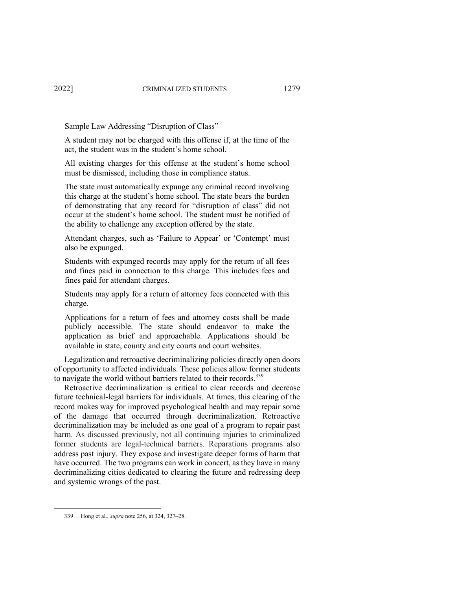Sample Law Addressing "Disruption of Class"

A student may not be charged with this offense if, at the time of the act, the student was in the student's home school.

All existing charges for this offense at the student's home school must be dismissed, including those in compliance status.

The state must automatically expunge any criminal record involving this charge at the student's home school. The state bears the burden of demonstrating that any record for "disruption of class" did not occur at the student's home school. The student must be notified of the ability to challenge any exception offered by the state.

Attendant charges, such as 'Failure to Appear' or 'Contempt' must also be expunged.

Students with expunged records may apply for the return of all fees and fines paid in connection to this charge. This includes fees and fines paid for attendant charges.

Students may apply for a return of attorney fees connected with this charge.

Applications for a return of fees and attorney costs shall be made publicly accessible. The state should endeavor to make the application as brief and approachable. Applications should be available in state, county and city courts and court websites.

Legalization and retroactive decriminalizing policies directly open doors of opportunity to affected individuals. These policies allow former students to navigate the world without barriers related to their records.<sup>339</sup>

Retroactive decriminalization is critical to clear records and decrease future technical-legal barriers for individuals. At times, this clearing of the record makes way for improved psychological health and may repair some of the damage that occurred through decriminalization. Retroactive decriminalization may be included as one goal of a program to repair past harm. As discussed previously, not all continuing injuries to criminalized former students are legal-technical barriers. Reparations programs also address past injury. They expose and investigate deeper forms of harm that have occurred. The two programs can work in concert, as they have in many decriminalizing cities dedicated to clearing the future and redressing deep and systemic wrongs of the past.

<sup>339.</sup> Hong et al., *supra* note 256, at 324, 327–28.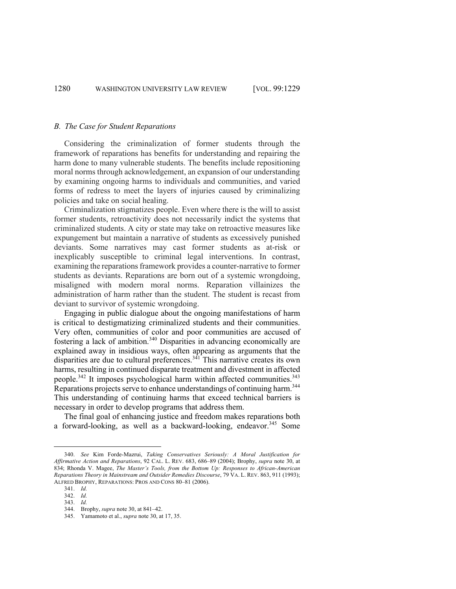#### *B. The Case for Student Reparations*

Considering the criminalization of former students through the framework of reparations has benefits for understanding and repairing the harm done to many vulnerable students. The benefits include repositioning moral norms through acknowledgement, an expansion of our understanding by examining ongoing harms to individuals and communities, and varied forms of redress to meet the layers of injuries caused by criminalizing policies and take on social healing.

Criminalization stigmatizes people. Even where there is the will to assist former students, retroactivity does not necessarily indict the systems that criminalized students. A city or state may take on retroactive measures like expungement but maintain a narrative of students as excessively punished deviants. Some narratives may cast former students as at-risk or inexplicably susceptible to criminal legal interventions. In contrast, examining the reparations framework provides a counter-narrative to former students as deviants. Reparations are born out of a systemic wrongdoing, misaligned with modern moral norms. Reparation villainizes the administration of harm rather than the student. The student is recast from deviant to survivor of systemic wrongdoing.

Engaging in public dialogue about the ongoing manifestations of harm is critical to destigmatizing criminalized students and their communities. Very often, communities of color and poor communities are accused of fostering a lack of ambition.<sup>340</sup> Disparities in advancing economically are explained away in insidious ways, often appearing as arguments that the disparities are due to cultural preferences. $341$  This narrative creates its own harms, resulting in continued disparate treatment and divestment in affected people.<sup>342</sup> It imposes psychological harm within affected communities.<sup>343</sup> Reparations projects serve to enhance understandings of continuing harm.<sup>344</sup> This understanding of continuing harms that exceed technical barriers is necessary in order to develop programs that address them.

The final goal of enhancing justice and freedom makes reparations both a forward-looking, as well as a backward-looking, endeavor.<sup>345</sup> Some

<sup>340.</sup> *See* Kim Forde-Mazrui, *Taking Conservatives Seriously: A Moral Justification for Affirmative Action and Reparations*, 92 CAL. L. REV. 683, 686–89 (2004); Brophy, *supra* note 30, at 834; Rhonda V. Magee, *The Master's Tools, from the Bottom Up: Responses to African-American Reparations Theory in Mainstream and Outsider Remedies Discourse*, 79 VA. L. REV. 863, 911 (1993); ALFRED BROPHY, REPARATIONS: PROS AND CONS 80–81 (2006).

<sup>341.</sup> *Id.* 

<sup>342.</sup> *Id.* 

<sup>343.</sup> *Id.* 

<sup>344.</sup> Brophy, *supra* note 30, at 841–42.

<sup>345.</sup> Yamamoto et al., *supra* note 30, at 17, 35.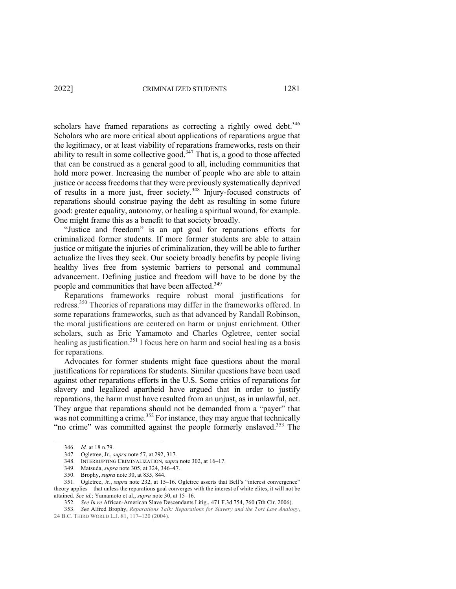scholars have framed reparations as correcting a rightly owed debt.<sup>346</sup> Scholars who are more critical about applications of reparations argue that the legitimacy, or at least viability of reparations frameworks, rests on their ability to result in some collective good.<sup>347</sup> That is, a good to those affected that can be construed as a general good to all, including communities that hold more power. Increasing the number of people who are able to attain justice or access freedoms that they were previously systematically deprived of results in a more just, freer society.<sup>348</sup> Injury-focused constructs of reparations should construe paying the debt as resulting in some future good: greater equality, autonomy, or healing a spiritual wound, for example. One might frame this as a benefit to that society broadly.

"Justice and freedom" is an apt goal for reparations efforts for criminalized former students. If more former students are able to attain justice or mitigate the injuries of criminalization, they will be able to further actualize the lives they seek. Our society broadly benefits by people living healthy lives free from systemic barriers to personal and communal advancement. Defining justice and freedom will have to be done by the people and communities that have been affected.<sup>349</sup>

Reparations frameworks require robust moral justifications for redress.<sup>350</sup> Theories of reparations may differ in the frameworks offered. In some reparations frameworks, such as that advanced by Randall Robinson, the moral justifications are centered on harm or unjust enrichment. Other scholars, such as Eric Yamamoto and Charles Ogletree, center social healing as justification.<sup>351</sup> I focus here on harm and social healing as a basis for reparations.

Advocates for former students might face questions about the moral justifications for reparations for students. Similar questions have been used against other reparations efforts in the U.S. Some critics of reparations for slavery and legalized apartheid have argued that in order to justify reparations, the harm must have resulted from an unjust, as in unlawful, act. They argue that reparations should not be demanded from a "payer" that was not committing a crime.<sup>352</sup> For instance, they may argue that technically "no crime" was committed against the people formerly enslaved.<sup>353</sup> The

<sup>346.</sup> *Id.* at 18 n.79.

<sup>347.</sup> Ogletree, Jr., *supra* note 57, at 292, 317.

<sup>348.</sup> INTERRUPTING CRIMINALIZATION, *supra* note 302, at 16–17.

<sup>349.</sup> Matsuda, *supra* note 305, at 324, 346–47.

<sup>350.</sup> Brophy, *supra* note 30, at 835, 844.

<sup>351.</sup> Ogletree, Jr., *supra* note 232, at 15–16. Ogletree asserts that Bell's "interest convergence" theory applies—that unless the reparations goal converges with the interest of white elites, it will not be attained. *See id.*; Yamamoto et al., *supra* note 30, at 15–16.

<sup>352.</sup> *See In re* African-American Slave Descendants Litig., 471 F.3d 754, 760 (7th Cir. 2006).

<sup>353.</sup> *See* Alfred Brophy, *Reparations Talk: Reparations for Slavery and the Tort Law Analogy*, 24 B.C. THIRD WORLD L.J. 81, 117–120 (2004).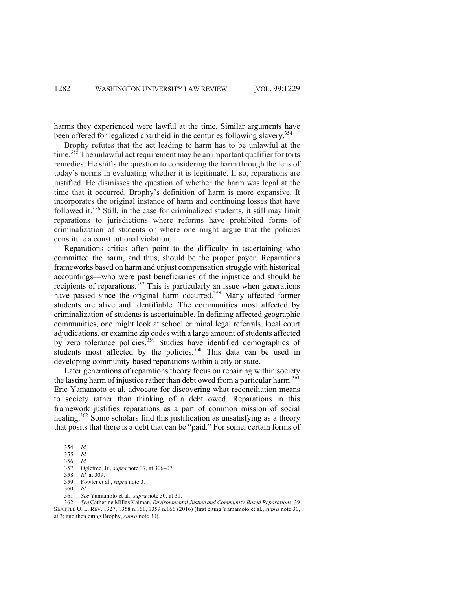harms they experienced were lawful at the time. Similar arguments have been offered for legalized apartheid in the centuries following slavery.<sup>354</sup>

Brophy refutes that the act leading to harm has to be unlawful at the time.<sup>355</sup> The unlawful act requirement may be an important qualifier for torts remedies. He shifts the question to considering the harm through the lens of today's norms in evaluating whether it is legitimate. If so, reparations are justified. He dismisses the question of whether the harm was legal at the time that it occurred. Brophy's definition of harm is more expansive. It incorporates the original instance of harm and continuing losses that have followed it.<sup>356</sup> Still, in the case for criminalized students, it still may limit reparations to jurisdictions where reforms have prohibited forms of criminalization of students or where one might argue that the policies constitute a constitutional violation.

Reparations critics often point to the difficulty in ascertaining who committed the harm, and thus, should be the proper payer. Reparations frameworks based on harm and unjust compensation struggle with historical accountings—who were past beneficiaries of the injustice and should be recipients of reparations.<sup> $357$ </sup> This is particularly an issue when generations have passed since the original harm occurred.<sup>358</sup> Many affected former students are alive and identifiable. The communities most affected by criminalization of students is ascertainable. In defining affected geographic communities, one might look at school criminal legal referrals, local court adjudications, or examine zip codes with a large amount of students affected by zero tolerance policies.<sup>359</sup> Studies have identified demographics of students most affected by the policies.<sup>360</sup> This data can be used in developing community-based reparations within a city or state.

Later generations of reparations theory focus on repairing within society the lasting harm of injustice rather than debt owed from a particular harm.<sup>361</sup> Eric Yamamoto et al. advocate for discovering what reconciliation means to society rather than thinking of a debt owed. Reparations in this framework justifies reparations as a part of common mission of social healing.<sup>362</sup> Some scholars find this justification as unsatisfying as a theory that posits that there is a debt that can be "paid." For some, certain forms of

- 359. Fowler et al., *supra* note 3.
- 360. *Id.*
- 361. *See* Yamamoto et al., *supra* note 30, at 31.

<sup>354.</sup> *Id.*

<sup>355.</sup> *Id.*

<sup>356.</sup> *Id.* 

<sup>357.</sup> Ogletree, Jr*.*, *supra* note 37, at 306–07.

<sup>358.</sup> *Id.* at 309.

<sup>362.</sup> *See* Catherine Millas Kaiman, *Environmental Justice and Community-Based Reparations*, 39 SEATTLE U. L. REV. 1327, 1358 n.161, 1359 n.166 (2016) (first citing Yamamoto et al., *supra* note 30, at 3; and then citing Brophy, *supra* note 30).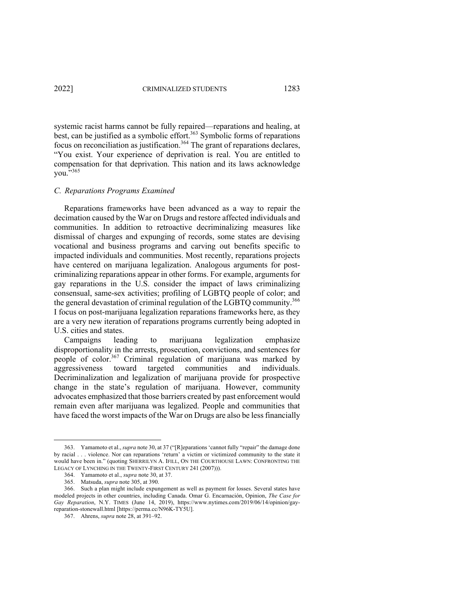systemic racist harms cannot be fully repaired—reparations and healing, at best, can be justified as a symbolic effort.<sup>363</sup> Symbolic forms of reparations focus on reconciliation as justification.<sup>364</sup> The grant of reparations declares, "You exist. Your experience of deprivation is real. You are entitled to compensation for that deprivation. This nation and its laws acknowledge vou. $\overline{5}$ <sup>365</sup>

#### *C. Reparations Programs Examined*

Reparations frameworks have been advanced as a way to repair the decimation caused by the War on Drugs and restore affected individuals and communities. In addition to retroactive decriminalizing measures like dismissal of charges and expunging of records, some states are devising vocational and business programs and carving out benefits specific to impacted individuals and communities. Most recently, reparations projects have centered on marijuana legalization. Analogous arguments for postcriminalizing reparations appear in other forms. For example, arguments for gay reparations in the U.S. consider the impact of laws criminalizing consensual, same-sex activities; profiling of LGBTQ people of color; and the general devastation of criminal regulation of the LGBTQ community.<sup>366</sup> I focus on post-marijuana legalization reparations frameworks here, as they are a very new iteration of reparations programs currently being adopted in U.S. cities and states.

Campaigns leading to marijuana legalization emphasize disproportionality in the arrests, prosecution, convictions, and sentences for people of color.<sup>367</sup> Criminal regulation of marijuana was marked by aggressiveness toward targeted communities and individuals. Decriminalization and legalization of marijuana provide for prospective change in the state's regulation of marijuana. However, community advocates emphasized that those barriers created by past enforcement would remain even after marijuana was legalized. People and communities that have faced the worst impacts of the War on Drugs are also be less financially

<sup>363.</sup> Yamamoto et al., *supra* note 30, at 37 ("[R]eparations 'cannot fully "repair" the damage done by racial . . . violence. Nor can reparations 'return' a victim or victimized community to the state it would have been in." (quoting SHERRILYN A. IFILL, ON THE COURTHOUSE LAWN: CONFRONTING THE LEGACY OF LYNCHING IN THE TWENTY-FIRST CENTURY 241 (2007))).

<sup>364.</sup> Yamamoto et al., *supra* note 30, at 37.

<sup>365.</sup> Matsuda, *supra* note 305, at 390.

<sup>366.</sup> Such a plan might include expungement as well as payment for losses. Several states have modeled projects in other countries, including Canada. Omar G. Encarnación, Opinion, *The Case for Gay Reparation*, N.Y. TIMES (June 14, 2019), https://www.nytimes.com/2019/06/14/opinion/gayreparation-stonewall.html [https://perma.cc/N96K-TY5U].

<sup>367.</sup> Ahrens, *supra* note 28, at 391–92.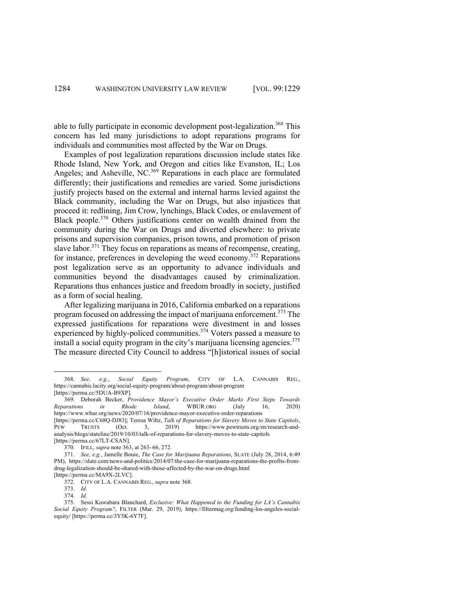able to fully participate in economic development post-legalization.<sup>368</sup> This concern has led many jurisdictions to adopt reparations programs for individuals and communities most affected by the War on Drugs.

Examples of post legalization reparations discussion include states like Rhode Island, New York, and Oregon and cities like Evanston, IL; Los Angeles; and Asheville, NC.<sup>369</sup> Reparations in each place are formulated differently; their justifications and remedies are varied. Some jurisdictions justify projects based on the external and internal harms levied against the Black community, including the War on Drugs, but also injustices that proceed it: redlining, Jim Crow, lynchings, Black Codes, or enslavement of Black people.<sup>370</sup> Others justifications center on wealth drained from the community during the War on Drugs and diverted elsewhere: to private prisons and supervision companies, prison towns, and promotion of prison slave labor.<sup>371</sup> They focus on reparations as means of recompense, creating, for instance, preferences in developing the weed economy.<sup>372</sup> Reparations post legalization serve as an opportunity to advance individuals and communities beyond the disadvantages caused by criminalization. Reparations thus enhances justice and freedom broadly in society, justified as a form of social healing.

After legalizing marijuana in 2016, California embarked on a reparations program focused on addressing the impact of marijuana enforcement.<sup>373</sup> The expressed justifications for reparations were divestment in and losses experienced by highly-policed communities.<sup>374</sup> Voters passed a measure to install a social equity program in the city's marijuana licensing agencies.<sup>375</sup> The measure directed City Council to address "[h]istorical issues of social

<sup>368.</sup> *See, e.g.*, *Social Equity Program*, CITY OF L.A. CANNABIS REG., https://cannabis.lacity.org/social-equity-program/about-program/about-program [https://perma.cc/5DUA-B9XP].

<sup>369.</sup> Deborah Becker, *Providence Mayor's Executive Order Marks First Steps Towards Reparations in Rhode Island*, WBUR.ORG (July 16, 2020) https://www.wbur.org/news/2020/07/16/providence-mayor-executive-order-reparations [https://perma.cc/C68Q-DJ83]; Teresa Wiltz, *Talk of Reparations for Slavery Moves to State Capitols*, PEW TRUSTS (Oct. 3, 2019) https://www.pewtrusts.org/en/research-and-

analysis/blogs/stateline/2019/10/03/talk-of-reparations-for-slavery-moves-to-state-capitols [https://perma.cc/67LT-CSAN].

<sup>370.</sup> IFILL, *supra* note 363, at 263–66, 272.

<sup>371.</sup> *See, e.g.*, Jamelle Bouie, *The Case for Marijuana Reparations*, SLATE (July 28, 2014, 6:49 PM), https://slate.com/news-and-politics/2014/07/the-case-for-marijuana-reparations-the-profits-fromdrug-legalization-should-be-shared-with-those-affected-by-the-war-on-drugs.html [https://perma.cc/MA9X-2LVC].

<sup>372.</sup> CITY OF L.A. CANNABIS REG., *supra* note 368.

<sup>373.</sup> *Id.* 

<sup>374.</sup> *Id.*

<sup>375.</sup> Sessi Kuwabara Blanchard, *Exclusive: What Happened to the Funding for LA's Cannabis Social Equity Program?*, FILTER (Mar. 29, 2019), https://filtermag.org/funding-los-angeles-socialequity/ [https://perma.cc/3Y5K-6Y7F].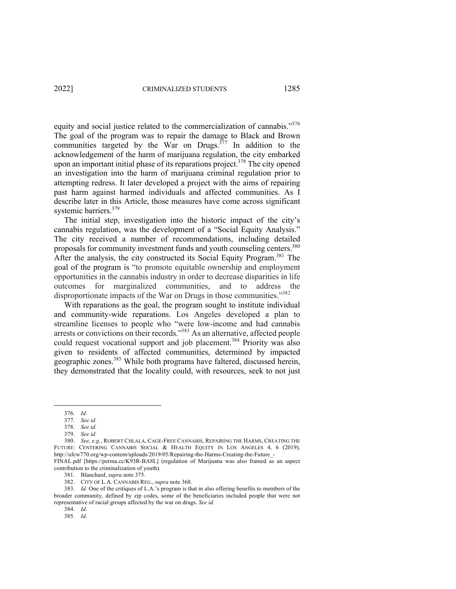equity and social justice related to the commercialization of cannabis."376 The goal of the program was to repair the damage to Black and Brown communities targeted by the War on Drugs. $377$  In addition to the acknowledgement of the harm of marijuana regulation, the city embarked upon an important initial phase of its reparations project.<sup>378</sup> The city opened an investigation into the harm of marijuana criminal regulation prior to attempting redress. It later developed a project with the aims of repairing past harm against harmed individuals and affected communities. As I describe later in this Article, those measures have come across significant systemic barriers.<sup>379</sup>

The initial step, investigation into the historic impact of the city's cannabis regulation, was the development of a "Social Equity Analysis." The city received a number of recommendations, including detailed proposals for community investment funds and youth counseling centers.<sup>380</sup> After the analysis, the city constructed its Social Equity Program.<sup>381</sup> The goal of the program is "to promote equitable ownership and employment opportunities in the cannabis industry in order to decrease disparities in life outcomes for marginalized communities, and to address the disproportionate impacts of the War on Drugs in those communities."382

With reparations as the goal, the program sought to institute individual and community-wide reparations. Los Angeles developed a plan to streamline licenses to people who "were low-income and had cannabis arrests or convictions on their records."383 As an alternative, affected people could request vocational support and job placement.<sup>384</sup> Priority was also given to residents of affected communities, determined by impacted geographic zones.<sup>385</sup> While both programs have faltered, discussed herein, they demonstrated that the locality could, with resources, seek to not just

381. Blanchard, *supra* note 375.

382. CITY OF L.A. CANNABIS REG., *supra* note 368.

383. *Id.* One of the critiques of L.A.'s program is that in also offering benefits to members of the broader community, defined by zip codes, some of the beneficiaries included people that were not representative of racial groups affected by the war on drugs. *See id.*

384. *Id.*

385. *Id.*

<sup>376.</sup> *Id.*

<sup>377.</sup> *See id.*

<sup>378.</sup> *See id.* 379. *See id.*

<sup>380.</sup> *See, e.g.*, ROBERT CHLALA, CAGE-FREE CANNABIS, REPAIRING THE HARMS, CREATING THE FUTURE: CENTERING CANNABIS SOCIAL & HEALTH EQUITY IN LOS ANGELES 4, 6 (2019), http://ufcw770.org/wp-content/uploads/2019/05/Repairing-the-Harms-Creating-the-Future\_-

FINAL.pdf [https://perma.cc/K93R-BA8L] (regulation of Marijuana was also framed as an aspect contribution to the criminalization of youth).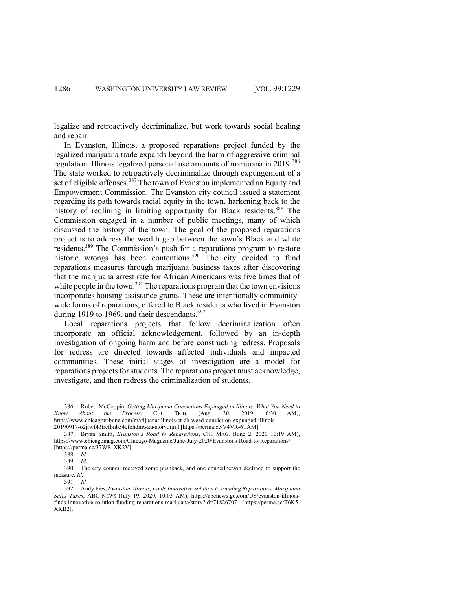legalize and retroactively decriminalize, but work towards social healing and repair.

In Evanston, Illinois, a proposed reparations project funded by the legalized marijuana trade expands beyond the harm of aggressive criminal regulation. Illinois legalized personal use amounts of marijuana in 2019.<sup>386</sup> The state worked to retroactively decriminalize through expungement of a set of eligible offenses.<sup>387</sup> The town of Evanston implemented an Equity and Empowerment Commission. The Evanston city council issued a statement regarding its path towards racial equity in the town, harkening back to the history of redlining in limiting opportunity for Black residents.<sup>388</sup> The Commission engaged in a number of public meetings, many of which discussed the history of the town. The goal of the proposed reparations project is to address the wealth gap between the town's Black and white residents.389 The Commission's push for a reparations program to restore historic wrongs has been contentious.<sup>390</sup> The city decided to fund reparations measures through marijuana business taxes after discovering that the marijuana arrest rate for African Americans was five times that of white people in the town.<sup>391</sup> The reparations program that the town envisions incorporates housing assistance grants. These are intentionally communitywide forms of reparations, offered to Black residents who lived in Evanston during 1919 to 1969, and their descendants.<sup>392</sup>

Local reparations projects that follow decriminalization often incorporate an official acknowledgement, followed by an in-depth investigation of ongoing harm and before constructing redress. Proposals for redress are directed towards affected individuals and impacted communities. These initial stages of investigation are a model for reparations projects for students. The reparations project must acknowledge, investigate, and then redress the criminalization of students.

<sup>386.</sup> Robert McCoppin, *Getting Marijuana Convictions Expunged in Illinois: What You Need to Know About the Process*, CHI. TRIB. (Aug. 30, 2019, 6:30 AM), https://www.chicagotribune.com/marijuana/illinois/ct-cb-weed-conviction-expunged-illinois-20190917-o2jrwf43trefbnb54efohdmwzu-story.html [https://perma.cc/V4VR-6TAM].

<sup>387.</sup> Bryan Smith, *Evanston's Road to Reparations*, CHI. MAG. (June 2, 2020 10:19 AM), https://www.chicagomag.com/Chicago-Magazine/June-July-2020/Evanstons-Road-to-Reparations/ [https://perma.cc/37WR-XK2V].

<sup>388.</sup> *Id.*

<sup>389.</sup> *Id.*

<sup>390.</sup> The city council received some pushback, and one councilperson declined to support the measure. *Id.*

<sup>391.</sup> *Id.*

<sup>392.</sup> Andy Fies, *Evanston, Illinois, Finds Innovative Solution to Funding Reparations: Marijuana Sales Taxes*, ABC NEWS (July 19, 2020, 10:03 AM), https://abcnews.go.com/US/evanston-illinoisfinds-innovative-solution-funding-reparations-marijuana/story?id=71826707 [https://perma.cc/T6K5- XKB2].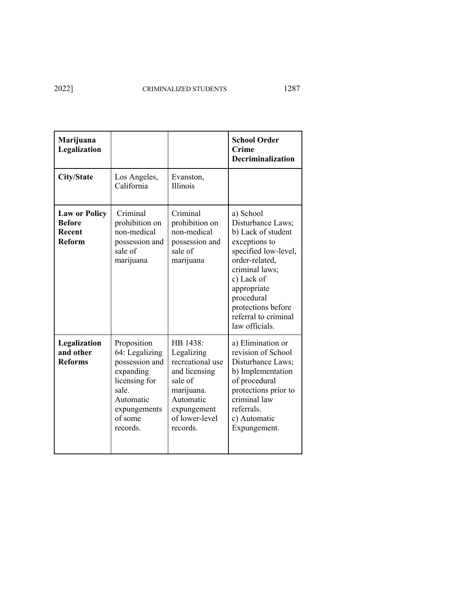| Marijuana<br>Legalization                                        |                                                                                                                                            |                                                                                                                                                | <b>School Order</b><br><b>Crime</b><br><b>Decriminalization</b>                                                                                                                                                                              |
|------------------------------------------------------------------|--------------------------------------------------------------------------------------------------------------------------------------------|------------------------------------------------------------------------------------------------------------------------------------------------|----------------------------------------------------------------------------------------------------------------------------------------------------------------------------------------------------------------------------------------------|
| <b>City/State</b>                                                | Los Angeles,<br>California                                                                                                                 | Evanston,<br><b>Illinois</b>                                                                                                                   |                                                                                                                                                                                                                                              |
| <b>Law or Policy</b><br><b>Before</b><br>Recent<br><b>Reform</b> | Criminal<br>prohibition on<br>non-medical<br>possession and<br>sale of<br>marijuana                                                        | Criminal<br>prohibition on<br>non-medical<br>possession and<br>sale of<br>marijuana                                                            | a) School<br>Disturbance Laws;<br>b) Lack of student<br>exceptions to<br>specified low-level,<br>order-related,<br>criminal laws;<br>c) Lack of<br>appropriate<br>procedural<br>protections before<br>referral to criminal<br>law officials. |
| Legalization<br>and other<br><b>Reforms</b>                      | Proposition<br>64: Legalizing<br>possession and<br>expanding<br>licensing for<br>sale.<br>Automatic<br>expungements<br>of some<br>records. | HB 1438:<br>Legalizing<br>recreational use<br>and licensing<br>sale of<br>marijuana.<br>Automatic<br>expungement<br>of lower-level<br>records. | a) Elimination or<br>revision of School<br>Disturbance Laws;<br>b) Implementation<br>of procedural<br>protections prior to<br>criminal law<br>referrals.<br>c) Automatic<br>Expungement.                                                     |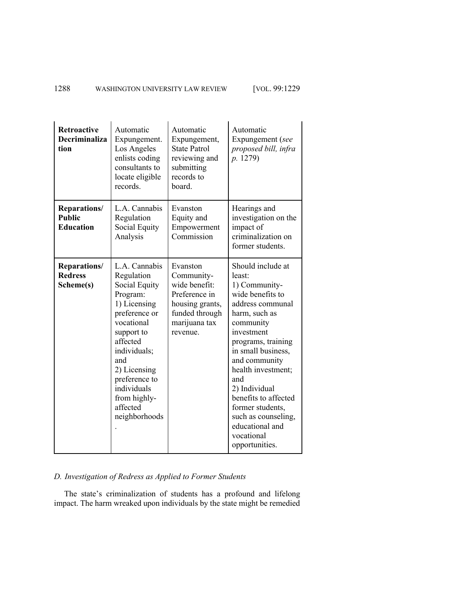| <b>Retroactive</b><br><b>Decriminaliza</b><br>tion | Automatic<br>Expungement.<br>Los Angeles<br>enlists coding<br>consultants to<br>locate eligible<br>records.                                                                                                                                           | Automatic<br>Expungement,<br><b>State Patrol</b><br>reviewing and<br>submitting<br>records to<br>board.                    | Automatic<br>Expungement (see<br>proposed bill, infra<br>p. 1279)                                                                                                                                                                                                                                                                                                 |
|----------------------------------------------------|-------------------------------------------------------------------------------------------------------------------------------------------------------------------------------------------------------------------------------------------------------|----------------------------------------------------------------------------------------------------------------------------|-------------------------------------------------------------------------------------------------------------------------------------------------------------------------------------------------------------------------------------------------------------------------------------------------------------------------------------------------------------------|
| Reparations/<br><b>Public</b><br><b>Education</b>  | L.A. Cannabis<br>Regulation<br>Social Equity<br>Analysis                                                                                                                                                                                              | Evanston<br>Equity and<br>Empowerment<br>Commission                                                                        | Hearings and<br>investigation on the<br>impact of<br>criminalization on<br>former students.                                                                                                                                                                                                                                                                       |
| <b>Reparations/</b><br><b>Redress</b><br>Scheme(s) | L.A. Cannabis<br>Regulation<br>Social Equity<br>Program:<br>1) Licensing<br>preference or<br>vocational<br>support to<br>affected<br>individuals;<br>and<br>2) Licensing<br>preference to<br>individuals<br>from highly-<br>affected<br>neighborhoods | Evanston<br>Community-<br>wide benefit:<br>Preference in<br>housing grants,<br>funded through<br>marijuana tax<br>revenue. | Should include at<br>least:<br>1) Community-<br>wide benefits to<br>address communal<br>harm, such as<br>community<br>investment<br>programs, training<br>in small business,<br>and community<br>health investment;<br>and<br>2) Individual<br>benefits to affected<br>former students,<br>such as counseling,<br>educational and<br>vocational<br>opportunities. |

# *D. Investigation of Redress as Applied to Former Students*

The state's criminalization of students has a profound and lifelong impact. The harm wreaked upon individuals by the state might be remedied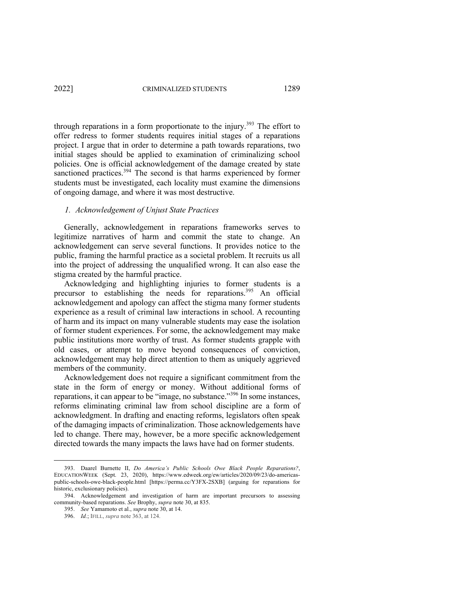through reparations in a form proportionate to the injury.<sup>393</sup> The effort to offer redress to former students requires initial stages of a reparations project. I argue that in order to determine a path towards reparations, two initial stages should be applied to examination of criminalizing school policies. One is official acknowledgement of the damage created by state sanctioned practices.<sup>394</sup> The second is that harms experienced by former students must be investigated, each locality must examine the dimensions of ongoing damage, and where it was most destructive.

#### *1. Acknowledgement of Unjust State Practices*

Generally, acknowledgement in reparations frameworks serves to legitimize narratives of harm and commit the state to change. An acknowledgement can serve several functions. It provides notice to the public, framing the harmful practice as a societal problem. It recruits us all into the project of addressing the unqualified wrong. It can also ease the stigma created by the harmful practice.

Acknowledging and highlighting injuries to former students is a precursor to establishing the needs for reparations.<sup>395</sup> An official acknowledgement and apology can affect the stigma many former students experience as a result of criminal law interactions in school. A recounting of harm and its impact on many vulnerable students may ease the isolation of former student experiences. For some, the acknowledgement may make public institutions more worthy of trust. As former students grapple with old cases, or attempt to move beyond consequences of conviction, acknowledgement may help direct attention to them as uniquely aggrieved members of the community.

Acknowledgement does not require a significant commitment from the state in the form of energy or money. Without additional forms of reparations, it can appear to be "image, no substance."<sup>396</sup> In some instances, reforms eliminating criminal law from school discipline are a form of acknowledgment. In drafting and enacting reforms, legislators often speak of the damaging impacts of criminalization. Those acknowledgements have led to change. There may, however, be a more specific acknowledgement directed towards the many impacts the laws have had on former students.

<sup>393.</sup> Daarel Burnette II, *Do America's Public Schools Owe Black People Reparations?*, EDUCATIONWEEK (Sept. 23, 2020), https://www.edweek.org/ew/articles/2020/09/23/do-americaspublic-schools-owe-black-people.html [https://perma.cc/Y3FX-2SXB] (arguing for reparations for historic, exclusionary policies).

<sup>394.</sup> Acknowledgement and investigation of harm are important precursors to assessing community-based reparations. *See* Brophy, *supra* note 30, at 835.

<sup>395.</sup> *See* Yamamoto et al., *supra* note 30, at 14.

<sup>396.</sup> *Id.*; IFILL, *supra* note 363, at 124.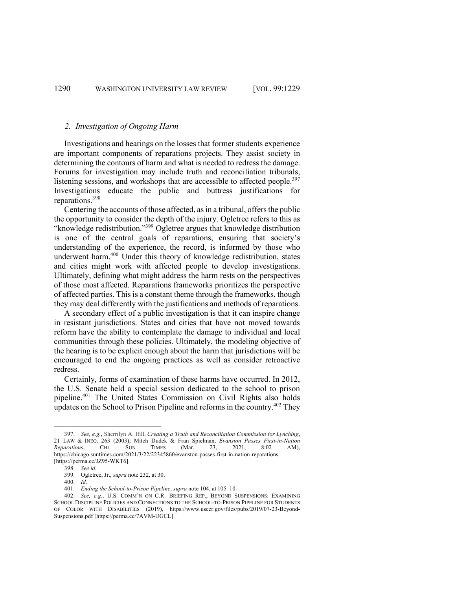#### *2. Investigation of Ongoing Harm*

Investigations and hearings on the losses that former students experience are important components of reparations projects. They assist society in determining the contours of harm and what is needed to redress the damage. Forums for investigation may include truth and reconciliation tribunals, listening sessions, and workshops that are accessible to affected people.<sup>397</sup> Investigations educate the public and buttress justifications for reparations.<sup>398</sup>

Centering the accounts of those affected, as in a tribunal, offers the public the opportunity to consider the depth of the injury. Ogletree refers to this as "knowledge redistribution."399 Ogletree argues that knowledge distribution is one of the central goals of reparations, ensuring that society's understanding of the experience, the record, is informed by those who underwent harm. <sup>400</sup> Under this theory of knowledge redistribution, states and cities might work with affected people to develop investigations. Ultimately, defining what might address the harm rests on the perspectives of those most affected. Reparations frameworks prioritizes the perspective of affected parties. This is a constant theme through the frameworks, though they may deal differently with the justifications and methods of reparations.

A secondary effect of a public investigation is that it can inspire change in resistant jurisdictions. States and cities that have not moved towards reform have the ability to contemplate the damage to individual and local communities through these policies. Ultimately, the modeling objective of the hearing is to be explicit enough about the harm that jurisdictions will be encouraged to end the ongoing practices as well as consider retroactive redress.

Certainly, forms of examination of these harms have occurred. In 2012, the U.S. Senate held a special session dedicated to the school to prison pipeline.401 The United States Commission on Civil Rights also holds updates on the School to Prison Pipeline and reforms in the country.402 They

<sup>397.</sup> *See, e.g.*, Sherrilyn A. Ifill, *Creating a Truth and Reconciliation Commission for Lynching*, 21 LAW & INEQ. 263 (2003); Mitch Dudek & Fran Spielman, *Evanston Passes First-in-Nation Reparations*, CHI. SUN TIMES (Mar. 23, 2021, 8:02 AM), https://chicago.suntimes.com/2021/3/22/22345860/evanston-passes-first-in-nation-reparations [https://perma.cc/JZ95-WKT6].

<sup>398.</sup> *See id.*

<sup>399.</sup> Ogletree, Jr., *supra* note 232, at 30.

<sup>400.</sup> *Id.* 

<sup>401.</sup> *Ending the School-to-Prison Pipeline*, *supra* note 104, at 105–10.

<sup>402.</sup> *See, e.g.*, U.S. COMM'N ON C.R. BRIEFING REP., BEYOND SUSPENSIONS: EXAMINING SCHOOL DISCIPLINE POLICIES AND CONNECTIONS TO THE SCHOOL-TO-PRISON PIPELINE FOR STUDENTS OF COLOR WITH DISABILITIES (2019), https://www.usccr.gov/files/pubs/2019/07-23-Beyond-Suspensions.pdf [https://perma.cc/7AVM-UGCL].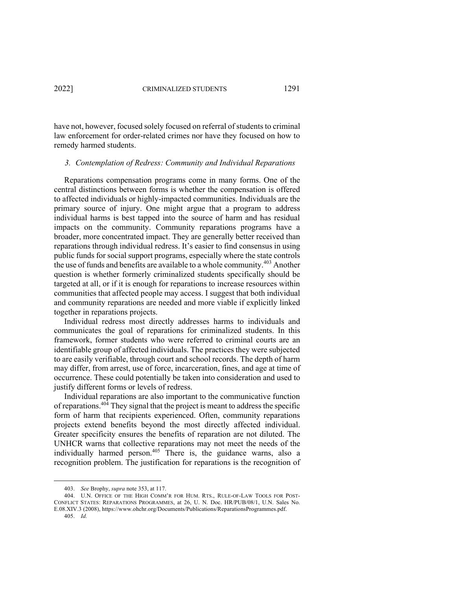have not, however, focused solely focused on referral of students to criminal law enforcement for order-related crimes nor have they focused on how to remedy harmed students.

#### *3. Contemplation of Redress: Community and Individual Reparations*

Reparations compensation programs come in many forms. One of the central distinctions between forms is whether the compensation is offered to affected individuals or highly-impacted communities. Individuals are the primary source of injury. One might argue that a program to address individual harms is best tapped into the source of harm and has residual impacts on the community. Community reparations programs have a broader, more concentrated impact. They are generally better received than reparations through individual redress. It's easier to find consensus in using public funds for social support programs, especially where the state controls the use of funds and benefits are available to a whole community.<sup>403</sup> Another question is whether formerly criminalized students specifically should be targeted at all, or if it is enough for reparations to increase resources within communities that affected people may access. I suggest that both individual and community reparations are needed and more viable if explicitly linked together in reparations projects.

Individual redress most directly addresses harms to individuals and communicates the goal of reparations for criminalized students. In this framework, former students who were referred to criminal courts are an identifiable group of affected individuals. The practices they were subjected to are easily verifiable, through court and school records. The depth of harm may differ, from arrest, use of force, incarceration, fines, and age at time of occurrence. These could potentially be taken into consideration and used to justify different forms or levels of redress.

Individual reparations are also important to the communicative function of reparations.<sup> $40\overline{4}$ </sup> They signal that the project is meant to address the specific form of harm that recipients experienced. Often, community reparations projects extend benefits beyond the most directly affected individual. Greater specificity ensures the benefits of reparation are not diluted. The UNHCR warns that collective reparations may not meet the needs of the individually harmed person.<sup>405</sup> There is, the guidance warns, also a recognition problem. The justification for reparations is the recognition of

<sup>403.</sup> *See* Brophy, *supra* note 353, at 117.

<sup>404.</sup> U.N. OFFICE OF THE HIGH COMM'R FOR HUM. RTS., RULE-OF-LAW TOOLS FOR POST-CONFLICT STATES: REPARATIONS PROGRAMMES, at 26, U. N. Doc. HR/PUB/08/1, U.N. Sales No. E.08.XIV.3 (2008), https://www.ohchr.org/Documents/Publications/ReparationsProgrammes.pdf. 405. *Id.*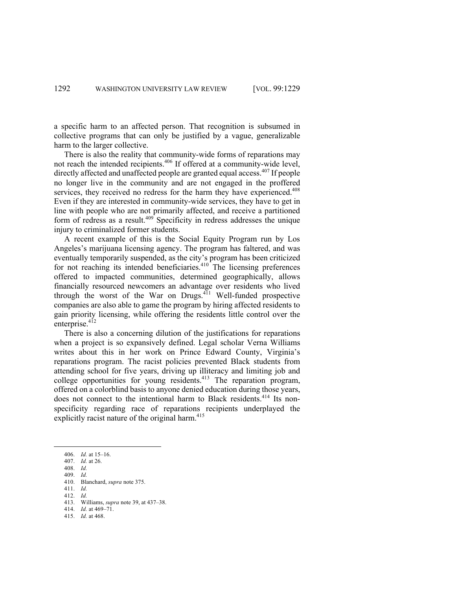a specific harm to an affected person. That recognition is subsumed in collective programs that can only be justified by a vague, generalizable harm to the larger collective.

There is also the reality that community-wide forms of reparations may not reach the intended recipients.<sup>406</sup> If offered at a community-wide level, directly affected and unaffected people are granted equal access.<sup>407</sup> If people no longer live in the community and are not engaged in the proffered services, they received no redress for the harm they have experienced.<sup>408</sup> Even if they are interested in community-wide services, they have to get in line with people who are not primarily affected, and receive a partitioned form of redress as a result.<sup>409</sup> Specificity in redress addresses the unique injury to criminalized former students.

A recent example of this is the Social Equity Program run by Los Angeles's marijuana licensing agency. The program has faltered, and was eventually temporarily suspended, as the city's program has been criticized for not reaching its intended beneficiaries.<sup>410</sup> The licensing preferences offered to impacted communities, determined geographically, allows financially resourced newcomers an advantage over residents who lived through the worst of the War on Drugs.<sup>411</sup> Well-funded prospective companies are also able to game the program by hiring affected residents to gain priority licensing, while offering the residents little control over the enterprise.<sup>412</sup>

There is also a concerning dilution of the justifications for reparations when a project is so expansively defined. Legal scholar Verna Williams writes about this in her work on Prince Edward County, Virginia's reparations program. The racist policies prevented Black students from attending school for five years, driving up illiteracy and limiting job and college opportunities for young residents.<sup>413</sup> The reparation program, offered on a colorblind basis to anyone denied education during those years, does not connect to the intentional harm to Black residents.<sup>414</sup> Its nonspecificity regarding race of reparations recipients underplayed the explicitly racist nature of the original harm.<sup>415</sup>

409. *Id.*

411. *Id.*

<sup>406.</sup> *Id.* at 15–16.

<sup>407.</sup> *Id.* at 26.

<sup>408.</sup> *Id.*

<sup>410.</sup> Blanchard, *supra* note 375.

<sup>412.</sup> *Id.* 413. Williams, *supra* note 39, at 437–38.

<sup>414.</sup> *Id.* at 469–71.

<sup>415.</sup> *Id.* at 468.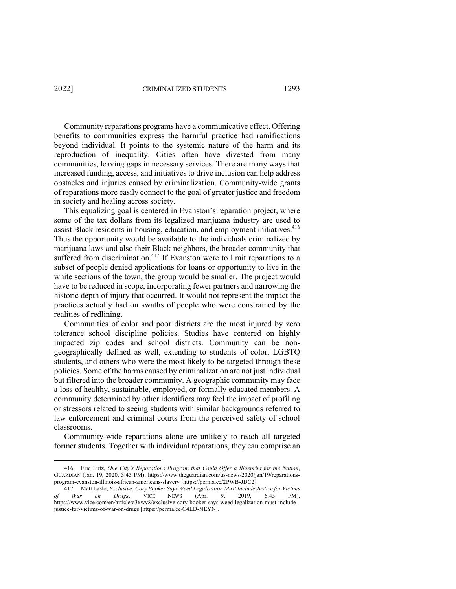Community reparations programs have a communicative effect. Offering benefits to communities express the harmful practice had ramifications beyond individual. It points to the systemic nature of the harm and its reproduction of inequality. Cities often have divested from many communities, leaving gaps in necessary services. There are many ways that increased funding, access, and initiatives to drive inclusion can help address obstacles and injuries caused by criminalization. Community-wide grants of reparations more easily connect to the goal of greater justice and freedom in society and healing across society.

This equalizing goal is centered in Evanston's reparation project, where some of the tax dollars from its legalized marijuana industry are used to assist Black residents in housing, education, and employment initiatives.<sup>416</sup> Thus the opportunity would be available to the individuals criminalized by marijuana laws and also their Black neighbors, the broader community that suffered from discrimination.<sup>417</sup> If Evanston were to limit reparations to a subset of people denied applications for loans or opportunity to live in the white sections of the town, the group would be smaller. The project would have to be reduced in scope, incorporating fewer partners and narrowing the historic depth of injury that occurred. It would not represent the impact the practices actually had on swaths of people who were constrained by the realities of redlining.

Communities of color and poor districts are the most injured by zero tolerance school discipline policies. Studies have centered on highly impacted zip codes and school districts. Community can be nongeographically defined as well, extending to students of color, LGBTQ students, and others who were the most likely to be targeted through these policies. Some of the harms caused by criminalization are not just individual but filtered into the broader community. A geographic community may face a loss of healthy, sustainable, employed, or formally educated members. A community determined by other identifiers may feel the impact of profiling or stressors related to seeing students with similar backgrounds referred to law enforcement and criminal courts from the perceived safety of school classrooms.

Community-wide reparations alone are unlikely to reach all targeted former students. Together with individual reparations, they can comprise an

<sup>416.</sup> Eric Lutz, *One City's Reparations Program that Could Offer a Blueprint for the Nation*, GUARDIAN (Jan. 19, 2020, 3:45 PM), https://www.theguardian.com/us-news/2020/jan/19/reparationsprogram-evanston-illinois-african-americans-slavery [https://perma.cc/2PWB-JDC2].

<sup>417.</sup> Matt Laslo, *Exclusive: Cory Booker Says Weed Legalization Must Include Justice for Victims of War on Drugs*, VICE NEWS (Apr. 9, 2019, 6:45 PM), https://www.vice.com/en/article/a3xwv8/exclusive-cory-booker-says-weed-legalization-must-includejustice-for-victims-of-war-on-drugs [https://perma.cc/C4LD-NEYN].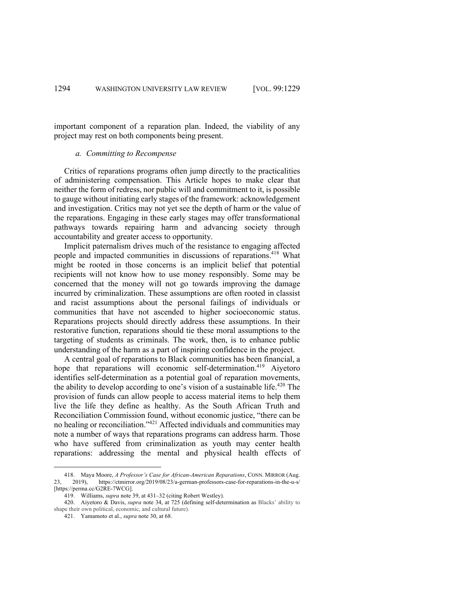important component of a reparation plan. Indeed, the viability of any project may rest on both components being present.

#### *a. Committing to Recompense*

Critics of reparations programs often jump directly to the practicalities of administering compensation. This Article hopes to make clear that neither the form of redress, nor public will and commitment to it, is possible to gauge without initiating early stages of the framework: acknowledgement and investigation. Critics may not yet see the depth of harm or the value of the reparations. Engaging in these early stages may offer transformational pathways towards repairing harm and advancing society through accountability and greater access to opportunity.

Implicit paternalism drives much of the resistance to engaging affected people and impacted communities in discussions of reparations.<sup>418</sup> What might be rooted in those concerns is an implicit belief that potential recipients will not know how to use money responsibly. Some may be concerned that the money will not go towards improving the damage incurred by criminalization. These assumptions are often rooted in classist and racist assumptions about the personal failings of individuals or communities that have not ascended to higher socioeconomic status. Reparations projects should directly address these assumptions. In their restorative function, reparations should tie these moral assumptions to the targeting of students as criminals. The work, then, is to enhance public understanding of the harm as a part of inspiring confidence in the project.

A central goal of reparations to Black communities has been financial, a hope that reparations will economic self-determination.<sup>419</sup> Aiyetoro identifies self-determination as a potential goal of reparation movements, the ability to develop according to one's vision of a sustainable life.<sup> $420$ </sup> The provision of funds can allow people to access material items to help them live the life they define as healthy. As the South African Truth and Reconciliation Commission found, without economic justice, "there can be no healing or reconciliation."421 Affected individuals and communities may note a number of ways that reparations programs can address harm. Those who have suffered from criminalization as youth may center health reparations: addressing the mental and physical health effects of

<sup>418.</sup> Maya Moore, *A Professor's Case for African-American Reparations*, CONN. MIRROR (Aug.<br>23. 2019) https://ctmirror.org/2019/08/23/a-german-professors-case-for-reparations-in-the-u-s/ https://ctmirror.org/2019/08/23/a-german-professors-case-for-reparations-in-the-u-s/ [https://perma.cc/G2RE-7WCG].

<sup>419.</sup> Williams, *supra* note 39, at 431–32 (citing Robert Westley).

<sup>420.</sup> Aiyetoro & Davis, *supra* note 34, at 725 (defining self-determination as Blacks' ability to shape their own political, economic, and cultural future).

<sup>421.</sup> Yamamoto et al., *supra* note 30, at 68.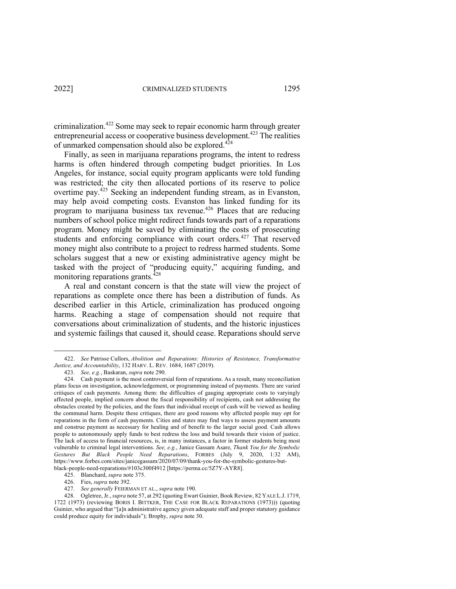criminalization.422 Some may seek to repair economic harm through greater entrepreneurial access or cooperative business development.<sup>423</sup> The realities of unmarked compensation should also be explored.<sup>424</sup>

Finally, as seen in marijuana reparations programs, the intent to redress harms is often hindered through competing budget priorities. In Los Angeles, for instance, social equity program applicants were told funding was restricted; the city then allocated portions of its reserve to police overtime pay.<sup>425</sup> Seeking an independent funding stream, as in Evanston, may help avoid competing costs. Evanston has linked funding for its program to marijuana business tax revenue.426 Places that are reducing numbers of school police might redirect funds towards part of a reparations program. Money might be saved by eliminating the costs of prosecuting students and enforcing compliance with court orders.<sup>427</sup> That reserved money might also contribute to a project to redress harmed students. Some scholars suggest that a new or existing administrative agency might be tasked with the project of "producing equity," acquiring funding, and monitoring reparations grants. $428$ 

A real and constant concern is that the state will view the project of reparations as complete once there has been a distribution of funds. As described earlier in this Article, criminalization has produced ongoing harms. Reaching a stage of compensation should not require that conversations about criminalization of students, and the historic injustices and systemic failings that caused it, should cease. Reparations should serve

<sup>422.</sup> *See* Patrisse Cullors, *Abolition and Reparations: Histories of Resistance, Transformative Justice, and Accountability*, 132 HARV. L. REV. 1684, 1687 (2019).

<sup>423.</sup> *See, e.g.*, Baskaran, *supra* note 290.

<sup>424.</sup> Cash payment is the most controversial form of reparations. As a result, many reconciliation plans focus on investigation, acknowledgement, or programming instead of payments. There are varied critiques of cash payments. Among them: the difficulties of gauging appropriate costs to varyingly affected people, implied concern about the fiscal responsibility of recipients, cash not addressing the obstacles created by the policies, and the fears that individual receipt of cash will be viewed as healing the communal harm. Despite these critiques, there are good reasons why affected people may opt for reparations in the form of cash payments. Cities and states may find ways to assess payment amounts and construe payment as necessary for healing and of benefit to the larger social good. Cash allows people to autonomously apply funds to best redress the loss and build towards their vision of justice. The lack of access to financial resources, is, in many instances, a factor in former students being most vulnerable to criminal legal interventions. *See, e.g.*, Janice Gassam Asare, *Thank You for the Symbolic Gestures But Black People Need Reparations*, FORBES (July 9, 2020, 1:32 AM), https://www.forbes.com/sites/janicegassam/2020/07/09/thank-you-for-the-symbolic-gestures-but-

black-people-need-reparations/#103c300f4912 [https://perma.cc/5Z7Y-AYR8].

<sup>425.</sup> Blanchard, *supra* note 375. 426. Fies, *supra* note 392.

<sup>427.</sup> *See generally* FEIERMAN ET AL., *supra* note 190.

<sup>428.</sup> Ogletree, Jr., *supra* note 57, at 292 (quoting Ewart Guinier, Book Review, 82 YALE L.J. 1719, 1722 (1973) (reviewing BORIS I. BITTKER, THE CASE FOR BLACK REPARATIONS (1973))) (quoting Guinier, who argued that "[a]n administrative agency given adequate staff and proper statutory guidance could produce equity for individuals"); Brophy, *supra* note 30.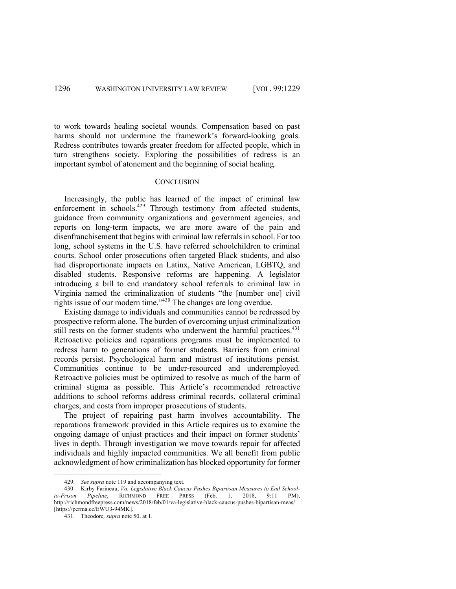to work towards healing societal wounds. Compensation based on past harms should not undermine the framework's forward-looking goals. Redress contributes towards greater freedom for affected people, which in turn strengthens society. Exploring the possibilities of redress is an important symbol of atonement and the beginning of social healing.

#### **CONCLUSION**

Increasingly, the public has learned of the impact of criminal law enforcement in schools.<sup>429</sup> Through testimony from affected students, guidance from community organizations and government agencies, and reports on long-term impacts, we are more aware of the pain and disenfranchisement that begins with criminal law referrals in school. For too long, school systems in the U.S. have referred schoolchildren to criminal courts. School order prosecutions often targeted Black students, and also had disproportionate impacts on Latinx, Native American, LGBTQ, and disabled students. Responsive reforms are happening. A legislator introducing a bill to end mandatory school referrals to criminal law in Virginia named the criminalization of students "the [number one] civil rights issue of our modern time."<sup>430</sup> The changes are long overdue.

Existing damage to individuals and communities cannot be redressed by prospective reform alone. The burden of overcoming unjust criminalization still rests on the former students who underwent the harmful practices.<sup>431</sup> Retroactive policies and reparations programs must be implemented to redress harm to generations of former students. Barriers from criminal records persist. Psychological harm and mistrust of institutions persist. Communities continue to be under-resourced and underemployed. Retroactive policies must be optimized to resolve as much of the harm of criminal stigma as possible. This Article's recommended retroactive additions to school reforms address criminal records, collateral criminal charges, and costs from improper prosecutions of students.

The project of repairing past harm involves accountability. The reparations framework provided in this Article requires us to examine the ongoing damage of unjust practices and their impact on former students' lives in depth. Through investigation we move towards repair for affected individuals and highly impacted communities. We all benefit from public acknowledgment of how criminalization has blocked opportunity for former

<sup>429.</sup> *See supra* note 119 and accompanying text.

<sup>430.</sup> Kirby Farineau, *Va. Legislative Black Caucus Pushes Bipartisan Measures to End Schoolto-Prison Pipeline*, RICHMOND FREE PRESS (Feb. 1, 2018, 9:11 PM), http://richmondfreepress.com/news/2018/feb/01/va-legislative-black-caucus-pushes-bipartisan-meas/ [https://perma.cc/EWU3-94MK].

<sup>431.</sup> Theodore*, supra* note 50, at 1.